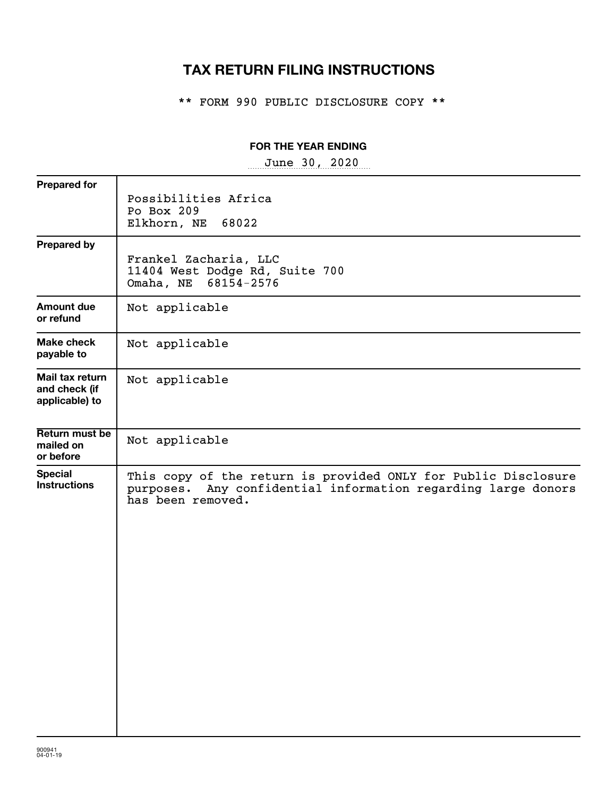## **TAX RETURN FILING INSTRUCTIONS**

\*\* FORM 990 PUBLIC DISCLOSURE COPY \*\*

### **FOR THE YEAR ENDING**

~~~~~~~~~~~~~~~~~ June 30, 2020

| <b>Prepared for</b>                                                                                                                                                                                                         |                                                                                                                                                      |
|-----------------------------------------------------------------------------------------------------------------------------------------------------------------------------------------------------------------------------|------------------------------------------------------------------------------------------------------------------------------------------------------|
|                                                                                                                                                                                                                             | Possibilities Africa<br>Po Box 209                                                                                                                   |
|                                                                                                                                                                                                                             | Elkhorn, NE<br>68022                                                                                                                                 |
| <b>Prepared by</b><br>Amount due<br>or refund<br><b>Make check</b><br>payable to<br>Mail tax return<br>and check (if<br>applicable) to<br>Return must be<br>mailed on<br>or before<br><b>Special</b><br><b>Instructions</b> | Frankel Zacharia, LLC<br>11404 West Dodge Rd, Suite 700<br>Omaha, NE<br>68154-2576                                                                   |
|                                                                                                                                                                                                                             | Not applicable                                                                                                                                       |
|                                                                                                                                                                                                                             | Not applicable                                                                                                                                       |
|                                                                                                                                                                                                                             | Not applicable                                                                                                                                       |
|                                                                                                                                                                                                                             | Not applicable                                                                                                                                       |
|                                                                                                                                                                                                                             | This copy of the return is provided ONLY for Public Disclosure<br>purposes. Any confidential information regarding large donors<br>has been removed. |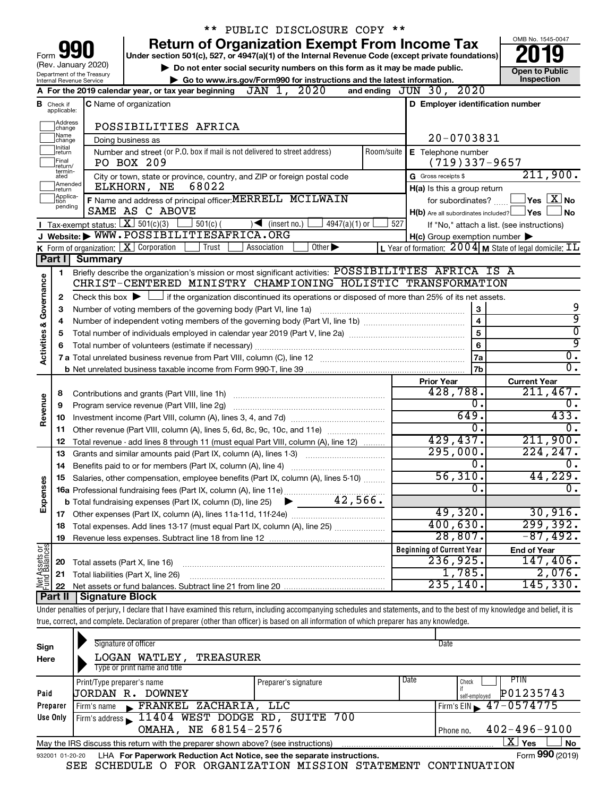|                                                                                                                                                                                                                                                                                                                                                                                                                                                                                                                                                                                                                                                                                                                                                                                                                                                                                                                                                                                                                                                                                                                                                                                                                                                                                                                                                                                                                                                                                                                                                                                                                                                                                                                                                                                                                                                                                                                                                                                                                                                                                                                                                                                                                                                                                                                                                                                                                                                                                                                                                                                                                                                                                                                                                                                                                                                                                                                                                                                                                                                                                                                                                                                                                                                                                                                                                                                                                                                                                                                                                                                                                                    |  |  | ** PUBLIC DISCLOSURE COPY **                                     |            |  |
|------------------------------------------------------------------------------------------------------------------------------------------------------------------------------------------------------------------------------------------------------------------------------------------------------------------------------------------------------------------------------------------------------------------------------------------------------------------------------------------------------------------------------------------------------------------------------------------------------------------------------------------------------------------------------------------------------------------------------------------------------------------------------------------------------------------------------------------------------------------------------------------------------------------------------------------------------------------------------------------------------------------------------------------------------------------------------------------------------------------------------------------------------------------------------------------------------------------------------------------------------------------------------------------------------------------------------------------------------------------------------------------------------------------------------------------------------------------------------------------------------------------------------------------------------------------------------------------------------------------------------------------------------------------------------------------------------------------------------------------------------------------------------------------------------------------------------------------------------------------------------------------------------------------------------------------------------------------------------------------------------------------------------------------------------------------------------------------------------------------------------------------------------------------------------------------------------------------------------------------------------------------------------------------------------------------------------------------------------------------------------------------------------------------------------------------------------------------------------------------------------------------------------------------------------------------------------------------------------------------------------------------------------------------------------------------------------------------------------------------------------------------------------------------------------------------------------------------------------------------------------------------------------------------------------------------------------------------------------------------------------------------------------------------------------------------------------------------------------------------------------------------------------------------------------------------------------------------------------------------------------------------------------------------------------------------------------------------------------------------------------------------------------------------------------------------------------------------------------------------------------------------------------------------------------------------------------------------------------------------------------------|--|--|------------------------------------------------------------------|------------|--|
|                                                                                                                                                                                                                                                                                                                                                                                                                                                                                                                                                                                                                                                                                                                                                                                                                                                                                                                                                                                                                                                                                                                                                                                                                                                                                                                                                                                                                                                                                                                                                                                                                                                                                                                                                                                                                                                                                                                                                                                                                                                                                                                                                                                                                                                                                                                                                                                                                                                                                                                                                                                                                                                                                                                                                                                                                                                                                                                                                                                                                                                                                                                                                                                                                                                                                                                                                                                                                                                                                                                                                                                                                                    |  |  |                                                                  |            |  |
|                                                                                                                                                                                                                                                                                                                                                                                                                                                                                                                                                                                                                                                                                                                                                                                                                                                                                                                                                                                                                                                                                                                                                                                                                                                                                                                                                                                                                                                                                                                                                                                                                                                                                                                                                                                                                                                                                                                                                                                                                                                                                                                                                                                                                                                                                                                                                                                                                                                                                                                                                                                                                                                                                                                                                                                                                                                                                                                                                                                                                                                                                                                                                                                                                                                                                                                                                                                                                                                                                                                                                                                                                                    |  |  |                                                                  |            |  |
| Form<br>(Rev. January 2020)<br>Department of the Treasury<br>Internal Revenue Service<br><b>B</b> Check if applicable:<br>Address<br>change<br>Name<br>change<br>Ilnitial<br>return<br>Final<br>return/<br>termin-<br>ated<br>Amended<br>Ireturn<br>Applica-<br>tion<br>pending<br>Part I<br>1<br>Governance<br>2<br>з<br>4<br><b>Activities &amp;</b><br>5<br>6<br>8<br>Revenue<br>9<br>10<br>11<br>12<br>13<br>Expenses                                                                                                                                                                                                                                                                                                                                                                                                                                                                                                                                                                                                                                                                                                                                                                                                                                                                                                                                                                                                                                                                                                                                                                                                                                                                                                                                                                                                                                                                                                                                                                                                                                                                                                                                                                                                                                                                                                                                                                                                                                                                                                                                                                                                                                                                                                                                                                                                                                                                                                                                                                                                                                                                                                                                                                                                                                                                                                                                                                                                                                                                                                                                                                                                          |  |  |                                                                  |            |  |
|                                                                                                                                                                                                                                                                                                                                                                                                                                                                                                                                                                                                                                                                                                                                                                                                                                                                                                                                                                                                                                                                                                                                                                                                                                                                                                                                                                                                                                                                                                                                                                                                                                                                                                                                                                                                                                                                                                                                                                                                                                                                                                                                                                                                                                                                                                                                                                                                                                                                                                                                                                                                                                                                                                                                                                                                                                                                                                                                                                                                                                                                                                                                                                                                                                                                                                                                                                                                                                                                                                                                                                                                                                    |  |  |                                                                  | Inspection |  |
|                                                                                                                                                                                                                                                                                                                                                                                                                                                                                                                                                                                                                                                                                                                                                                                                                                                                                                                                                                                                                                                                                                                                                                                                                                                                                                                                                                                                                                                                                                                                                                                                                                                                                                                                                                                                                                                                                                                                                                                                                                                                                                                                                                                                                                                                                                                                                                                                                                                                                                                                                                                                                                                                                                                                                                                                                                                                                                                                                                                                                                                                                                                                                                                                                                                                                                                                                                                                                                                                                                                                                                                                                                    |  |  |                                                                  |            |  |
|                                                                                                                                                                                                                                                                                                                                                                                                                                                                                                                                                                                                                                                                                                                                                                                                                                                                                                                                                                                                                                                                                                                                                                                                                                                                                                                                                                                                                                                                                                                                                                                                                                                                                                                                                                                                                                                                                                                                                                                                                                                                                                                                                                                                                                                                                                                                                                                                                                                                                                                                                                                                                                                                                                                                                                                                                                                                                                                                                                                                                                                                                                                                                                                                                                                                                                                                                                                                                                                                                                                                                                                                                                    |  |  |                                                                  |            |  |
|                                                                                                                                                                                                                                                                                                                                                                                                                                                                                                                                                                                                                                                                                                                                                                                                                                                                                                                                                                                                                                                                                                                                                                                                                                                                                                                                                                                                                                                                                                                                                                                                                                                                                                                                                                                                                                                                                                                                                                                                                                                                                                                                                                                                                                                                                                                                                                                                                                                                                                                                                                                                                                                                                                                                                                                                                                                                                                                                                                                                                                                                                                                                                                                                                                                                                                                                                                                                                                                                                                                                                                                                                                    |  |  |                                                                  |            |  |
|                                                                                                                                                                                                                                                                                                                                                                                                                                                                                                                                                                                                                                                                                                                                                                                                                                                                                                                                                                                                                                                                                                                                                                                                                                                                                                                                                                                                                                                                                                                                                                                                                                                                                                                                                                                                                                                                                                                                                                                                                                                                                                                                                                                                                                                                                                                                                                                                                                                                                                                                                                                                                                                                                                                                                                                                                                                                                                                                                                                                                                                                                                                                                                                                                                                                                                                                                                                                                                                                                                                                                                                                                                    |  |  |                                                                  |            |  |
|                                                                                                                                                                                                                                                                                                                                                                                                                                                                                                                                                                                                                                                                                                                                                                                                                                                                                                                                                                                                                                                                                                                                                                                                                                                                                                                                                                                                                                                                                                                                                                                                                                                                                                                                                                                                                                                                                                                                                                                                                                                                                                                                                                                                                                                                                                                                                                                                                                                                                                                                                                                                                                                                                                                                                                                                                                                                                                                                                                                                                                                                                                                                                                                                                                                                                                                                                                                                                                                                                                                                                                                                                                    |  |  |                                                                  |            |  |
|                                                                                                                                                                                                                                                                                                                                                                                                                                                                                                                                                                                                                                                                                                                                                                                                                                                                                                                                                                                                                                                                                                                                                                                                                                                                                                                                                                                                                                                                                                                                                                                                                                                                                                                                                                                                                                                                                                                                                                                                                                                                                                                                                                                                                                                                                                                                                                                                                                                                                                                                                                                                                                                                                                                                                                                                                                                                                                                                                                                                                                                                                                                                                                                                                                                                                                                                                                                                                                                                                                                                                                                                                                    |  |  |                                                                  |            |  |
|                                                                                                                                                                                                                                                                                                                                                                                                                                                                                                                                                                                                                                                                                                                                                                                                                                                                                                                                                                                                                                                                                                                                                                                                                                                                                                                                                                                                                                                                                                                                                                                                                                                                                                                                                                                                                                                                                                                                                                                                                                                                                                                                                                                                                                                                                                                                                                                                                                                                                                                                                                                                                                                                                                                                                                                                                                                                                                                                                                                                                                                                                                                                                                                                                                                                                                                                                                                                                                                                                                                                                                                                                                    |  |  |                                                                  |            |  |
|                                                                                                                                                                                                                                                                                                                                                                                                                                                                                                                                                                                                                                                                                                                                                                                                                                                                                                                                                                                                                                                                                                                                                                                                                                                                                                                                                                                                                                                                                                                                                                                                                                                                                                                                                                                                                                                                                                                                                                                                                                                                                                                                                                                                                                                                                                                                                                                                                                                                                                                                                                                                                                                                                                                                                                                                                                                                                                                                                                                                                                                                                                                                                                                                                                                                                                                                                                                                                                                                                                                                                                                                                                    |  |  |                                                                  |            |  |
| 18<br>19<br>Net Assets or<br>20<br>21<br>22<br>Part II                                                                                                                                                                                                                                                                                                                                                                                                                                                                                                                                                                                                                                                                                                                                                                                                                                                                                                                                                                                                                                                                                                                                                                                                                                                                                                                                                                                                                                                                                                                                                                                                                                                                                                                                                                                                                                                                                                                                                                                                                                                                                                                                                                                                                                                                                                                                                                                                                                                                                                                                                                                                                                                                                                                                                                                                                                                                                                                                                                                                                                                                                                                                                                                                                                                                                                                                                                                                                                                                                                                                                                             |  |  |                                                                  |            |  |
| OMB No. 1545-0047<br><b>Return of Organization Exempt From Income Tax</b><br>Under section 501(c), 527, or 4947(a)(1) of the Internal Revenue Code (except private foundations)<br>Do not enter social security numbers on this form as it may be made public.<br><b>Open to Public</b><br>Go to www.irs.gov/Form990 for instructions and the latest information.<br>and ending JUN 30, 2020<br>JAN 1, 2020<br>A For the 2019 calendar year, or tax year beginning<br>D Employer identification number<br><b>C</b> Name of organization<br>POSSIBILITIES AFRICA<br>20-0703831<br>Doing business as<br>Number and street (or P.O. box if mail is not delivered to street address)<br>E Telephone number<br>Room/suite<br>$(719)337 - 9657$<br><b>PO BOX 209</b><br>211,900.<br>G Gross receipts \$<br>City or town, state or province, country, and ZIP or foreign postal code<br>68022<br>ELKHORN, NE<br>H(a) Is this a group return<br>F Name and address of principal officer: MERRELL MCILWAIN<br>$\,$ Yes $\,$ $\,$ $\rm X$ $\,$ No $\,$<br>for subordinates?<br>SAME AS C ABOVE<br>$H(b)$ Are all subordinates included? $\Box$ Yes<br>l No<br>Tax-exempt status: $X \overline{301(c)(3)}$<br>$501(c)$ (<br>$\sqrt{\bullet}$ (insert no.)<br>$4947(a)(1)$ or<br>527<br>If "No," attach a list. (see instructions)<br>J Website: WWW.POSSIBILITIESAFRICA.ORG<br>$H(c)$ Group exemption number $\blacktriangleright$<br><b>K</b> Form of organization: $\boxed{\mathbf{X}}$ Corporation<br>L Year of formation: $2004$ M State of legal domicile: $\overline{\text{IL}}$<br>Other $\blacktriangleright$<br>Trust<br>Association<br><b>Summary</b><br>Briefly describe the organization's mission or most significant activities: POSSIBILITIES AFRICA IS A<br>CHRIST-CENTERED MINISTRY CHAMPIONING HOLISTIC TRANSFORMATION<br>Check this box $\blacktriangleright$ $\Box$ if the organization discontinued its operations or disposed of more than 25% of its net assets.<br>9<br>Number of voting members of the governing body (Part VI, line 1a)<br>3<br>9<br>$\overline{\mathbf{4}}$<br>$\overline{\mathfrak{o}}$<br>5<br>ब्र<br>6<br>$\overline{0}$ .<br>7a<br>$\overline{0}$ .<br>7b<br><b>Current Year</b><br><b>Prior Year</b><br>428,788.<br>$21\overline{1,467}$ .<br>о.<br>$\overline{0}$ .<br>Program service revenue (Part VIII, line 2g)<br>649.<br>433.<br>$\overline{0}$ .<br>0.<br>Other revenue (Part VIII, column (A), lines 5, 6d, 8c, 9c, 10c, and 11e)<br>429, 437.<br>211,900.<br>Total revenue - add lines 8 through 11 (must equal Part VIII, column (A), line 12)<br>295,000.<br>224, 247.<br>Grants and similar amounts paid (Part IX, column (A), lines 1-3)<br>0.<br>$\overline{0}$ .<br>56,310.<br>44,229.<br>Salaries, other compensation, employee benefits (Part IX, column (A), lines 5-10)<br>$\overline{0}$<br>$\overline{0}$ .<br>49,320.<br>30,916.<br>400,630.<br>299, 392.<br>Total expenses. Add lines 13-17 (must equal Part IX, column (A), line 25) <i></i><br>$-87,492.$<br>28,807.<br><b>Beginning of Current Year</b><br><b>End of Year</b><br>236,925.<br>147,406.<br>Total assets (Part X, line 16)<br>1,785.<br>2,076.<br>Total liabilities (Part X, line 26)<br>145,330.<br>235, 140.<br>Signature Block<br>Under penalties of perjury, I declare that I have examined this return, including accompanying schedules and statements, and to the best of my knowledge and belief, it is<br>true, correct, and complete. Declaration of preparer (other than officer) is based on all information of which preparer has any knowledge.<br>Signature of officer<br>Date<br>Sign |  |  |                                                                  |            |  |
|                                                                                                                                                                                                                                                                                                                                                                                                                                                                                                                                                                                                                                                                                                                                                                                                                                                                                                                                                                                                                                                                                                                                                                                                                                                                                                                                                                                                                                                                                                                                                                                                                                                                                                                                                                                                                                                                                                                                                                                                                                                                                                                                                                                                                                                                                                                                                                                                                                                                                                                                                                                                                                                                                                                                                                                                                                                                                                                                                                                                                                                                                                                                                                                                                                                                                                                                                                                                                                                                                                                                                                                                                                    |  |  |                                                                  |            |  |
|                                                                                                                                                                                                                                                                                                                                                                                                                                                                                                                                                                                                                                                                                                                                                                                                                                                                                                                                                                                                                                                                                                                                                                                                                                                                                                                                                                                                                                                                                                                                                                                                                                                                                                                                                                                                                                                                                                                                                                                                                                                                                                                                                                                                                                                                                                                                                                                                                                                                                                                                                                                                                                                                                                                                                                                                                                                                                                                                                                                                                                                                                                                                                                                                                                                                                                                                                                                                                                                                                                                                                                                                                                    |  |  |                                                                  |            |  |
|                                                                                                                                                                                                                                                                                                                                                                                                                                                                                                                                                                                                                                                                                                                                                                                                                                                                                                                                                                                                                                                                                                                                                                                                                                                                                                                                                                                                                                                                                                                                                                                                                                                                                                                                                                                                                                                                                                                                                                                                                                                                                                                                                                                                                                                                                                                                                                                                                                                                                                                                                                                                                                                                                                                                                                                                                                                                                                                                                                                                                                                                                                                                                                                                                                                                                                                                                                                                                                                                                                                                                                                                                                    |  |  |                                                                  |            |  |
|                                                                                                                                                                                                                                                                                                                                                                                                                                                                                                                                                                                                                                                                                                                                                                                                                                                                                                                                                                                                                                                                                                                                                                                                                                                                                                                                                                                                                                                                                                                                                                                                                                                                                                                                                                                                                                                                                                                                                                                                                                                                                                                                                                                                                                                                                                                                                                                                                                                                                                                                                                                                                                                                                                                                                                                                                                                                                                                                                                                                                                                                                                                                                                                                                                                                                                                                                                                                                                                                                                                                                                                                                                    |  |  |                                                                  |            |  |
|                                                                                                                                                                                                                                                                                                                                                                                                                                                                                                                                                                                                                                                                                                                                                                                                                                                                                                                                                                                                                                                                                                                                                                                                                                                                                                                                                                                                                                                                                                                                                                                                                                                                                                                                                                                                                                                                                                                                                                                                                                                                                                                                                                                                                                                                                                                                                                                                                                                                                                                                                                                                                                                                                                                                                                                                                                                                                                                                                                                                                                                                                                                                                                                                                                                                                                                                                                                                                                                                                                                                                                                                                                    |  |  |                                                                  |            |  |
|                                                                                                                                                                                                                                                                                                                                                                                                                                                                                                                                                                                                                                                                                                                                                                                                                                                                                                                                                                                                                                                                                                                                                                                                                                                                                                                                                                                                                                                                                                                                                                                                                                                                                                                                                                                                                                                                                                                                                                                                                                                                                                                                                                                                                                                                                                                                                                                                                                                                                                                                                                                                                                                                                                                                                                                                                                                                                                                                                                                                                                                                                                                                                                                                                                                                                                                                                                                                                                                                                                                                                                                                                                    |  |  |                                                                  |            |  |
|                                                                                                                                                                                                                                                                                                                                                                                                                                                                                                                                                                                                                                                                                                                                                                                                                                                                                                                                                                                                                                                                                                                                                                                                                                                                                                                                                                                                                                                                                                                                                                                                                                                                                                                                                                                                                                                                                                                                                                                                                                                                                                                                                                                                                                                                                                                                                                                                                                                                                                                                                                                                                                                                                                                                                                                                                                                                                                                                                                                                                                                                                                                                                                                                                                                                                                                                                                                                                                                                                                                                                                                                                                    |  |  |                                                                  |            |  |
|                                                                                                                                                                                                                                                                                                                                                                                                                                                                                                                                                                                                                                                                                                                                                                                                                                                                                                                                                                                                                                                                                                                                                                                                                                                                                                                                                                                                                                                                                                                                                                                                                                                                                                                                                                                                                                                                                                                                                                                                                                                                                                                                                                                                                                                                                                                                                                                                                                                                                                                                                                                                                                                                                                                                                                                                                                                                                                                                                                                                                                                                                                                                                                                                                                                                                                                                                                                                                                                                                                                                                                                                                                    |  |  |                                                                  |            |  |
|                                                                                                                                                                                                                                                                                                                                                                                                                                                                                                                                                                                                                                                                                                                                                                                                                                                                                                                                                                                                                                                                                                                                                                                                                                                                                                                                                                                                                                                                                                                                                                                                                                                                                                                                                                                                                                                                                                                                                                                                                                                                                                                                                                                                                                                                                                                                                                                                                                                                                                                                                                                                                                                                                                                                                                                                                                                                                                                                                                                                                                                                                                                                                                                                                                                                                                                                                                                                                                                                                                                                                                                                                                    |  |  |                                                                  |            |  |
|                                                                                                                                                                                                                                                                                                                                                                                                                                                                                                                                                                                                                                                                                                                                                                                                                                                                                                                                                                                                                                                                                                                                                                                                                                                                                                                                                                                                                                                                                                                                                                                                                                                                                                                                                                                                                                                                                                                                                                                                                                                                                                                                                                                                                                                                                                                                                                                                                                                                                                                                                                                                                                                                                                                                                                                                                                                                                                                                                                                                                                                                                                                                                                                                                                                                                                                                                                                                                                                                                                                                                                                                                                    |  |  |                                                                  |            |  |
|                                                                                                                                                                                                                                                                                                                                                                                                                                                                                                                                                                                                                                                                                                                                                                                                                                                                                                                                                                                                                                                                                                                                                                                                                                                                                                                                                                                                                                                                                                                                                                                                                                                                                                                                                                                                                                                                                                                                                                                                                                                                                                                                                                                                                                                                                                                                                                                                                                                                                                                                                                                                                                                                                                                                                                                                                                                                                                                                                                                                                                                                                                                                                                                                                                                                                                                                                                                                                                                                                                                                                                                                                                    |  |  |                                                                  |            |  |
|                                                                                                                                                                                                                                                                                                                                                                                                                                                                                                                                                                                                                                                                                                                                                                                                                                                                                                                                                                                                                                                                                                                                                                                                                                                                                                                                                                                                                                                                                                                                                                                                                                                                                                                                                                                                                                                                                                                                                                                                                                                                                                                                                                                                                                                                                                                                                                                                                                                                                                                                                                                                                                                                                                                                                                                                                                                                                                                                                                                                                                                                                                                                                                                                                                                                                                                                                                                                                                                                                                                                                                                                                                    |  |  |                                                                  |            |  |
|                                                                                                                                                                                                                                                                                                                                                                                                                                                                                                                                                                                                                                                                                                                                                                                                                                                                                                                                                                                                                                                                                                                                                                                                                                                                                                                                                                                                                                                                                                                                                                                                                                                                                                                                                                                                                                                                                                                                                                                                                                                                                                                                                                                                                                                                                                                                                                                                                                                                                                                                                                                                                                                                                                                                                                                                                                                                                                                                                                                                                                                                                                                                                                                                                                                                                                                                                                                                                                                                                                                                                                                                                                    |  |  |                                                                  |            |  |
|                                                                                                                                                                                                                                                                                                                                                                                                                                                                                                                                                                                                                                                                                                                                                                                                                                                                                                                                                                                                                                                                                                                                                                                                                                                                                                                                                                                                                                                                                                                                                                                                                                                                                                                                                                                                                                                                                                                                                                                                                                                                                                                                                                                                                                                                                                                                                                                                                                                                                                                                                                                                                                                                                                                                                                                                                                                                                                                                                                                                                                                                                                                                                                                                                                                                                                                                                                                                                                                                                                                                                                                                                                    |  |  |                                                                  |            |  |
|                                                                                                                                                                                                                                                                                                                                                                                                                                                                                                                                                                                                                                                                                                                                                                                                                                                                                                                                                                                                                                                                                                                                                                                                                                                                                                                                                                                                                                                                                                                                                                                                                                                                                                                                                                                                                                                                                                                                                                                                                                                                                                                                                                                                                                                                                                                                                                                                                                                                                                                                                                                                                                                                                                                                                                                                                                                                                                                                                                                                                                                                                                                                                                                                                                                                                                                                                                                                                                                                                                                                                                                                                                    |  |  |                                                                  |            |  |
|                                                                                                                                                                                                                                                                                                                                                                                                                                                                                                                                                                                                                                                                                                                                                                                                                                                                                                                                                                                                                                                                                                                                                                                                                                                                                                                                                                                                                                                                                                                                                                                                                                                                                                                                                                                                                                                                                                                                                                                                                                                                                                                                                                                                                                                                                                                                                                                                                                                                                                                                                                                                                                                                                                                                                                                                                                                                                                                                                                                                                                                                                                                                                                                                                                                                                                                                                                                                                                                                                                                                                                                                                                    |  |  |                                                                  |            |  |
|                                                                                                                                                                                                                                                                                                                                                                                                                                                                                                                                                                                                                                                                                                                                                                                                                                                                                                                                                                                                                                                                                                                                                                                                                                                                                                                                                                                                                                                                                                                                                                                                                                                                                                                                                                                                                                                                                                                                                                                                                                                                                                                                                                                                                                                                                                                                                                                                                                                                                                                                                                                                                                                                                                                                                                                                                                                                                                                                                                                                                                                                                                                                                                                                                                                                                                                                                                                                                                                                                                                                                                                                                                    |  |  |                                                                  |            |  |
|                                                                                                                                                                                                                                                                                                                                                                                                                                                                                                                                                                                                                                                                                                                                                                                                                                                                                                                                                                                                                                                                                                                                                                                                                                                                                                                                                                                                                                                                                                                                                                                                                                                                                                                                                                                                                                                                                                                                                                                                                                                                                                                                                                                                                                                                                                                                                                                                                                                                                                                                                                                                                                                                                                                                                                                                                                                                                                                                                                                                                                                                                                                                                                                                                                                                                                                                                                                                                                                                                                                                                                                                                                    |  |  |                                                                  |            |  |
|                                                                                                                                                                                                                                                                                                                                                                                                                                                                                                                                                                                                                                                                                                                                                                                                                                                                                                                                                                                                                                                                                                                                                                                                                                                                                                                                                                                                                                                                                                                                                                                                                                                                                                                                                                                                                                                                                                                                                                                                                                                                                                                                                                                                                                                                                                                                                                                                                                                                                                                                                                                                                                                                                                                                                                                                                                                                                                                                                                                                                                                                                                                                                                                                                                                                                                                                                                                                                                                                                                                                                                                                                                    |  |  |                                                                  |            |  |
|                                                                                                                                                                                                                                                                                                                                                                                                                                                                                                                                                                                                                                                                                                                                                                                                                                                                                                                                                                                                                                                                                                                                                                                                                                                                                                                                                                                                                                                                                                                                                                                                                                                                                                                                                                                                                                                                                                                                                                                                                                                                                                                                                                                                                                                                                                                                                                                                                                                                                                                                                                                                                                                                                                                                                                                                                                                                                                                                                                                                                                                                                                                                                                                                                                                                                                                                                                                                                                                                                                                                                                                                                                    |  |  |                                                                  |            |  |
|                                                                                                                                                                                                                                                                                                                                                                                                                                                                                                                                                                                                                                                                                                                                                                                                                                                                                                                                                                                                                                                                                                                                                                                                                                                                                                                                                                                                                                                                                                                                                                                                                                                                                                                                                                                                                                                                                                                                                                                                                                                                                                                                                                                                                                                                                                                                                                                                                                                                                                                                                                                                                                                                                                                                                                                                                                                                                                                                                                                                                                                                                                                                                                                                                                                                                                                                                                                                                                                                                                                                                                                                                                    |  |  |                                                                  |            |  |
|                                                                                                                                                                                                                                                                                                                                                                                                                                                                                                                                                                                                                                                                                                                                                                                                                                                                                                                                                                                                                                                                                                                                                                                                                                                                                                                                                                                                                                                                                                                                                                                                                                                                                                                                                                                                                                                                                                                                                                                                                                                                                                                                                                                                                                                                                                                                                                                                                                                                                                                                                                                                                                                                                                                                                                                                                                                                                                                                                                                                                                                                                                                                                                                                                                                                                                                                                                                                                                                                                                                                                                                                                                    |  |  |                                                                  |            |  |
|                                                                                                                                                                                                                                                                                                                                                                                                                                                                                                                                                                                                                                                                                                                                                                                                                                                                                                                                                                                                                                                                                                                                                                                                                                                                                                                                                                                                                                                                                                                                                                                                                                                                                                                                                                                                                                                                                                                                                                                                                                                                                                                                                                                                                                                                                                                                                                                                                                                                                                                                                                                                                                                                                                                                                                                                                                                                                                                                                                                                                                                                                                                                                                                                                                                                                                                                                                                                                                                                                                                                                                                                                                    |  |  |                                                                  |            |  |
|                                                                                                                                                                                                                                                                                                                                                                                                                                                                                                                                                                                                                                                                                                                                                                                                                                                                                                                                                                                                                                                                                                                                                                                                                                                                                                                                                                                                                                                                                                                                                                                                                                                                                                                                                                                                                                                                                                                                                                                                                                                                                                                                                                                                                                                                                                                                                                                                                                                                                                                                                                                                                                                                                                                                                                                                                                                                                                                                                                                                                                                                                                                                                                                                                                                                                                                                                                                                                                                                                                                                                                                                                                    |  |  |                                                                  |            |  |
|                                                                                                                                                                                                                                                                                                                                                                                                                                                                                                                                                                                                                                                                                                                                                                                                                                                                                                                                                                                                                                                                                                                                                                                                                                                                                                                                                                                                                                                                                                                                                                                                                                                                                                                                                                                                                                                                                                                                                                                                                                                                                                                                                                                                                                                                                                                                                                                                                                                                                                                                                                                                                                                                                                                                                                                                                                                                                                                                                                                                                                                                                                                                                                                                                                                                                                                                                                                                                                                                                                                                                                                                                                    |  |  |                                                                  |            |  |
|                                                                                                                                                                                                                                                                                                                                                                                                                                                                                                                                                                                                                                                                                                                                                                                                                                                                                                                                                                                                                                                                                                                                                                                                                                                                                                                                                                                                                                                                                                                                                                                                                                                                                                                                                                                                                                                                                                                                                                                                                                                                                                                                                                                                                                                                                                                                                                                                                                                                                                                                                                                                                                                                                                                                                                                                                                                                                                                                                                                                                                                                                                                                                                                                                                                                                                                                                                                                                                                                                                                                                                                                                                    |  |  |                                                                  |            |  |
|                                                                                                                                                                                                                                                                                                                                                                                                                                                                                                                                                                                                                                                                                                                                                                                                                                                                                                                                                                                                                                                                                                                                                                                                                                                                                                                                                                                                                                                                                                                                                                                                                                                                                                                                                                                                                                                                                                                                                                                                                                                                                                                                                                                                                                                                                                                                                                                                                                                                                                                                                                                                                                                                                                                                                                                                                                                                                                                                                                                                                                                                                                                                                                                                                                                                                                                                                                                                                                                                                                                                                                                                                                    |  |  |                                                                  |            |  |
|                                                                                                                                                                                                                                                                                                                                                                                                                                                                                                                                                                                                                                                                                                                                                                                                                                                                                                                                                                                                                                                                                                                                                                                                                                                                                                                                                                                                                                                                                                                                                                                                                                                                                                                                                                                                                                                                                                                                                                                                                                                                                                                                                                                                                                                                                                                                                                                                                                                                                                                                                                                                                                                                                                                                                                                                                                                                                                                                                                                                                                                                                                                                                                                                                                                                                                                                                                                                                                                                                                                                                                                                                                    |  |  |                                                                  |            |  |
|                                                                                                                                                                                                                                                                                                                                                                                                                                                                                                                                                                                                                                                                                                                                                                                                                                                                                                                                                                                                                                                                                                                                                                                                                                                                                                                                                                                                                                                                                                                                                                                                                                                                                                                                                                                                                                                                                                                                                                                                                                                                                                                                                                                                                                                                                                                                                                                                                                                                                                                                                                                                                                                                                                                                                                                                                                                                                                                                                                                                                                                                                                                                                                                                                                                                                                                                                                                                                                                                                                                                                                                                                                    |  |  |                                                                  |            |  |
|                                                                                                                                                                                                                                                                                                                                                                                                                                                                                                                                                                                                                                                                                                                                                                                                                                                                                                                                                                                                                                                                                                                                                                                                                                                                                                                                                                                                                                                                                                                                                                                                                                                                                                                                                                                                                                                                                                                                                                                                                                                                                                                                                                                                                                                                                                                                                                                                                                                                                                                                                                                                                                                                                                                                                                                                                                                                                                                                                                                                                                                                                                                                                                                                                                                                                                                                                                                                                                                                                                                                                                                                                                    |  |  |                                                                  |            |  |
|                                                                                                                                                                                                                                                                                                                                                                                                                                                                                                                                                                                                                                                                                                                                                                                                                                                                                                                                                                                                                                                                                                                                                                                                                                                                                                                                                                                                                                                                                                                                                                                                                                                                                                                                                                                                                                                                                                                                                                                                                                                                                                                                                                                                                                                                                                                                                                                                                                                                                                                                                                                                                                                                                                                                                                                                                                                                                                                                                                                                                                                                                                                                                                                                                                                                                                                                                                                                                                                                                                                                                                                                                                    |  |  |                                                                  |            |  |
|                                                                                                                                                                                                                                                                                                                                                                                                                                                                                                                                                                                                                                                                                                                                                                                                                                                                                                                                                                                                                                                                                                                                                                                                                                                                                                                                                                                                                                                                                                                                                                                                                                                                                                                                                                                                                                                                                                                                                                                                                                                                                                                                                                                                                                                                                                                                                                                                                                                                                                                                                                                                                                                                                                                                                                                                                                                                                                                                                                                                                                                                                                                                                                                                                                                                                                                                                                                                                                                                                                                                                                                                                                    |  |  |                                                                  |            |  |
|                                                                                                                                                                                                                                                                                                                                                                                                                                                                                                                                                                                                                                                                                                                                                                                                                                                                                                                                                                                                                                                                                                                                                                                                                                                                                                                                                                                                                                                                                                                                                                                                                                                                                                                                                                                                                                                                                                                                                                                                                                                                                                                                                                                                                                                                                                                                                                                                                                                                                                                                                                                                                                                                                                                                                                                                                                                                                                                                                                                                                                                                                                                                                                                                                                                                                                                                                                                                                                                                                                                                                                                                                                    |  |  |                                                                  |            |  |
|                                                                                                                                                                                                                                                                                                                                                                                                                                                                                                                                                                                                                                                                                                                                                                                                                                                                                                                                                                                                                                                                                                                                                                                                                                                                                                                                                                                                                                                                                                                                                                                                                                                                                                                                                                                                                                                                                                                                                                                                                                                                                                                                                                                                                                                                                                                                                                                                                                                                                                                                                                                                                                                                                                                                                                                                                                                                                                                                                                                                                                                                                                                                                                                                                                                                                                                                                                                                                                                                                                                                                                                                                                    |  |  |                                                                  |            |  |
|                                                                                                                                                                                                                                                                                                                                                                                                                                                                                                                                                                                                                                                                                                                                                                                                                                                                                                                                                                                                                                                                                                                                                                                                                                                                                                                                                                                                                                                                                                                                                                                                                                                                                                                                                                                                                                                                                                                                                                                                                                                                                                                                                                                                                                                                                                                                                                                                                                                                                                                                                                                                                                                                                                                                                                                                                                                                                                                                                                                                                                                                                                                                                                                                                                                                                                                                                                                                                                                                                                                                                                                                                                    |  |  | $0.0337$ $0.73$ mm $0.77$<br>$mn \pi x$ $\alpha \tau m \pi \tau$ |            |  |

| Here            | LOGAN WATLEY,<br>TREASURER                                                        |                      |      |                                              |
|-----------------|-----------------------------------------------------------------------------------|----------------------|------|----------------------------------------------|
|                 | Type or print name and title                                                      |                      |      |                                              |
|                 | Print/Type preparer's name                                                        | Preparer's signature | Date | PTIN<br>Check                                |
| Paid            | <b>UORDAN R. DOWNEY</b>                                                           |                      |      | P01235743<br>self-employed                   |
| Preparer        | FRANKEL ZACHARIA, LLC<br>Firm's name                                              |                      |      | $\frac{1}{2}$ Firm's EIN $\geq 47 - 0574775$ |
| Use Only        | Firm's address 11404 WEST DODGE RD, SUITE 700                                     |                      |      |                                              |
|                 | OMAHA, NE 68154-2576                                                              |                      |      | $402 - 496 - 9100$<br>l Phone no.            |
|                 | May the IRS discuss this return with the preparer shown above? (see instructions) |                      |      | ΧI<br>No<br>Yes                              |
| 932001 01-20-20 | LHA For Paperwork Reduction Act Notice, see the separate instructions.            |                      |      | Form 990 (2019)                              |

SEE SCHEDULE O FOR ORGANIZATION MISSION STATEMENT CONTINUATION

**990**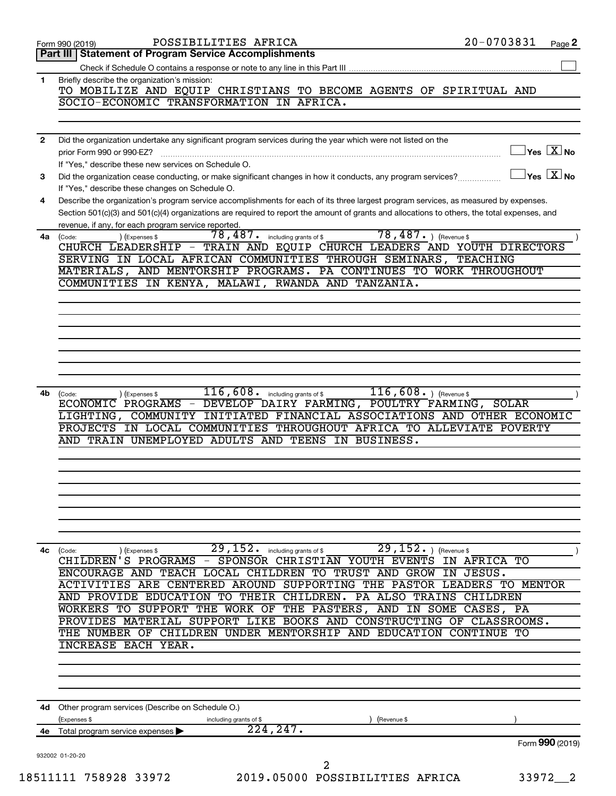|    | POSSIBILITIES AFRICA<br>Form 990 (2019)                                                                                                                                                             | 20-0703831<br>Page 2                           |
|----|-----------------------------------------------------------------------------------------------------------------------------------------------------------------------------------------------------|------------------------------------------------|
|    | <b>Statement of Program Service Accomplishments</b><br>Part III                                                                                                                                     |                                                |
| 1  | Check if Schedule O contains a response or note to any line in this Part III<br>Briefly describe the organization's mission:                                                                        |                                                |
|    | TO MOBILIZE AND EQUIP CHRISTIANS TO BECOME AGENTS OF SPIRITUAL AND                                                                                                                                  |                                                |
|    | SOCIO-ECONOMIC TRANSFORMATION IN AFRICA.                                                                                                                                                            |                                                |
|    |                                                                                                                                                                                                     |                                                |
| 2  | Did the organization undertake any significant program services during the year which were not listed on the                                                                                        |                                                |
|    | prior Form 990 or 990-EZ?<br>If "Yes," describe these new services on Schedule O.                                                                                                                   | $\overline{\ }$ Yes $\overline{\ \ \ }$ No     |
| 3  | Did the organization cease conducting, or make significant changes in how it conducts, any program services?                                                                                        | $\overline{\ }$ Yes $\overline{\ \text{X}}$ No |
|    | If "Yes," describe these changes on Schedule O.                                                                                                                                                     |                                                |
| 4  | Describe the organization's program service accomplishments for each of its three largest program services, as measured by expenses.                                                                |                                                |
|    | Section 501(c)(3) and 501(c)(4) organizations are required to report the amount of grants and allocations to others, the total expenses, and<br>revenue, if any, for each program service reported. |                                                |
| 4a | 78, 487. ) (Revenue \$<br>$\overline{78}$ , $\overline{487}$ . including grants of \$<br>(Code:<br>(Expenses \$                                                                                     |                                                |
|    | CHURCH LEADERSHIP - TRAIN AND EQUIP CHURCH LEADERS AND YOUTH DIRECTORS                                                                                                                              |                                                |
|    | SERVING IN LOCAL AFRICAN COMMUNITIES THROUGH SEMINARS, TEACHING                                                                                                                                     |                                                |
|    | MATERIALS, AND MENTORSHIP PROGRAMS. PA CONTINUES TO WORK THROUGHOUT<br>COMMUNITIES IN KENYA, MALAWI, RWANDA AND TANZANIA.                                                                           |                                                |
|    |                                                                                                                                                                                                     |                                                |
|    |                                                                                                                                                                                                     |                                                |
|    |                                                                                                                                                                                                     |                                                |
|    |                                                                                                                                                                                                     |                                                |
|    |                                                                                                                                                                                                     |                                                |
|    |                                                                                                                                                                                                     |                                                |
|    |                                                                                                                                                                                                     |                                                |
| 4b | 116,608. $ $ (Revenue \$<br>116,608.<br>including grants of \$<br>(Expenses \$<br>(Code:                                                                                                            |                                                |
|    | ECONOMIC PROGRAMS - DEVELOP DAIRY FARMING, POULTRY FARMING, SOLAR<br>LIGHTING, COMMUNITY INITIATED FINANCIAL ASSOCIATIONS AND OTHER ECONOMIC                                                        |                                                |
|    | PROJECTS IN LOCAL COMMUNITIES THROUGHOUT AFRICA TO ALLEVIATE POVERTY                                                                                                                                |                                                |
|    | AND TRAIN UNEMPLOYED ADULTS AND TEENS IN BUSINESS.                                                                                                                                                  |                                                |
|    |                                                                                                                                                                                                     |                                                |
|    |                                                                                                                                                                                                     |                                                |
|    |                                                                                                                                                                                                     |                                                |
|    |                                                                                                                                                                                                     |                                                |
|    |                                                                                                                                                                                                     |                                                |
|    |                                                                                                                                                                                                     |                                                |
|    |                                                                                                                                                                                                     |                                                |
| 4с | 29,152.<br>29,152.<br>including grants of \$<br>(Code:<br>(Expenses \$<br>CHILDREN'S PROGRAMS - SPONSOR CHRISTIAN YOUTH EVENTS IN AFRICA TO                                                         | (Revenue \$                                    |
|    | ENCOURAGE AND TEACH LOCAL CHILDREN TO TRUST AND GROW IN JESUS.                                                                                                                                      |                                                |
|    | ACTIVITIES ARE CENTERED AROUND SUPPORTING THE PASTOR LEADERS TO MENTOR                                                                                                                              |                                                |
|    | AND PROVIDE EDUCATION TO THEIR CHILDREN. PA ALSO TRAINS CHILDREN                                                                                                                                    |                                                |
|    | WORKERS TO SUPPORT THE WORK OF THE PASTERS, AND IN SOME CASES, PA                                                                                                                                   |                                                |
|    | PROVIDES MATERIAL SUPPORT LIKE BOOKS AND CONSTRUCTING OF CLASSROOMS.<br>THE NUMBER OF CHILDREN UNDER MENTORSHIP AND EDUCATION CONTINUE TO                                                           |                                                |
|    | <b>INCREASE EACH YEAR.</b>                                                                                                                                                                          |                                                |
|    |                                                                                                                                                                                                     |                                                |
|    |                                                                                                                                                                                                     |                                                |
|    |                                                                                                                                                                                                     |                                                |
|    | 4d Other program services (Describe on Schedule O.)                                                                                                                                                 |                                                |
|    | (Expenses \$<br>(Revenue \$<br>including grants of \$                                                                                                                                               |                                                |
|    | 224, 247.<br>4e Total program service expenses                                                                                                                                                      |                                                |
|    |                                                                                                                                                                                                     | Form 990 (2019)                                |
|    | 932002 01-20-20<br>2                                                                                                                                                                                |                                                |
|    | 18511111 758928 33972<br>2019.05000 POSSIBILITIES AFRICA                                                                                                                                            | 33972                                          |
|    |                                                                                                                                                                                                     |                                                |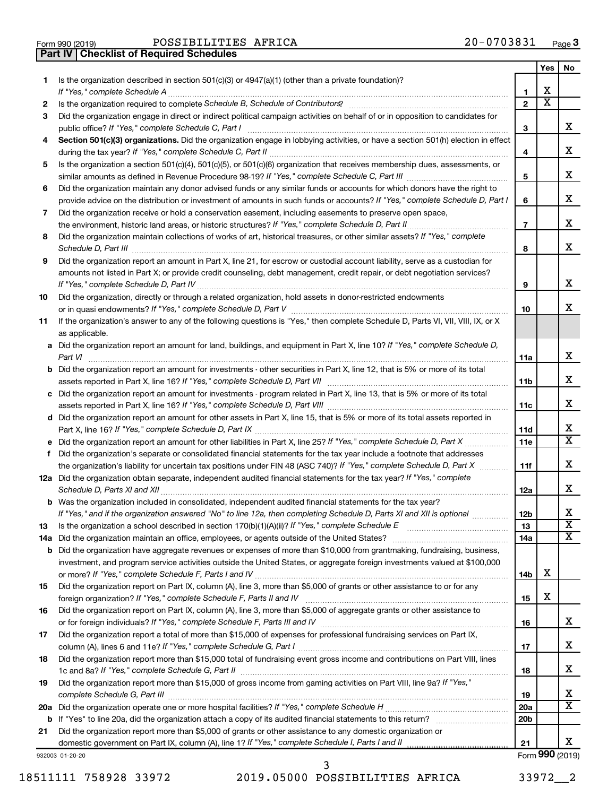| Form 990 (2019) |  |
|-----------------|--|
|                 |  |

Form 990 (2019)  $\qquad \qquad \text{POSSIBILITIES AFRICA}$   $20-0703831$   $_{\text{Page}}$ **Part IV Checklist of Required Schedules**

|     |                                                                                                                                                                 |                 | Yes | No                      |
|-----|-----------------------------------------------------------------------------------------------------------------------------------------------------------------|-----------------|-----|-------------------------|
| 1.  | Is the organization described in section 501(c)(3) or 4947(a)(1) (other than a private foundation)?                                                             |                 |     |                         |
|     |                                                                                                                                                                 | 1               | X   |                         |
| 2   | Is the organization required to complete Schedule B, Schedule of Contributors? [11] The organization required to complete Schedule B, Schedule of Contributors? | $\overline{2}$  | x   |                         |
| З   | Did the organization engage in direct or indirect political campaign activities on behalf of or in opposition to candidates for                                 |                 |     |                         |
|     |                                                                                                                                                                 | 3               |     | x                       |
|     | Section 501(c)(3) organizations. Did the organization engage in lobbying activities, or have a section 501(h) election in effect                                |                 |     |                         |
|     |                                                                                                                                                                 | 4               |     | x                       |
| 5   | Is the organization a section 501(c)(4), 501(c)(5), or 501(c)(6) organization that receives membership dues, assessments, or                                    |                 |     |                         |
|     |                                                                                                                                                                 | 5               |     | x                       |
| 6   | Did the organization maintain any donor advised funds or any similar funds or accounts for which donors have the right to                                       |                 |     |                         |
|     | provide advice on the distribution or investment of amounts in such funds or accounts? If "Yes," complete Schedule D, Part I                                    | 6               |     | х                       |
| 7   | Did the organization receive or hold a conservation easement, including easements to preserve open space,                                                       | $\overline{7}$  |     | x                       |
|     | Did the organization maintain collections of works of art, historical treasures, or other similar assets? If "Yes," complete                                    |                 |     |                         |
| 8   |                                                                                                                                                                 |                 |     |                         |
|     | Did the organization report an amount in Part X, line 21, for escrow or custodial account liability, serve as a custodian for                                   |                 |     | x                       |
| 9   |                                                                                                                                                                 |                 |     |                         |
|     | amounts not listed in Part X; or provide credit counseling, debt management, credit repair, or debt negotiation services?                                       | 9               |     | x                       |
| 10  | Did the organization, directly or through a related organization, hold assets in donor-restricted endowments                                                    |                 |     |                         |
|     |                                                                                                                                                                 | 10              |     | x                       |
| 11  |                                                                                                                                                                 |                 |     |                         |
|     | If the organization's answer to any of the following questions is "Yes," then complete Schedule D, Parts VI, VII, VIII, IX, or X<br>as applicable.              |                 |     |                         |
|     | a Did the organization report an amount for land, buildings, and equipment in Part X, line 10? If "Yes," complete Schedule D,                                   |                 |     |                         |
|     |                                                                                                                                                                 | 11a             |     | x                       |
|     | <b>b</b> Did the organization report an amount for investments - other securities in Part X, line 12, that is 5% or more of its total                           |                 |     |                         |
|     | assets reported in Part X, line 16? If "Yes," complete Schedule D, Part VII [11] [11] [12] [12] [12] [12] [13] [                                                | 11 <sub>b</sub> |     | х                       |
|     | c Did the organization report an amount for investments - program related in Part X, line 13, that is 5% or more of its total                                   |                 |     |                         |
|     |                                                                                                                                                                 | 11c             |     | x                       |
|     | d Did the organization report an amount for other assets in Part X, line 15, that is 5% or more of its total assets reported in                                 |                 |     |                         |
|     |                                                                                                                                                                 | 11d             |     | х                       |
|     |                                                                                                                                                                 | 11e             |     | $\overline{\texttt{X}}$ |
| f   | Did the organization's separate or consolidated financial statements for the tax year include a footnote that addresses                                         |                 |     |                         |
|     | the organization's liability for uncertain tax positions under FIN 48 (ASC 740)? If "Yes," complete Schedule D, Part X                                          | 11f             |     | х                       |
|     | 12a Did the organization obtain separate, independent audited financial statements for the tax year? If "Yes," complete                                         |                 |     |                         |
|     |                                                                                                                                                                 | 12a             |     | x                       |
|     | b Was the organization included in consolidated, independent audited financial statements for the tax year?                                                     |                 |     |                         |
|     | If "Yes," and if the organization answered "No" to line 12a, then completing Schedule D, Parts XI and XII is optional                                           | 12 <sub>b</sub> |     | X                       |
| 13  |                                                                                                                                                                 | 13              |     | $\overline{\textbf{x}}$ |
| 14a |                                                                                                                                                                 | 14a             |     | $\overline{\mathbf{X}}$ |
|     | <b>b</b> Did the organization have aggregate revenues or expenses of more than \$10,000 from grantmaking, fundraising, business,                                |                 |     |                         |
|     | investment, and program service activities outside the United States, or aggregate foreign investments valued at \$100,000                                      |                 |     |                         |
|     |                                                                                                                                                                 | 14b             | х   |                         |
| 15  | Did the organization report on Part IX, column (A), line 3, more than \$5,000 of grants or other assistance to or for any                                       |                 |     |                         |
|     |                                                                                                                                                                 | 15              | х   |                         |
| 16  | Did the organization report on Part IX, column (A), line 3, more than \$5,000 of aggregate grants or other assistance to                                        |                 |     |                         |
|     |                                                                                                                                                                 | 16              |     | x                       |
| 17  | Did the organization report a total of more than \$15,000 of expenses for professional fundraising services on Part IX,                                         |                 |     |                         |
|     |                                                                                                                                                                 | 17              |     | x                       |
| 18  | Did the organization report more than \$15,000 total of fundraising event gross income and contributions on Part VIII, lines                                    |                 |     |                         |
|     |                                                                                                                                                                 | 18              |     | х                       |
| 19  | Did the organization report more than \$15,000 of gross income from gaming activities on Part VIII, line 9a? If "Yes,"                                          |                 |     |                         |
|     |                                                                                                                                                                 | 19              |     | х                       |
|     |                                                                                                                                                                 | 20a             |     | X                       |
|     |                                                                                                                                                                 | 20 <sub>b</sub> |     |                         |
| 21  | Did the organization report more than \$5,000 of grants or other assistance to any domestic organization or                                                     |                 |     | x                       |
|     |                                                                                                                                                                 | 21              |     | Form 990 (2019)         |
|     | 932003 01-20-20                                                                                                                                                 |                 |     |                         |

18511111 758928 33972 2019.05000 POSSIBILITIES AFRICA 33972\_\_2

3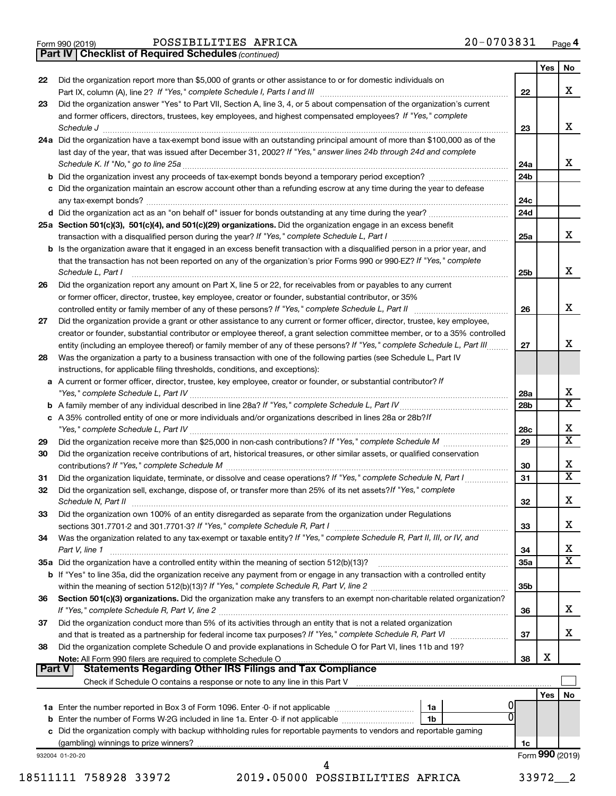|  | Form 990 (2019) |  |
|--|-----------------|--|
|  |                 |  |

Form 990 (2019)  $\qquad \qquad \text{POSSIBILITIES AFRICA}$   $20-0703831$   $_{\text{Page}}$ 

*(continued)* **Part IV Checklist of Required Schedules**

|    |                                                                                                                                                                 |                        | Yes | No                          |
|----|-----------------------------------------------------------------------------------------------------------------------------------------------------------------|------------------------|-----|-----------------------------|
| 22 | Did the organization report more than \$5,000 of grants or other assistance to or for domestic individuals on                                                   | 22                     |     | х                           |
| 23 | Did the organization answer "Yes" to Part VII, Section A, line 3, 4, or 5 about compensation of the organization's current                                      |                        |     |                             |
|    | and former officers, directors, trustees, key employees, and highest compensated employees? If "Yes," complete                                                  |                        |     |                             |
|    | Schedule J                                                                                                                                                      | 23                     |     | х                           |
|    | 24a Did the organization have a tax-exempt bond issue with an outstanding principal amount of more than \$100,000 as of the                                     |                        |     |                             |
|    | last day of the year, that was issued after December 31, 2002? If "Yes," answer lines 24b through 24d and complete                                              |                        |     |                             |
|    |                                                                                                                                                                 | 24a                    |     | x                           |
|    |                                                                                                                                                                 | 24b                    |     |                             |
|    | c Did the organization maintain an escrow account other than a refunding escrow at any time during the year to defease                                          |                        |     |                             |
|    |                                                                                                                                                                 | 24c                    |     |                             |
|    |                                                                                                                                                                 | 24d                    |     |                             |
|    | 25a Section 501(c)(3), 501(c)(4), and 501(c)(29) organizations. Did the organization engage in an excess benefit                                                |                        |     |                             |
|    |                                                                                                                                                                 | 25a                    |     | х                           |
|    | <b>b</b> Is the organization aware that it engaged in an excess benefit transaction with a disqualified person in a prior year, and                             |                        |     |                             |
|    | that the transaction has not been reported on any of the organization's prior Forms 990 or 990-EZ? If "Yes," complete                                           |                        |     |                             |
|    | Schedule L, Part I                                                                                                                                              | 25b                    |     | х                           |
| 26 | Did the organization report any amount on Part X, line 5 or 22, for receivables from or payables to any current                                                 |                        |     |                             |
|    | or former officer, director, trustee, key employee, creator or founder, substantial contributor, or 35%                                                         |                        |     |                             |
|    | controlled entity or family member of any of these persons? If "Yes," complete Schedule L, Part II                                                              | 26                     |     | х                           |
| 27 | Did the organization provide a grant or other assistance to any current or former officer, director, trustee, key employee,                                     |                        |     |                             |
|    | creator or founder, substantial contributor or employee thereof, a grant selection committee member, or to a 35% controlled                                     |                        |     |                             |
|    | entity (including an employee thereof) or family member of any of these persons? If "Yes," complete Schedule L, Part III.                                       | 27                     |     | х                           |
| 28 | Was the organization a party to a business transaction with one of the following parties (see Schedule L, Part IV                                               |                        |     |                             |
|    | instructions, for applicable filing thresholds, conditions, and exceptions):                                                                                    |                        |     |                             |
|    | a A current or former officer, director, trustee, key employee, creator or founder, or substantial contributor? If                                              |                        |     | x                           |
|    |                                                                                                                                                                 | 28a<br>28 <sub>b</sub> |     | $\overline{\text{x}}$       |
|    |                                                                                                                                                                 |                        |     |                             |
|    | c A 35% controlled entity of one or more individuals and/or organizations described in lines 28a or 28b?If                                                      | 28c                    |     | x                           |
| 29 |                                                                                                                                                                 | 29                     |     | $\overline{\textbf{x}}$     |
| 30 | Did the organization receive contributions of art, historical treasures, or other similar assets, or qualified conservation                                     |                        |     |                             |
|    |                                                                                                                                                                 | 30                     |     | x                           |
| 31 | Did the organization liquidate, terminate, or dissolve and cease operations? If "Yes," complete Schedule N, Part I                                              | 31                     |     | $\overline{\textnormal{x}}$ |
| 32 | Did the organization sell, exchange, dispose of, or transfer more than 25% of its net assets? If "Yes," complete                                                |                        |     |                             |
|    | Schedule N, Part II                                                                                                                                             | 32                     |     | х                           |
| 33 | Did the organization own 100% of an entity disregarded as separate from the organization under Regulations                                                      |                        |     |                             |
|    | sections 301.7701-2 and 301.7701-3? If "Yes," complete Schedule R, Part I                                                                                       | 33                     |     | х                           |
| 34 | Was the organization related to any tax-exempt or taxable entity? If "Yes," complete Schedule R, Part II, III, or IV, and                                       |                        |     |                             |
|    | Part V, line 1                                                                                                                                                  | 34                     |     | х                           |
|    | 35a Did the organization have a controlled entity within the meaning of section 512(b)(13)?                                                                     | 35a                    |     | $\overline{\mathbf{X}}$     |
|    | <b>b</b> If "Yes" to line 35a, did the organization receive any payment from or engage in any transaction with a controlled entity                              |                        |     |                             |
|    |                                                                                                                                                                 | 35 <sub>b</sub>        |     |                             |
| 36 | Section 501(c)(3) organizations. Did the organization make any transfers to an exempt non-charitable related organization?                                      |                        |     |                             |
|    |                                                                                                                                                                 | 36                     |     | х                           |
| 37 | Did the organization conduct more than 5% of its activities through an entity that is not a related organization                                                |                        |     |                             |
|    |                                                                                                                                                                 | 37                     |     | x                           |
| 38 | Did the organization complete Schedule O and provide explanations in Schedule O for Part VI, lines 11b and 19?                                                  |                        |     |                             |
|    | Note: All Form 990 filers are required to complete Schedule O.                                                                                                  | 38                     | х   |                             |
|    | <b>Part V</b><br><b>Statements Regarding Other IRS Filings and Tax Compliance</b>                                                                               |                        |     |                             |
|    | Check if Schedule O contains a response or note to any line in this Part V [11] [12] Check if Schedule O contains a response or note to any line in this Part V |                        |     |                             |
|    | 0                                                                                                                                                               |                        | Yes | No                          |
|    | <b>1a</b> Enter the number reported in Box 3 of Form 1096. Enter -0- if not applicable <i>manumumumum</i><br>1a<br>1 <sub>b</sub>                               |                        |     |                             |
|    | c Did the organization comply with backup withholding rules for reportable payments to vendors and reportable gaming                                            |                        |     |                             |
|    |                                                                                                                                                                 | 1c                     |     |                             |
|    | 932004 01-20-20                                                                                                                                                 |                        |     | Form 990 (2019)             |
|    | 4                                                                                                                                                               |                        |     |                             |

18511111 758928 33972 2019.05000 POSSIBILITIES AFRICA 33972\_\_2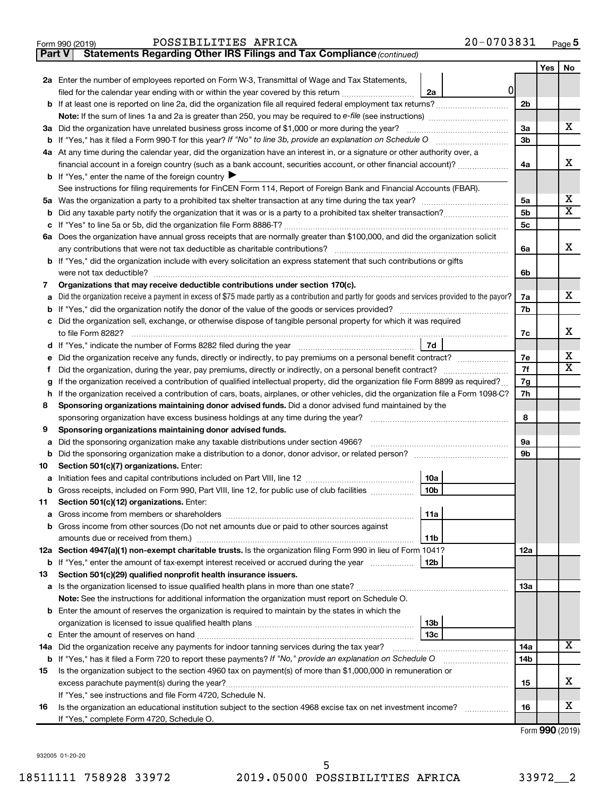| Form 990 (2019) | POSSIBILITIES AFRICA | $-0703831$<br>$20 -$<br>Page |
|-----------------|----------------------|------------------------------|
|-----------------|----------------------|------------------------------|

|               | 20-0703831<br>POSSIBILITIES AFRICA<br>Form 990 (2019)                                                                                                                                                                                      |                 | Page 5                       |                         |
|---------------|--------------------------------------------------------------------------------------------------------------------------------------------------------------------------------------------------------------------------------------------|-----------------|------------------------------|-------------------------|
| <b>Part V</b> | Statements Regarding Other IRS Filings and Tax Compliance (continued)                                                                                                                                                                      |                 |                              |                         |
|               |                                                                                                                                                                                                                                            |                 | Yes<br>No                    |                         |
|               | 2a Enter the number of employees reported on Form W-3, Transmittal of Wage and Tax Statements,                                                                                                                                             |                 |                              |                         |
|               | $\overline{0}$<br>filed for the calendar year ending with or within the year covered by this return <i>manumumumum</i><br>2a                                                                                                               |                 |                              |                         |
|               | <b>b</b> If at least one is reported on line 2a, did the organization file all required federal employment tax returns?                                                                                                                    | 2 <sub>b</sub>  |                              |                         |
|               |                                                                                                                                                                                                                                            |                 |                              |                         |
|               | 3a Did the organization have unrelated business gross income of \$1,000 or more during the year?                                                                                                                                           | 3a              | x                            |                         |
| b             |                                                                                                                                                                                                                                            | 3 <sub>b</sub>  |                              |                         |
|               | 4a At any time during the calendar year, did the organization have an interest in, or a signature or other authority over, a                                                                                                               |                 |                              |                         |
|               | financial account in a foreign country (such as a bank account, securities account, or other financial account)?                                                                                                                           | 4a              | x                            |                         |
|               | <b>b</b> If "Yes," enter the name of the foreign country $\blacktriangleright$                                                                                                                                                             |                 |                              |                         |
|               | See instructions for filing requirements for FinCEN Form 114, Report of Foreign Bank and Financial Accounts (FBAR).                                                                                                                        |                 |                              |                         |
|               |                                                                                                                                                                                                                                            | 5a              | х<br>$\overline{\mathbf{x}}$ |                         |
| b             |                                                                                                                                                                                                                                            | 5b              |                              |                         |
| с             |                                                                                                                                                                                                                                            | 5c              |                              |                         |
|               | 6a Does the organization have annual gross receipts that are normally greater than \$100,000, and did the organization solicit                                                                                                             |                 |                              |                         |
|               |                                                                                                                                                                                                                                            | 6a              | x                            |                         |
|               | <b>b</b> If "Yes," did the organization include with every solicitation an express statement that such contributions or gifts                                                                                                              |                 |                              |                         |
|               |                                                                                                                                                                                                                                            | 6b              |                              |                         |
| 7             | Organizations that may receive deductible contributions under section 170(c).                                                                                                                                                              |                 | x                            |                         |
| a             | Did the organization receive a payment in excess of \$75 made partly as a contribution and partly for goods and services provided to the payor?                                                                                            | 7a              |                              |                         |
| b             |                                                                                                                                                                                                                                            | 7b              |                              |                         |
|               | c Did the organization sell, exchange, or otherwise dispose of tangible personal property for which it was required                                                                                                                        |                 | x                            |                         |
|               |                                                                                                                                                                                                                                            | 7c              |                              |                         |
|               | 7d                                                                                                                                                                                                                                         |                 | х                            |                         |
| е             | Did the organization receive any funds, directly or indirectly, to pay premiums on a personal benefit contract?                                                                                                                            | 7e<br>7f        |                              | $\overline{\mathbf{x}}$ |
| f             | Did the organization, during the year, pay premiums, directly or indirectly, on a personal benefit contract?                                                                                                                               | 7g              |                              |                         |
| g             | If the organization received a contribution of qualified intellectual property, did the organization file Form 8899 as required?                                                                                                           | 7h              |                              |                         |
| h             | If the organization received a contribution of cars, boats, airplanes, or other vehicles, did the organization file a Form 1098-C?<br>Sponsoring organizations maintaining donor advised funds. Did a donor advised fund maintained by the |                 |                              |                         |
| 8             |                                                                                                                                                                                                                                            | 8               |                              |                         |
| 9             | Sponsoring organizations maintaining donor advised funds.                                                                                                                                                                                  |                 |                              |                         |
| а             | Did the sponsoring organization make any taxable distributions under section 4966?                                                                                                                                                         | 9а              |                              |                         |
| b             |                                                                                                                                                                                                                                            | 9b              |                              |                         |
| 10            | Section 501(c)(7) organizations. Enter:                                                                                                                                                                                                    |                 |                              |                         |
|               | 10a<br>a Initiation fees and capital contributions included on Part VIII, line 12 [111] [11] [12] [11] [12] [11] [12                                                                                                                       |                 |                              |                         |
|               | 10 <sub>b</sub>                                                                                                                                                                                                                            |                 |                              |                         |
| 11            | Section 501(c)(12) organizations. Enter:                                                                                                                                                                                                   |                 |                              |                         |
|               | 11a                                                                                                                                                                                                                                        |                 |                              |                         |
|               | <b>b</b> Gross income from other sources (Do not net amounts due or paid to other sources against                                                                                                                                          |                 |                              |                         |
|               | 11 <sub>b</sub>                                                                                                                                                                                                                            |                 |                              |                         |
|               | 12a Section 4947(a)(1) non-exempt charitable trusts. Is the organization filing Form 990 in lieu of Form 1041?                                                                                                                             | 12a             |                              |                         |
|               | b If "Yes," enter the amount of tax-exempt interest received or accrued during the year<br>12b                                                                                                                                             |                 |                              |                         |
| 13            | Section 501(c)(29) qualified nonprofit health insurance issuers.                                                                                                                                                                           |                 |                              |                         |
|               | a Is the organization licensed to issue qualified health plans in more than one state?                                                                                                                                                     | <b>13a</b>      |                              |                         |
|               | Note: See the instructions for additional information the organization must report on Schedule O.                                                                                                                                          |                 |                              |                         |
|               | <b>b</b> Enter the amount of reserves the organization is required to maintain by the states in which the                                                                                                                                  |                 |                              |                         |
|               | 13b                                                                                                                                                                                                                                        |                 |                              |                         |
|               | 13 <sub>c</sub>                                                                                                                                                                                                                            |                 |                              |                         |
| 14a           | Did the organization receive any payments for indoor tanning services during the tax year?                                                                                                                                                 | 14a             | X                            |                         |
| b             | If "Yes," has it filed a Form 720 to report these payments? If "No," provide an explanation on Schedule O                                                                                                                                  | 14 <sub>b</sub> |                              |                         |
| 15            | Is the organization subject to the section 4960 tax on payment(s) of more than \$1,000,000 in remuneration or                                                                                                                              |                 |                              |                         |
|               | excess parachute payment(s) during the year?                                                                                                                                                                                               | 15              | х                            |                         |
|               | If "Yes," see instructions and file Form 4720, Schedule N.                                                                                                                                                                                 |                 |                              |                         |
| 16            | Is the organization an educational institution subject to the section 4968 excise tax on net investment income?                                                                                                                            | 16              | х                            |                         |
|               | If "Yes," complete Form 4720, Schedule O.                                                                                                                                                                                                  |                 |                              |                         |
|               |                                                                                                                                                                                                                                            |                 | $Form$ QQQ (2010)            |                         |

Form (2019) **990**

932005 01-20-20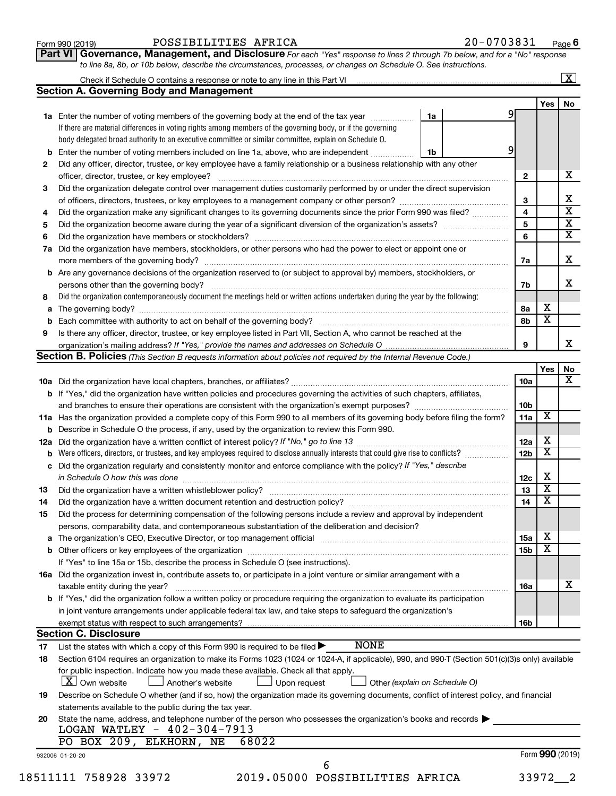| Form 990 (2019) |  |
|-----------------|--|
|-----------------|--|

### Form 990 (2019)  $\qquad \qquad \text{POSSIBILITIES AFRICA}$   $20-0703831$   $_{\text{Page}}$

**Part VI** Governance, Management, and Disclosure For each "Yes" response to lines 2 through 7b below, and for a "No" response *to line 8a, 8b, or 10b below, describe the circumstances, processes, or changes on Schedule O. See instructions.*

|     | Check if Schedule O contains a response or note to any line in this Part VI [1] [1] [1] [1] [1] [1] [1] [1] [1                                                                      |    |                 |                         | $\mathbf{X}$            |
|-----|-------------------------------------------------------------------------------------------------------------------------------------------------------------------------------------|----|-----------------|-------------------------|-------------------------|
|     | <b>Section A. Governing Body and Management</b>                                                                                                                                     |    |                 |                         |                         |
|     |                                                                                                                                                                                     |    |                 | Yes                     | No                      |
|     | 1a Enter the number of voting members of the governing body at the end of the tax year                                                                                              | 1a | 91              |                         |                         |
|     | If there are material differences in voting rights among members of the governing body, or if the governing                                                                         |    |                 |                         |                         |
|     | body delegated broad authority to an executive committee or similar committee, explain on Schedule O.                                                                               |    |                 |                         |                         |
| b   | Enter the number of voting members included on line 1a, above, who are independent                                                                                                  | 1b | 9               |                         |                         |
| 2   | Did any officer, director, trustee, or key employee have a family relationship or a business relationship with any other                                                            |    |                 |                         |                         |
|     | officer, director, trustee, or key employee?                                                                                                                                        |    | $\mathbf{2}$    |                         | x                       |
| 3   | Did the organization delegate control over management duties customarily performed by or under the direct supervision                                                               |    |                 |                         |                         |
|     |                                                                                                                                                                                     |    | 3               |                         | х                       |
| 4   | Did the organization make any significant changes to its governing documents since the prior Form 990 was filed?                                                                    |    | 4               |                         | $\overline{\textbf{x}}$ |
| 5   |                                                                                                                                                                                     |    | 5               |                         | $\overline{\textbf{X}}$ |
|     |                                                                                                                                                                                     |    | 6               |                         | $\overline{\textbf{x}}$ |
| 6   |                                                                                                                                                                                     |    |                 |                         |                         |
| 7a  | Did the organization have members, stockholders, or other persons who had the power to elect or appoint one or                                                                      |    |                 |                         |                         |
|     |                                                                                                                                                                                     |    | 7a              |                         | x                       |
| b   | Are any governance decisions of the organization reserved to (or subject to approval by) members, stockholders, or                                                                  |    |                 |                         |                         |
|     |                                                                                                                                                                                     |    | 7b              |                         | X                       |
| 8   | Did the organization contemporaneously document the meetings held or written actions undertaken during the year by the following:                                                   |    |                 |                         |                         |
| а   |                                                                                                                                                                                     |    | 8а              | х                       |                         |
| b   |                                                                                                                                                                                     |    | 8b              | $\overline{\mathbf{x}}$ |                         |
| 9   | Is there any officer, director, trustee, or key employee listed in Part VII, Section A, who cannot be reached at the                                                                |    |                 |                         |                         |
|     |                                                                                                                                                                                     |    | 9               |                         | x                       |
|     | <b>Section B. Policies</b> (This Section B requests information about policies not required by the Internal Revenue Code.)                                                          |    |                 |                         |                         |
|     |                                                                                                                                                                                     |    |                 | Yes                     | No                      |
|     |                                                                                                                                                                                     |    | 10a             |                         | x                       |
|     | <b>b</b> If "Yes," did the organization have written policies and procedures governing the activities of such chapters, affiliates,                                                 |    |                 |                         |                         |
|     |                                                                                                                                                                                     |    | 10 <sub>b</sub> |                         |                         |
|     |                                                                                                                                                                                     |    | 11a             | х                       |                         |
|     | 11a Has the organization provided a complete copy of this Form 990 to all members of its governing body before filing the form?                                                     |    |                 |                         |                         |
|     | <b>b</b> Describe in Schedule O the process, if any, used by the organization to review this Form 990.                                                                              |    |                 | х                       |                         |
| 12a |                                                                                                                                                                                     |    | 12a             |                         |                         |
| b   | Were officers, directors, or trustees, and key employees required to disclose annually interests that could give rise to conflicts?                                                 |    | 12 <sub>b</sub> | х                       |                         |
| с   | Did the organization regularly and consistently monitor and enforce compliance with the policy? If "Yes," describe                                                                  |    |                 |                         |                         |
|     |                                                                                                                                                                                     |    | 12c             | X                       |                         |
| 13  |                                                                                                                                                                                     |    | 13              | $\overline{\textbf{x}}$ |                         |
| 14  | Did the organization have a written document retention and destruction policy? [11] manufaction model of the organization have a written document retention and destruction policy? |    | 14              | $\overline{\mathbf{X}}$ |                         |
| 15  | Did the process for determining compensation of the following persons include a review and approval by independent                                                                  |    |                 |                         |                         |
|     | persons, comparability data, and contemporaneous substantiation of the deliberation and decision?                                                                                   |    |                 |                         |                         |
| а   |                                                                                                                                                                                     |    | 15a             | х                       |                         |
|     |                                                                                                                                                                                     |    | 15 <sub>b</sub> | х                       |                         |
|     | If "Yes" to line 15a or 15b, describe the process in Schedule O (see instructions).                                                                                                 |    |                 |                         |                         |
|     | 16a Did the organization invest in, contribute assets to, or participate in a joint venture or similar arrangement with a                                                           |    |                 |                         |                         |
|     |                                                                                                                                                                                     |    |                 |                         | х                       |
|     | taxable entity during the year?<br>b If "Yes," did the organization follow a written policy or procedure requiring the organization to evaluate its participation                   |    | 16a             |                         |                         |
|     |                                                                                                                                                                                     |    |                 |                         |                         |
|     | in joint venture arrangements under applicable federal tax law, and take steps to safeguard the organization's                                                                      |    |                 |                         |                         |
|     | exempt status with respect to such arrangements?                                                                                                                                    |    | 16b             |                         |                         |
|     | <b>Section C. Disclosure</b>                                                                                                                                                        |    |                 |                         |                         |
| 17  | <b>NONE</b><br>List the states with which a copy of this Form 990 is required to be filed $\blacktriangleright$                                                                     |    |                 |                         |                         |
| 18  | Section 6104 requires an organization to make its Forms 1023 (1024 or 1024-A, if applicable), 990, and 990-T (Section 501(c)(3)s only) available                                    |    |                 |                         |                         |
|     | for public inspection. Indicate how you made these available. Check all that apply.                                                                                                 |    |                 |                         |                         |
|     | <b>X</b> Own website<br>Upon request<br>Another's website<br>Other (explain on Schedule O)                                                                                          |    |                 |                         |                         |
| 19  | Describe on Schedule O whether (and if so, how) the organization made its governing documents, conflict of interest policy, and financial                                           |    |                 |                         |                         |
|     | statements available to the public during the tax year.                                                                                                                             |    |                 |                         |                         |
| 20  | State the name, address, and telephone number of the person who possesses the organization's books and records                                                                      |    |                 |                         |                         |
|     | LOGAN WATLEY - 402-304-7913                                                                                                                                                         |    |                 |                         |                         |
|     | PO BOX 209, ELKHORN, NE<br>68022                                                                                                                                                    |    |                 |                         |                         |
|     | 932006 01-20-20                                                                                                                                                                     |    |                 | Form 990 (2019)         |                         |
|     | 6                                                                                                                                                                                   |    |                 |                         |                         |
|     | 18511111 758928 33972<br>2019.05000 POSSIBILITIES AFRICA                                                                                                                            |    |                 | 33972_2                 |                         |
|     |                                                                                                                                                                                     |    |                 |                         |                         |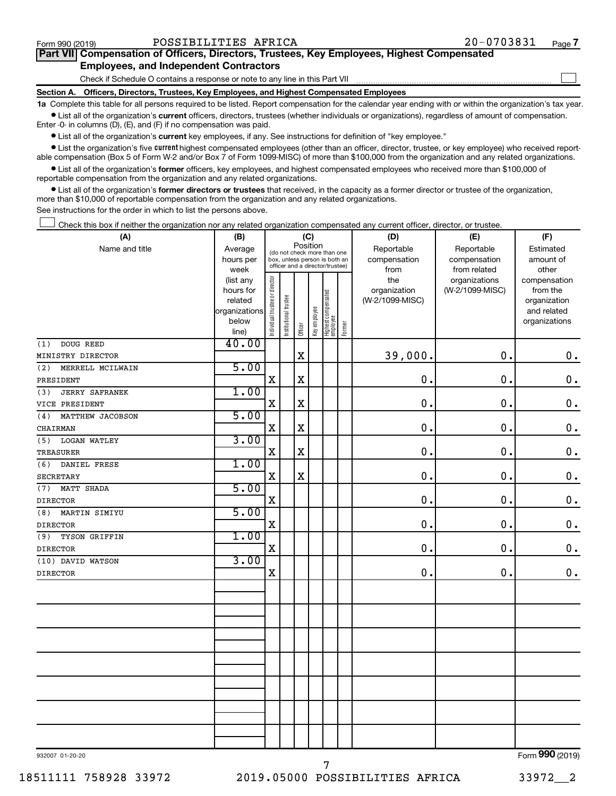$\Box$ 

| Part VII Compensation of Officers, Directors, Trustees, Key Employees, Highest Compensated |  |  |  |  |
|--------------------------------------------------------------------------------------------|--|--|--|--|
| <b>Employees, and Independent Contractors</b>                                              |  |  |  |  |

Check if Schedule O contains a response or note to any line in this Part VII

**Section A. Officers, Directors, Trustees, Key Employees, and Highest Compensated Employees**

**1a**  Complete this table for all persons required to be listed. Report compensation for the calendar year ending with or within the organization's tax year.  $\bullet$  List all of the organization's current officers, directors, trustees (whether individuals or organizations), regardless of amount of compensation.

Enter -0- in columns (D), (E), and (F) if no compensation was paid.

**•** List all of the organization's current key employees, if any. See instructions for definition of "key employee."

• List the organization's five *current* highest compensated employees (other than an officer, director, trustee, or key employee) who received reportable compensation (Box 5 of Form W-2 and/or Box 7 of Form 1099-MISC) of more than \$100,000 from the organization and any related organizations.

 $\bullet$  List all of the organization's former officers, key employees, and highest compensated employees who received more than \$100,000 of reportable compensation from the organization and any related organizations.

**•** List all of the organization's former directors or trustees that received, in the capacity as a former director or trustee of the organization, more than \$10,000 of reportable compensation from the organization and any related organizations.

See instructions for the order in which to list the persons above.

Check this box if neither the organization nor any related organization compensated any current officer, director, or trustee.  $\Box$ 

| (A)                          | (B)                      | (C)                                     |                                                                  |             |              |                                 |        | (D)                             | (E)             | (F)                         |  |  |
|------------------------------|--------------------------|-----------------------------------------|------------------------------------------------------------------|-------------|--------------|---------------------------------|--------|---------------------------------|-----------------|-----------------------------|--|--|
| Name and title               | Average                  | Position<br>(do not check more than one |                                                                  |             |              |                                 |        | Reportable                      | Reportable      | Estimated                   |  |  |
|                              | hours per                |                                         | box, unless person is both an<br>officer and a director/trustee) |             |              |                                 |        | compensation                    | compensation    | amount of                   |  |  |
|                              | week                     |                                         |                                                                  |             |              |                                 |        | from                            | from related    | other                       |  |  |
|                              | (list any                |                                         |                                                                  |             |              |                                 |        | the                             | organizations   | compensation                |  |  |
|                              | hours for                |                                         |                                                                  |             |              |                                 |        | organization<br>(W-2/1099-MISC) | (W-2/1099-MISC) | from the                    |  |  |
|                              | related<br>organizations |                                         |                                                                  |             |              |                                 |        |                                 |                 | organization<br>and related |  |  |
|                              | below                    |                                         |                                                                  |             |              |                                 |        |                                 |                 | organizations               |  |  |
|                              | line)                    | Individual trustee or director          | Institutional trustee                                            | Officer     | Key employee | Highest compensated<br>employee | Former |                                 |                 |                             |  |  |
| DOUG REED<br>(1)             | 40.00                    |                                         |                                                                  |             |              |                                 |        |                                 |                 |                             |  |  |
| MINISTRY DIRECTOR            |                          |                                         |                                                                  | $\mathbf X$ |              |                                 |        | 39,000.                         | 0.              | $\mathbf 0$ .               |  |  |
| MERRELL MCILWAIN<br>(2)      | 5.00                     |                                         |                                                                  |             |              |                                 |        |                                 |                 |                             |  |  |
| PRESIDENT                    |                          | $\mathbf X$                             |                                                                  | $\mathbf X$ |              |                                 |        | $\mathbf 0$ .                   | 0.              | $\mathbf 0$ .               |  |  |
| <b>JERRY SAFRANEK</b><br>(3) | 1.00                     |                                         |                                                                  |             |              |                                 |        |                                 |                 |                             |  |  |
| VICE PRESIDENT               |                          | $\mathbf X$                             |                                                                  | $\mathbf X$ |              |                                 |        | 0.                              | 0.              | $\mathbf 0$ .               |  |  |
| MATTHEW JACOBSON<br>(4)      | 5.00                     |                                         |                                                                  |             |              |                                 |        |                                 |                 |                             |  |  |
| CHAIRMAN                     |                          | $\mathbf X$                             |                                                                  | $\mathbf X$ |              |                                 |        | $\mathbf 0$ .                   | 0.              | $\mathbf 0$ .               |  |  |
| <b>LOGAN WATLEY</b><br>(5)   | 3.00                     |                                         |                                                                  |             |              |                                 |        |                                 |                 |                             |  |  |
| TREASURER                    |                          | X                                       |                                                                  | $\mathbf X$ |              |                                 |        | $\mathbf 0$ .                   | 0.              | $\mathbf 0$ .               |  |  |
| DANIEL FRESE<br>(6)          | 1.00                     |                                         |                                                                  |             |              |                                 |        |                                 |                 |                             |  |  |
| <b>SECRETARY</b>             |                          | $\mathbf X$                             |                                                                  | $\mathbf X$ |              |                                 |        | $\mathbf 0$ .                   | $\mathbf 0$ .   | $\mathbf 0$ .               |  |  |
| <b>MATT SHADA</b><br>(7)     | 5.00                     |                                         |                                                                  |             |              |                                 |        |                                 |                 |                             |  |  |
| <b>DIRECTOR</b>              |                          | X                                       |                                                                  |             |              |                                 |        | $\mathbf 0$ .                   | 0.              | $\mathbf 0$ .               |  |  |
| MARTIN SIMIYU<br>(8)         | 5.00                     |                                         |                                                                  |             |              |                                 |        |                                 |                 |                             |  |  |
| <b>DIRECTOR</b>              |                          | $\mathbf X$                             |                                                                  |             |              |                                 |        | 0.                              | $\mathbf 0$ .   | $\mathbf 0$ .               |  |  |
| TYSON GRIFFIN<br>(9)         | 1.00                     |                                         |                                                                  |             |              |                                 |        |                                 |                 |                             |  |  |
| <b>DIRECTOR</b>              |                          | $\mathbf X$                             |                                                                  |             |              |                                 |        | $\mathbf 0$ .                   | 0.              | $\mathbf 0$ .               |  |  |
| (10) DAVID WATSON            | 3.00                     |                                         |                                                                  |             |              |                                 |        |                                 |                 |                             |  |  |
| <b>DIRECTOR</b>              |                          | $\mathbf X$                             |                                                                  |             |              |                                 |        | 0.                              | 0.              | $\mathbf 0$ .               |  |  |
|                              |                          |                                         |                                                                  |             |              |                                 |        |                                 |                 |                             |  |  |
|                              |                          |                                         |                                                                  |             |              |                                 |        |                                 |                 |                             |  |  |
|                              |                          |                                         |                                                                  |             |              |                                 |        |                                 |                 |                             |  |  |
|                              |                          |                                         |                                                                  |             |              |                                 |        |                                 |                 |                             |  |  |
|                              |                          |                                         |                                                                  |             |              |                                 |        |                                 |                 |                             |  |  |
|                              |                          |                                         |                                                                  |             |              |                                 |        |                                 |                 |                             |  |  |
|                              |                          |                                         |                                                                  |             |              |                                 |        |                                 |                 |                             |  |  |
|                              |                          |                                         |                                                                  |             |              |                                 |        |                                 |                 |                             |  |  |
|                              |                          |                                         |                                                                  |             |              |                                 |        |                                 |                 |                             |  |  |
|                              |                          |                                         |                                                                  |             |              |                                 |        |                                 |                 |                             |  |  |
|                              |                          |                                         |                                                                  |             |              |                                 |        |                                 |                 |                             |  |  |
|                              |                          |                                         |                                                                  |             |              |                                 |        |                                 |                 |                             |  |  |
|                              |                          |                                         |                                                                  |             |              |                                 |        |                                 |                 |                             |  |  |
|                              |                          |                                         |                                                                  |             |              |                                 |        |                                 |                 | $\overline{on}$             |  |  |

932007 01-20-20

7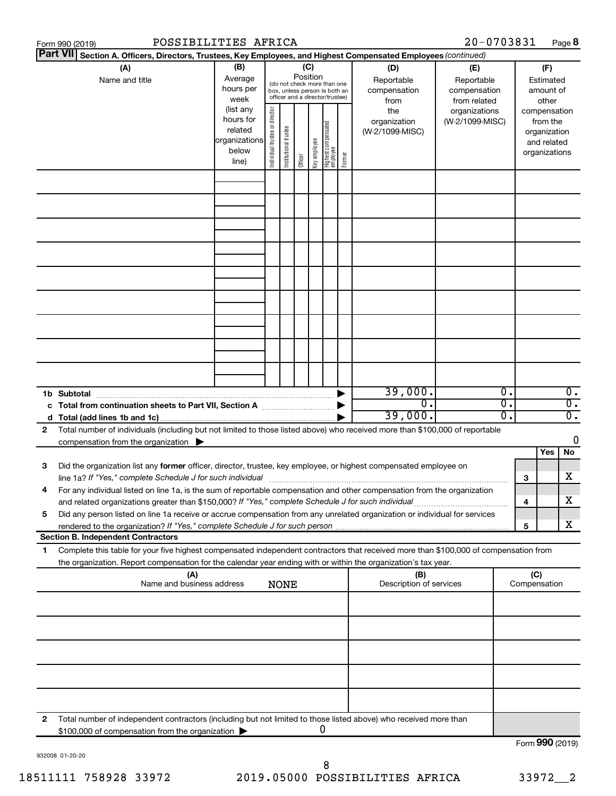|   | POSSIBILITIES AFRICA<br>Form 990 (2019)                                                                                                                                                                                                                |                                                         |                                |                       |          |              |                                                                                                 |        |                                                  | 20-0703831                                        |          |     |                                                          | Page 8                 |
|---|--------------------------------------------------------------------------------------------------------------------------------------------------------------------------------------------------------------------------------------------------------|---------------------------------------------------------|--------------------------------|-----------------------|----------|--------------|-------------------------------------------------------------------------------------------------|--------|--------------------------------------------------|---------------------------------------------------|----------|-----|----------------------------------------------------------|------------------------|
|   | <b>Part VII</b><br>Section A. Officers, Directors, Trustees, Key Employees, and Highest Compensated Employees (continued)                                                                                                                              |                                                         |                                |                       |          |              |                                                                                                 |        |                                                  |                                                   |          |     |                                                          |                        |
|   | (A)<br>Name and title                                                                                                                                                                                                                                  | (B)<br>Average<br>hours per<br>week<br>(list any        |                                |                       | Position | (C)          | (do not check more than one<br>box, unless person is both an<br>officer and a director/trustee) |        | (D)<br>Reportable<br>compensation<br>from<br>the | (E)<br>Reportable<br>compensation<br>from related |          |     | (F)<br>Estimated<br>amount of<br>other<br>compensation   |                        |
|   |                                                                                                                                                                                                                                                        | hours for<br>related<br>organizations<br>below<br>line) | Individual trustee or director | Institutional trustee | Officer  | Key employee | Highest compensated<br>  employee                                                               | Former | organization<br>(W-2/1099-MISC)                  | organizations<br>(W-2/1099-MISC)                  |          |     | from the<br>organization<br>and related<br>organizations |                        |
|   |                                                                                                                                                                                                                                                        |                                                         |                                |                       |          |              |                                                                                                 |        |                                                  |                                                   |          |     |                                                          |                        |
|   |                                                                                                                                                                                                                                                        |                                                         |                                |                       |          |              |                                                                                                 |        |                                                  |                                                   |          |     |                                                          |                        |
|   |                                                                                                                                                                                                                                                        |                                                         |                                |                       |          |              |                                                                                                 |        |                                                  |                                                   |          |     |                                                          |                        |
|   |                                                                                                                                                                                                                                                        |                                                         |                                |                       |          |              |                                                                                                 |        |                                                  |                                                   |          |     |                                                          |                        |
|   |                                                                                                                                                                                                                                                        |                                                         |                                |                       |          |              |                                                                                                 |        |                                                  |                                                   |          |     |                                                          |                        |
|   |                                                                                                                                                                                                                                                        |                                                         |                                |                       |          |              |                                                                                                 |        |                                                  |                                                   |          |     |                                                          |                        |
|   |                                                                                                                                                                                                                                                        |                                                         |                                |                       |          |              |                                                                                                 |        |                                                  |                                                   |          |     |                                                          |                        |
|   |                                                                                                                                                                                                                                                        |                                                         |                                |                       |          |              |                                                                                                 |        |                                                  |                                                   |          |     |                                                          |                        |
|   | 1b Subtotal                                                                                                                                                                                                                                            |                                                         |                                |                       |          |              |                                                                                                 |        | 39,000.<br>$\overline{0}$ .                      |                                                   | 0.<br>σ. |     |                                                          | 0.<br>$\overline{0}$ . |
|   |                                                                                                                                                                                                                                                        |                                                         |                                |                       |          |              |                                                                                                 |        | 39,000.                                          |                                                   | σ.       |     |                                                          | σ.                     |
| 2 | Total number of individuals (including but not limited to those listed above) who received more than \$100,000 of reportable<br>compensation from the organization $\blacktriangleright$                                                               |                                                         |                                |                       |          |              |                                                                                                 |        |                                                  |                                                   |          |     |                                                          | 0                      |
| З | Did the organization list any former officer, director, trustee, key employee, or highest compensated employee on                                                                                                                                      |                                                         |                                |                       |          |              |                                                                                                 |        |                                                  |                                                   |          |     | Yes                                                      | No                     |
|   | line 1a? If "Yes," complete Schedule J for such individual                                                                                                                                                                                             |                                                         |                                |                       |          |              |                                                                                                 |        |                                                  |                                                   |          | З   |                                                          | x.                     |
| 4 | For any individual listed on line 1a, is the sum of reportable compensation and other compensation from the organization<br>and related organizations greater than \$150,000? If "Yes," complete Schedule J for such individual                        |                                                         |                                |                       |          |              |                                                                                                 |        |                                                  |                                                   |          | 4   |                                                          | х                      |
| 5 | Did any person listed on line 1a receive or accrue compensation from any unrelated organization or individual for services                                                                                                                             |                                                         |                                |                       |          |              |                                                                                                 |        |                                                  |                                                   |          | 5   |                                                          | x                      |
|   | <b>Section B. Independent Contractors</b>                                                                                                                                                                                                              |                                                         |                                |                       |          |              |                                                                                                 |        |                                                  |                                                   |          |     |                                                          |                        |
| 1 | Complete this table for your five highest compensated independent contractors that received more than \$100,000 of compensation from<br>the organization. Report compensation for the calendar year ending with or within the organization's tax year. |                                                         |                                |                       |          |              |                                                                                                 |        |                                                  |                                                   |          |     |                                                          |                        |
|   | (A)<br>Name and business address                                                                                                                                                                                                                       |                                                         |                                | <b>NONE</b>           |          |              |                                                                                                 |        | (B)<br>Description of services                   |                                                   |          | (C) | Compensation                                             |                        |
|   |                                                                                                                                                                                                                                                        |                                                         |                                |                       |          |              |                                                                                                 |        |                                                  |                                                   |          |     |                                                          |                        |
|   |                                                                                                                                                                                                                                                        |                                                         |                                |                       |          |              |                                                                                                 |        |                                                  |                                                   |          |     |                                                          |                        |
|   |                                                                                                                                                                                                                                                        |                                                         |                                |                       |          |              |                                                                                                 |        |                                                  |                                                   |          |     |                                                          |                        |
|   |                                                                                                                                                                                                                                                        |                                                         |                                |                       |          |              |                                                                                                 |        |                                                  |                                                   |          |     |                                                          |                        |
| 2 | Total number of independent contractors (including but not limited to those listed above) who received more than                                                                                                                                       |                                                         |                                |                       |          |              | 0                                                                                               |        |                                                  |                                                   |          |     |                                                          |                        |
|   | \$100,000 of compensation from the organization                                                                                                                                                                                                        |                                                         |                                |                       |          |              |                                                                                                 |        |                                                  |                                                   |          |     | Form 990 (2019)                                          |                        |

932008 01-20-20

18511111 758928 33972 2019.05000 POSSIBILITIES AFRICA 33972\_\_2 8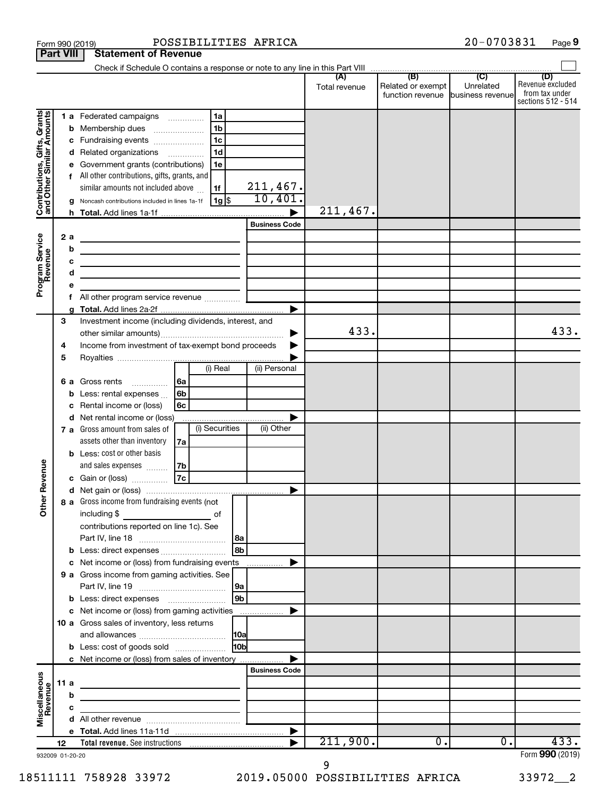|                                                           | <b>Part VIII</b> | <b>Statement of Revenue</b>                                                |                                                   |                      |               |                                                        |                |                                                          |
|-----------------------------------------------------------|------------------|----------------------------------------------------------------------------|---------------------------------------------------|----------------------|---------------|--------------------------------------------------------|----------------|----------------------------------------------------------|
|                                                           |                  |                                                                            |                                                   |                      | (A)           | (B)                                                    | $\overline{C}$ | (D)                                                      |
|                                                           |                  |                                                                            |                                                   |                      | Total revenue | Related or exempt<br>function revenue business revenue | Unrelated      | Revenue excluded<br>from tax under<br>sections 512 - 514 |
|                                                           |                  | 1 a Federated campaigns                                                    | 1a                                                |                      |               |                                                        |                |                                                          |
| Contributions, Gifts, Grants<br>and Other Similar Amounts | b                | Membership dues                                                            | 1 <sub>b</sub>                                    |                      |               |                                                        |                |                                                          |
|                                                           | с                | Fundraising events                                                         | l 1c                                              |                      |               |                                                        |                |                                                          |
|                                                           |                  | d Related organizations                                                    | 1 <sub>d</sub><br>$\overline{\phantom{a}}$        |                      |               |                                                        |                |                                                          |
|                                                           |                  | Government grants (contributions)                                          | 1e                                                |                      |               |                                                        |                |                                                          |
|                                                           |                  | All other contributions, gifts, grants, and                                |                                                   |                      |               |                                                        |                |                                                          |
|                                                           |                  | similar amounts not included above                                         | 1f                                                | 211,467.             |               |                                                        |                |                                                          |
|                                                           | g                | Noncash contributions included in lines 1a-1f                              | l 1g  \$                                          | 10,401.              |               |                                                        |                |                                                          |
|                                                           |                  |                                                                            |                                                   |                      | 211,467.      |                                                        |                |                                                          |
|                                                           |                  |                                                                            |                                                   | <b>Business Code</b> |               |                                                        |                |                                                          |
|                                                           | 2a               | the control of the control of the control of the control of the control of |                                                   |                      |               |                                                        |                |                                                          |
|                                                           | b                | <u> 1989 - Johann Barbara, martxa alemaniar a</u>                          |                                                   |                      |               |                                                        |                |                                                          |
|                                                           | c                | the control of the control of the control of the control of the control of |                                                   |                      |               |                                                        |                |                                                          |
|                                                           | d                | the control of the control of the control of the control of the control of |                                                   |                      |               |                                                        |                |                                                          |
| Program Service<br>Revenue                                |                  |                                                                            |                                                   |                      |               |                                                        |                |                                                          |
|                                                           | f                |                                                                            |                                                   |                      |               |                                                        |                |                                                          |
|                                                           |                  |                                                                            |                                                   | ▶                    |               |                                                        |                |                                                          |
|                                                           | 3                | Investment income (including dividends, interest, and                      |                                                   |                      |               |                                                        |                |                                                          |
|                                                           |                  |                                                                            |                                                   |                      | 433.          |                                                        |                | 433.                                                     |
|                                                           | 4                | Income from investment of tax-exempt bond proceeds                         |                                                   |                      |               |                                                        |                |                                                          |
|                                                           | 5                |                                                                            |                                                   |                      |               |                                                        |                |                                                          |
|                                                           |                  |                                                                            | (i) Real                                          | (ii) Personal        |               |                                                        |                |                                                          |
|                                                           |                  | 6 a Gross rents<br>.                                                       | 6a                                                |                      |               |                                                        |                |                                                          |
|                                                           | b                | Less: rental expenses                                                      | 6b                                                |                      |               |                                                        |                |                                                          |
|                                                           | с                | Rental income or (loss)                                                    | 6с                                                |                      |               |                                                        |                |                                                          |
|                                                           |                  | d Net rental income or (loss)                                              |                                                   |                      |               |                                                        |                |                                                          |
|                                                           |                  | 7 a Gross amount from sales of                                             | (i) Securities                                    | (ii) Other           |               |                                                        |                |                                                          |
|                                                           |                  | assets other than inventory                                                | 7a                                                |                      |               |                                                        |                |                                                          |
|                                                           |                  | <b>b</b> Less: cost or other basis                                         |                                                   |                      |               |                                                        |                |                                                          |
|                                                           |                  | and sales expenses                                                         | 7b                                                |                      |               |                                                        |                |                                                          |
| Revenue                                                   |                  | c Gain or (loss)                                                           | 7c                                                |                      |               |                                                        |                |                                                          |
|                                                           |                  |                                                                            |                                                   |                      |               |                                                        |                |                                                          |
| ৯                                                         |                  | 8 a Gross income from fundraising events (not                              |                                                   |                      |               |                                                        |                |                                                          |
| Ĕ                                                         |                  | including \$<br><u> 1990 - Johann Barbara, martin a</u>                    | of                                                |                      |               |                                                        |                |                                                          |
|                                                           |                  | contributions reported on line 1c). See                                    |                                                   |                      |               |                                                        |                |                                                          |
|                                                           |                  |                                                                            | l 8a                                              |                      |               |                                                        |                |                                                          |
|                                                           |                  | <b>b</b> Less: direct expenses <b>constants</b> b                          |                                                   | 8b                   |               |                                                        |                |                                                          |
|                                                           |                  | c Net income or (loss) from fundraising events                             |                                                   | .                    |               |                                                        |                |                                                          |
|                                                           |                  | 9 a Gross income from gaming activities. See                               |                                                   |                      |               |                                                        |                |                                                          |
|                                                           |                  |                                                                            | 9a                                                |                      |               |                                                        |                |                                                          |
|                                                           |                  |                                                                            |                                                   | 9b                   |               |                                                        |                |                                                          |
|                                                           |                  |                                                                            |                                                   |                      |               |                                                        |                |                                                          |
|                                                           |                  | 10 a Gross sales of inventory, less returns                                |                                                   |                      |               |                                                        |                |                                                          |
|                                                           |                  |                                                                            |                                                   |                      |               |                                                        |                |                                                          |
|                                                           |                  | <b>b</b> Less: cost of goods sold                                          |                                                   | 10 <sub>b</sub>      |               |                                                        |                |                                                          |
|                                                           |                  | c Net income or (loss) from sales of inventory                             |                                                   |                      |               |                                                        |                |                                                          |
|                                                           |                  |                                                                            |                                                   | <b>Business Code</b> |               |                                                        |                |                                                          |
|                                                           | 11a              | the control of the control of the control of the control of the control of |                                                   |                      |               |                                                        |                |                                                          |
|                                                           | b                |                                                                            |                                                   |                      |               |                                                        |                |                                                          |
| Revenue                                                   | с                |                                                                            | <u> 1980 - Johann Barbara, martxa alemaniar a</u> |                      |               |                                                        |                |                                                          |
| Miscellaneous                                             |                  |                                                                            |                                                   |                      |               |                                                        |                |                                                          |
|                                                           |                  |                                                                            |                                                   |                      |               |                                                        |                |                                                          |
|                                                           | 12               |                                                                            |                                                   |                      | 211,900.      | 0.                                                     | 0.             | 433.                                                     |
|                                                           | 932009 01-20-20  |                                                                            |                                                   |                      |               |                                                        |                | Form 990 (2019)                                          |

Form 990 (2019) Page POSSIBILITIES AFRICA 20-0703831

9

20-0703831 Page 9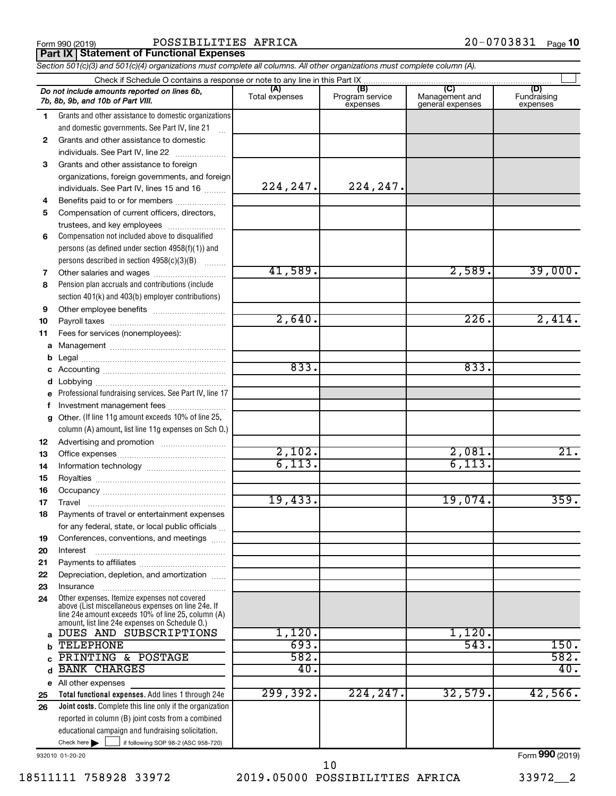|  | Form 990 (2019) |
|--|-----------------|
|  |                 |

Form 990 (2019)  $\qquad \qquad \text{POSSIBILITIES AFRICA}$   $20-0703831 \qquad \text{Page}$ **Part IX Statement of Functional Expenses**

|              | Section 501(c)(3) and 501(c)(4) organizations must complete all columns. All other organizations must complete column (A).                                                                                 |                       |                                    |                                                      |                                |
|--------------|------------------------------------------------------------------------------------------------------------------------------------------------------------------------------------------------------------|-----------------------|------------------------------------|------------------------------------------------------|--------------------------------|
|              | Check if Schedule O contains a response or note to any line in this Part IX                                                                                                                                |                       |                                    |                                                      |                                |
|              | Do not include amounts reported on lines 6b,<br>7b, 8b, 9b, and 10b of Part VIII.                                                                                                                          | (A)<br>Total expenses | (B)<br>Program service<br>expenses | $\overline{C}$<br>Management and<br>general expenses | (D)<br>Fundraising<br>expenses |
| 1.           | Grants and other assistance to domestic organizations                                                                                                                                                      |                       |                                    |                                                      |                                |
|              | and domestic governments. See Part IV, line 21                                                                                                                                                             |                       |                                    |                                                      |                                |
| $\mathbf{2}$ | Grants and other assistance to domestic                                                                                                                                                                    |                       |                                    |                                                      |                                |
|              | individuals. See Part IV, line 22                                                                                                                                                                          |                       |                                    |                                                      |                                |
| 3            | Grants and other assistance to foreign                                                                                                                                                                     |                       |                                    |                                                      |                                |
|              | organizations, foreign governments, and foreign                                                                                                                                                            |                       |                                    |                                                      |                                |
|              | individuals. See Part IV, lines 15 and 16                                                                                                                                                                  | 224,247.              | 224, 247.                          |                                                      |                                |
| 4            | Benefits paid to or for members                                                                                                                                                                            |                       |                                    |                                                      |                                |
| 5            | Compensation of current officers, directors,                                                                                                                                                               |                       |                                    |                                                      |                                |
|              | trustees, and key employees                                                                                                                                                                                |                       |                                    |                                                      |                                |
| 6            | Compensation not included above to disqualified                                                                                                                                                            |                       |                                    |                                                      |                                |
|              | persons (as defined under section $4958(f)(1)$ ) and                                                                                                                                                       |                       |                                    |                                                      |                                |
|              | persons described in section 4958(c)(3)(B)                                                                                                                                                                 |                       |                                    |                                                      |                                |
| 7            |                                                                                                                                                                                                            | 41,589.               |                                    | 2,589.                                               | 39,000.                        |
| 8            | Pension plan accruals and contributions (include                                                                                                                                                           |                       |                                    |                                                      |                                |
|              | section 401(k) and 403(b) employer contributions)                                                                                                                                                          |                       |                                    |                                                      |                                |
| 9            |                                                                                                                                                                                                            |                       |                                    |                                                      |                                |
| 10           |                                                                                                                                                                                                            | 2,640.                |                                    | 226.                                                 | 2,414.                         |
| 11           | Fees for services (nonemployees):                                                                                                                                                                          |                       |                                    |                                                      |                                |
| а            |                                                                                                                                                                                                            |                       |                                    |                                                      |                                |
|              |                                                                                                                                                                                                            |                       |                                    |                                                      |                                |
|              |                                                                                                                                                                                                            | 833.                  |                                    | 833.                                                 |                                |
|              |                                                                                                                                                                                                            |                       |                                    |                                                      |                                |
| е            | Professional fundraising services. See Part IV, line 17                                                                                                                                                    |                       |                                    |                                                      |                                |
| f            | Investment management fees                                                                                                                                                                                 |                       |                                    |                                                      |                                |
| g            | Other. (If line 11g amount exceeds 10% of line 25,                                                                                                                                                         |                       |                                    |                                                      |                                |
|              | column (A) amount, list line 11g expenses on Sch O.)                                                                                                                                                       |                       |                                    |                                                      |                                |
| 12           |                                                                                                                                                                                                            |                       |                                    |                                                      |                                |
| 13           |                                                                                                                                                                                                            | 2,102.                |                                    | 2,081.                                               | 21.                            |
| 14           |                                                                                                                                                                                                            | 6,113.                |                                    | 6,113.                                               |                                |
| 15           |                                                                                                                                                                                                            |                       |                                    |                                                      |                                |
| 16           |                                                                                                                                                                                                            |                       |                                    |                                                      |                                |
| 17           |                                                                                                                                                                                                            | 19,433.               |                                    | 19,074.                                              | 359.                           |
| 18           | Payments of travel or entertainment expenses                                                                                                                                                               |                       |                                    |                                                      |                                |
|              | for any federal, state, or local public officials                                                                                                                                                          |                       |                                    |                                                      |                                |
| 19           | Conferences, conventions, and meetings                                                                                                                                                                     |                       |                                    |                                                      |                                |
| 20           | Interest                                                                                                                                                                                                   |                       |                                    |                                                      |                                |
| 21           |                                                                                                                                                                                                            |                       |                                    |                                                      |                                |
| 22           | Depreciation, depletion, and amortization                                                                                                                                                                  |                       |                                    |                                                      |                                |
| 23           | Insurance                                                                                                                                                                                                  |                       |                                    |                                                      |                                |
| 24           | Other expenses. Itemize expenses not covered<br>above (List miscellaneous expenses on line 24e. If<br>line 24e amount exceeds 10% of line 25, column (A)<br>amount, list line 24e expenses on Schedule O.) |                       |                                    |                                                      |                                |
| a            | DUES AND SUBSCRIPTIONS                                                                                                                                                                                     | 1,120.                |                                    | 1,120.                                               |                                |
|              | <b>TELEPHONE</b>                                                                                                                                                                                           | 693.                  |                                    | 543.                                                 | 150.                           |
|              | PRINTING & POSTAGE                                                                                                                                                                                         | 582.                  |                                    |                                                      | 582.                           |
|              | <b>BANK CHARGES</b>                                                                                                                                                                                        | 40.                   |                                    |                                                      | 40.                            |
| е            | All other expenses                                                                                                                                                                                         |                       |                                    |                                                      |                                |
| 25           | Total functional expenses. Add lines 1 through 24e                                                                                                                                                         | 299, 392.             | 224, 247.                          | 32,579.                                              | 42,566.                        |
| 26           | Joint costs. Complete this line only if the organization                                                                                                                                                   |                       |                                    |                                                      |                                |
|              | reported in column (B) joint costs from a combined                                                                                                                                                         |                       |                                    |                                                      |                                |
|              | educational campaign and fundraising solicitation.                                                                                                                                                         |                       |                                    |                                                      |                                |

932010 01-20-20

Check here

Check here  $\begin{array}{c} \begin{array}{|c} \hline \end{array} \end{array}$  if following SOP 98-2 (ASC 958-720)

18511111 758928 33972 2019.05000 POSSIBILITIES AFRICA 33972\_\_2 10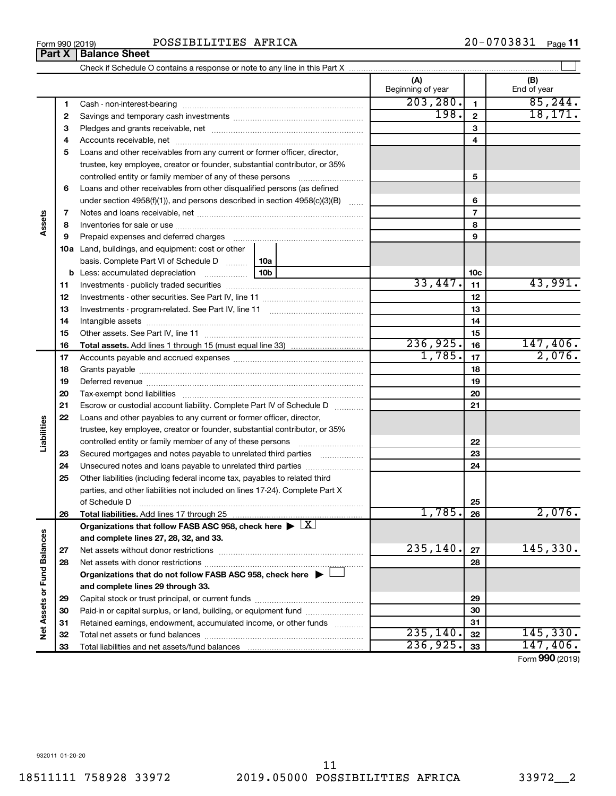**33**

Total liabilities and net assets/fund balances

**Net Assets or Fund Balances**

Net Assets or Fund Balances

|    | <b>10a</b> Land, buildings, and equipment: cost or other                                   |                 |           |           |          |
|----|--------------------------------------------------------------------------------------------|-----------------|-----------|-----------|----------|
|    | basis. Complete Part VI of Schedule D                                                      | 10a             |           |           |          |
|    |                                                                                            | 10 <sub>b</sub> |           | 10c       |          |
| 11 |                                                                                            |                 | 33,447.   | 11        | 43,991.  |
| 12 |                                                                                            |                 |           | 12        |          |
| 13 |                                                                                            |                 |           | 13        |          |
| 14 |                                                                                            |                 |           | 14        |          |
| 15 |                                                                                            |                 |           | 15        |          |
| 16 |                                                                                            |                 | 236,925.  | 16        | 147,406. |
| 17 |                                                                                            |                 | 1,785.    | 17        | 2,076.   |
| 18 |                                                                                            |                 |           | 18        |          |
| 19 |                                                                                            |                 |           | 19        |          |
| 20 |                                                                                            |                 |           | 20        |          |
| 21 | Escrow or custodial account liability. Complete Part IV of Schedule D                      |                 |           | 21        |          |
| 22 | Loans and other payables to any current or former officer, director,                       |                 |           |           |          |
|    | trustee, key employee, creator or founder, substantial contributor, or 35%                 |                 |           |           |          |
|    | controlled entity or family member of any of these persons                                 |                 |           | 22        |          |
| 23 | Secured mortgages and notes payable to unrelated third parties                             |                 |           | 23        |          |
| 24 |                                                                                            |                 |           | 24        |          |
| 25 | Other liabilities (including federal income tax, payables to related third                 |                 |           |           |          |
|    | parties, and other liabilities not included on lines 17-24). Complete Part X               |                 |           |           |          |
|    | of Schedule D                                                                              |                 |           | 25        |          |
| 26 |                                                                                            |                 | 1,785.    | 26        | 2,076.   |
|    | Organizations that follow FASB ASC 958, check here $\blacktriangleright \lfloor X \rfloor$ |                 |           |           |          |
|    | and complete lines 27, 28, 32, and 33.                                                     |                 |           |           |          |
| 27 |                                                                                            |                 | 235, 140. | 27        | 145,330. |
| 28 |                                                                                            |                 |           | 28        |          |
|    | Organizations that do not follow FASB ASC 958, check here $\blacktriangleright \Box$       |                 |           |           |          |
|    | and complete lines 29 through 33.                                                          |                 |           |           |          |
| 29 |                                                                                            |                 |           | 29        |          |
| 30 | Paid-in or capital surplus, or land, building, or equipment fund                           |                 |           | 30        |          |
| 31 | Retained earnings, endowment, accumulated income, or other funds                           |                 | 31        |           |          |
| 32 |                                                                                            | 235, 140.       | 32        | 145, 330. |          |
|    |                                                                                            |                 |           |           |          |

### Form 990 (2019) POSSIBILITIES AFRICA  $20-0703831$  Page

Cash - non-interest-bearing ~~~~~~~~~~~~~~~~~~~~~~~~~ Savings and temporary cash investments ~~~~~~~~~~~~~~~~~~ Pledges and grants receivable, net ~~~~~~~~~~~~~~~~~~~~~

Check if Schedule O contains a response or note to any line in this Part X

**4** Accounts receivable, net ~~~~~~~~~~~~~~~~~~~~~~~~~~ **5** Loans and other receivables from any current or former officer, director,

trustee, key employee, creator or founder, substantial contributor, or 35% controlled entity or family member of any of these persons ~~~~~~~~~

under section 4958(f)(1)), and persons described in section 4958(c)(3)(B)  $\ldots$ Notes and loans receivable, net ~~~~~~~~~~~~~~~~~~~~~~~ Inventories for sale or use ~~~~~~~~~~~~~~~~~~~~~~~~~~ Prepaid expenses and deferred charges ~~~~~~~~~~~~~~~~~~

**6** Loans and other receivables from other disqualified persons (as defined

20-0703831 Page 11

**(A) (B)**

Beginning of year  $\parallel$  | End of year

 $203, 280.$  1 85,244.  $198. |2|$  18,171

**5**

**33**

 $236,925.$   $33$  147,406.

Form (2019) **990**

 $\perp$ 

**Part X** | **Balance Sheet** 

**1 2 3**

**7 8 9**

**Assets**

**Liabilities**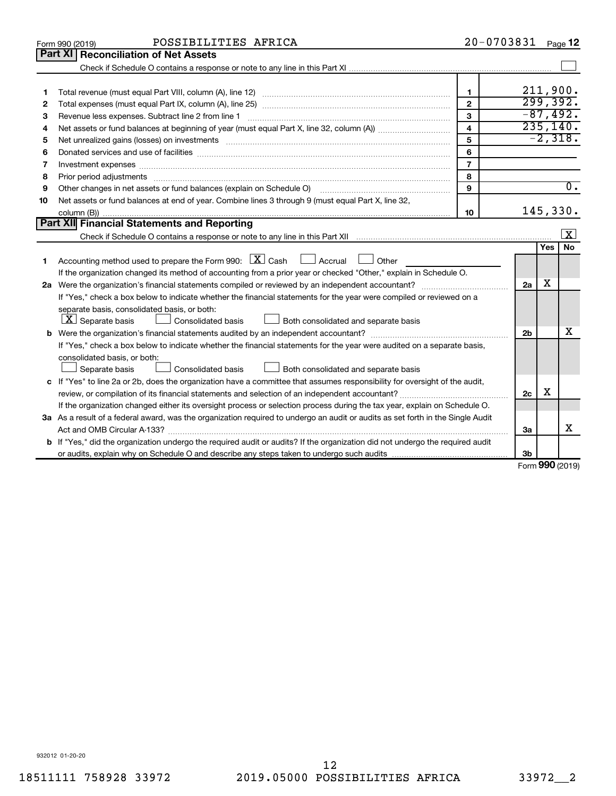|    | POSSIBILITIES AFRICA<br>Form 990 (2019)                                                                                                                                                                                        | 20-0703831              |    |                   | Page 12                 |
|----|--------------------------------------------------------------------------------------------------------------------------------------------------------------------------------------------------------------------------------|-------------------------|----|-------------------|-------------------------|
|    | Part XI<br><b>Reconciliation of Net Assets</b>                                                                                                                                                                                 |                         |    |                   |                         |
|    |                                                                                                                                                                                                                                |                         |    |                   |                         |
|    |                                                                                                                                                                                                                                |                         |    |                   |                         |
| 1  |                                                                                                                                                                                                                                | $\mathbf{1}$            |    |                   | 211,900.                |
| 2  |                                                                                                                                                                                                                                | $\mathbf{2}$            |    |                   | 299,392.                |
| З  |                                                                                                                                                                                                                                | 3                       |    |                   | $-87,492.$              |
| 4  |                                                                                                                                                                                                                                | $\overline{\mathbf{4}}$ |    |                   | 235, 140.               |
| 5  | Net unrealized gains (losses) on investments [11] matter contracts and the state of the state of the state of the state of the state of the state of the state of the state of the state of the state of the state of the stat | 5                       |    |                   | $-2,318.$               |
| 6  |                                                                                                                                                                                                                                | 6                       |    |                   |                         |
| 7  |                                                                                                                                                                                                                                | $\overline{7}$          |    |                   |                         |
| 8  |                                                                                                                                                                                                                                | 8                       |    |                   |                         |
| 9  | Other changes in net assets or fund balances (explain on Schedule O)                                                                                                                                                           | 9                       |    |                   | $\overline{0}$ .        |
| 10 | Net assets or fund balances at end of year. Combine lines 3 through 9 (must equal Part X, line 32,                                                                                                                             |                         |    |                   |                         |
|    |                                                                                                                                                                                                                                | 10                      |    |                   | 145,330.                |
|    | Part XII Financial Statements and Reporting                                                                                                                                                                                    |                         |    |                   |                         |
|    |                                                                                                                                                                                                                                |                         |    |                   | $\overline{\mathbf{X}}$ |
|    |                                                                                                                                                                                                                                |                         |    | Yes               | <b>No</b>               |
| 1  | Accounting method used to prepare the Form 990: $X \subset X$ Cash<br>Accrual J Other                                                                                                                                          |                         |    |                   |                         |
|    | If the organization changed its method of accounting from a prior year or checked "Other," explain in Schedule O.                                                                                                              |                         |    |                   |                         |
|    |                                                                                                                                                                                                                                |                         | 2a | х                 |                         |
|    | If "Yes," check a box below to indicate whether the financial statements for the year were compiled or reviewed on a                                                                                                           |                         |    |                   |                         |
|    | separate basis, consolidated basis, or both:                                                                                                                                                                                   |                         |    |                   |                         |
|    | $ \mathbf{X} $ Separate basis<br>Both consolidated and separate basis<br>Consolidated basis                                                                                                                                    |                         |    |                   |                         |
|    |                                                                                                                                                                                                                                |                         | 2b |                   | х                       |
|    | If "Yes," check a box below to indicate whether the financial statements for the year were audited on a separate basis,                                                                                                        |                         |    |                   |                         |
|    | consolidated basis, or both:                                                                                                                                                                                                   |                         |    |                   |                         |
|    | Separate basis<br><b>Consolidated basis</b><br>Both consolidated and separate basis                                                                                                                                            |                         |    |                   |                         |
|    | c If "Yes" to line 2a or 2b, does the organization have a committee that assumes responsibility for oversight of the audit,                                                                                                    |                         |    |                   |                         |
|    |                                                                                                                                                                                                                                |                         | 2c | х                 |                         |
|    | If the organization changed either its oversight process or selection process during the tax year, explain on Schedule O.                                                                                                      |                         |    |                   |                         |
|    | 3a As a result of a federal award, was the organization required to undergo an audit or audits as set forth in the Single Audit                                                                                                |                         |    |                   |                         |
|    |                                                                                                                                                                                                                                |                         | 3a |                   | x                       |
|    | <b>b</b> If "Yes," did the organization undergo the required audit or audits? If the organization did not undergo the required audit                                                                                           |                         |    |                   |                         |
|    |                                                                                                                                                                                                                                |                         | Зb | $000 \, \text{m}$ |                         |
|    |                                                                                                                                                                                                                                |                         |    |                   |                         |

Form (2019) **990**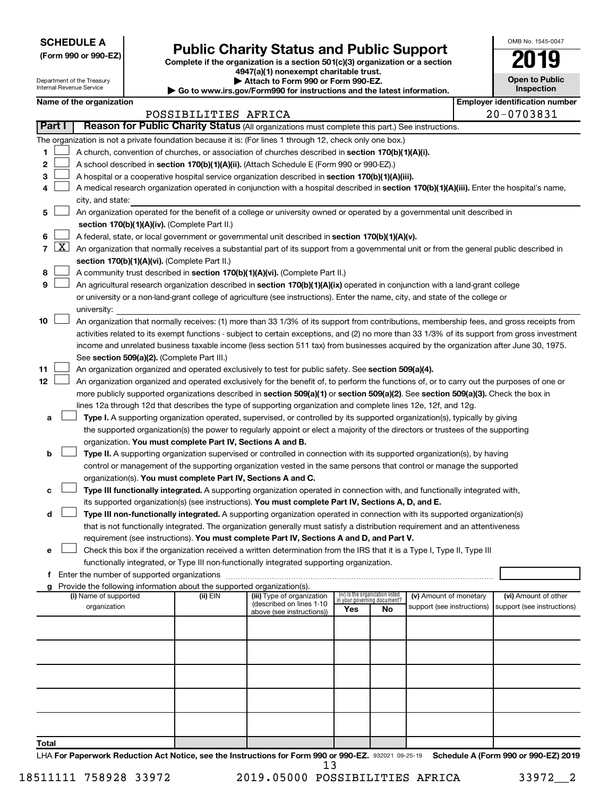| <b>SCHEDULE A</b> |  |
|-------------------|--|
|-------------------|--|

Department of the Treasury Internal Revenue Service

| (Form 990 or 990-EZ) |  |  |  |  |
|----------------------|--|--|--|--|
|----------------------|--|--|--|--|

# Form 990 or 990-EZ)<br>
Complete if the organization is a section 501(c)(3) organization or a section<br> **Public Charity Status and Public Support**

**4947(a)(1) nonexempt charitable trust. | Attach to Form 990 or Form 990-EZ.** 

**| Go to www.irs.gov/Form990 for instructions and the latest information.**

|    | <b>Open to Public</b><br>Inspection |
|----|-------------------------------------|
| ×. | ntification nu                      |

OMB No. 1545-0047

|        |                                                                                                                           | Name of the organization                                                                                                                                                                                                                        |                      |                                                        |                             |                                 |                            | <b>Employer identification number</b>              |
|--------|---------------------------------------------------------------------------------------------------------------------------|-------------------------------------------------------------------------------------------------------------------------------------------------------------------------------------------------------------------------------------------------|----------------------|--------------------------------------------------------|-----------------------------|---------------------------------|----------------------------|----------------------------------------------------|
|        | Part I                                                                                                                    | Reason for Public Charity Status (All organizations must complete this part.) See instructions.                                                                                                                                                 | POSSIBILITIES AFRICA |                                                        |                             |                                 |                            | 20-0703831                                         |
|        |                                                                                                                           |                                                                                                                                                                                                                                                 |                      |                                                        |                             |                                 |                            |                                                    |
|        |                                                                                                                           | The organization is not a private foundation because it is: (For lines 1 through 12, check only one box.)                                                                                                                                       |                      |                                                        |                             |                                 |                            |                                                    |
| 1.     |                                                                                                                           | A church, convention of churches, or association of churches described in section 170(b)(1)(A)(i).                                                                                                                                              |                      |                                                        |                             |                                 |                            |                                                    |
| 2      |                                                                                                                           | A school described in section 170(b)(1)(A)(ii). (Attach Schedule E (Form 990 or 990-EZ).)                                                                                                                                                       |                      |                                                        |                             |                                 |                            |                                                    |
| з<br>4 |                                                                                                                           | A hospital or a cooperative hospital service organization described in section 170(b)(1)(A)(iii).<br>A medical research organization operated in conjunction with a hospital described in section 170(b)(1)(A)(iii). Enter the hospital's name, |                      |                                                        |                             |                                 |                            |                                                    |
|        |                                                                                                                           | city, and state:                                                                                                                                                                                                                                |                      |                                                        |                             |                                 |                            |                                                    |
| 5      | An organization operated for the benefit of a college or university owned or operated by a governmental unit described in |                                                                                                                                                                                                                                                 |                      |                                                        |                             |                                 |                            |                                                    |
|        |                                                                                                                           | section 170(b)(1)(A)(iv). (Complete Part II.)                                                                                                                                                                                                   |                      |                                                        |                             |                                 |                            |                                                    |
| 6.     |                                                                                                                           | A federal, state, or local government or governmental unit described in section 170(b)(1)(A)(v).                                                                                                                                                |                      |                                                        |                             |                                 |                            |                                                    |
|        |                                                                                                                           | 7 $ X $ An organization that normally receives a substantial part of its support from a governmental unit or from the general public described in                                                                                               |                      |                                                        |                             |                                 |                            |                                                    |
|        |                                                                                                                           | section 170(b)(1)(A)(vi). (Complete Part II.)                                                                                                                                                                                                   |                      |                                                        |                             |                                 |                            |                                                    |
| 8      |                                                                                                                           | A community trust described in section 170(b)(1)(A)(vi). (Complete Part II.)                                                                                                                                                                    |                      |                                                        |                             |                                 |                            |                                                    |
| 9      |                                                                                                                           | An agricultural research organization described in section 170(b)(1)(A)(ix) operated in conjunction with a land-grant college                                                                                                                   |                      |                                                        |                             |                                 |                            |                                                    |
|        |                                                                                                                           | or university or a non-land-grant college of agriculture (see instructions). Enter the name, city, and state of the college or                                                                                                                  |                      |                                                        |                             |                                 |                            |                                                    |
|        |                                                                                                                           | university:                                                                                                                                                                                                                                     |                      |                                                        |                             |                                 |                            |                                                    |
| 10     |                                                                                                                           | An organization that normally receives: (1) more than 33 1/3% of its support from contributions, membership fees, and gross receipts from                                                                                                       |                      |                                                        |                             |                                 |                            |                                                    |
|        |                                                                                                                           | activities related to its exempt functions - subject to certain exceptions, and (2) no more than 33 1/3% of its support from gross investment                                                                                                   |                      |                                                        |                             |                                 |                            |                                                    |
|        |                                                                                                                           | income and unrelated business taxable income (less section 511 tax) from businesses acquired by the organization after June 30, 1975.                                                                                                           |                      |                                                        |                             |                                 |                            |                                                    |
|        |                                                                                                                           | See section 509(a)(2). (Complete Part III.)                                                                                                                                                                                                     |                      |                                                        |                             |                                 |                            |                                                    |
| 11     |                                                                                                                           | An organization organized and operated exclusively to test for public safety. See section 509(a)(4).                                                                                                                                            |                      |                                                        |                             |                                 |                            |                                                    |
| 12     |                                                                                                                           | An organization organized and operated exclusively for the benefit of, to perform the functions of, or to carry out the purposes of one or                                                                                                      |                      |                                                        |                             |                                 |                            |                                                    |
|        |                                                                                                                           | more publicly supported organizations described in section 509(a)(1) or section 509(a)(2). See section 509(a)(3). Check the box in                                                                                                              |                      |                                                        |                             |                                 |                            |                                                    |
|        |                                                                                                                           | lines 12a through 12d that describes the type of supporting organization and complete lines 12e, 12f, and 12g.                                                                                                                                  |                      |                                                        |                             |                                 |                            |                                                    |
| а      |                                                                                                                           | Type I. A supporting organization operated, supervised, or controlled by its supported organization(s), typically by giving                                                                                                                     |                      |                                                        |                             |                                 |                            |                                                    |
|        |                                                                                                                           | the supported organization(s) the power to regularly appoint or elect a majority of the directors or trustees of the supporting                                                                                                                 |                      |                                                        |                             |                                 |                            |                                                    |
|        |                                                                                                                           | organization. You must complete Part IV, Sections A and B.                                                                                                                                                                                      |                      |                                                        |                             |                                 |                            |                                                    |
| b      |                                                                                                                           | Type II. A supporting organization supervised or controlled in connection with its supported organization(s), by having                                                                                                                         |                      |                                                        |                             |                                 |                            |                                                    |
|        |                                                                                                                           | control or management of the supporting organization vested in the same persons that control or manage the supported<br>organization(s). You must complete Part IV, Sections A and C.                                                           |                      |                                                        |                             |                                 |                            |                                                    |
| с      |                                                                                                                           | Type III functionally integrated. A supporting organization operated in connection with, and functionally integrated with,                                                                                                                      |                      |                                                        |                             |                                 |                            |                                                    |
|        |                                                                                                                           | its supported organization(s) (see instructions). You must complete Part IV, Sections A, D, and E.                                                                                                                                              |                      |                                                        |                             |                                 |                            |                                                    |
| d      |                                                                                                                           | Type III non-functionally integrated. A supporting organization operated in connection with its supported organization(s)                                                                                                                       |                      |                                                        |                             |                                 |                            |                                                    |
|        |                                                                                                                           | that is not functionally integrated. The organization generally must satisfy a distribution requirement and an attentiveness                                                                                                                    |                      |                                                        |                             |                                 |                            |                                                    |
|        |                                                                                                                           | requirement (see instructions). You must complete Part IV, Sections A and D, and Part V.                                                                                                                                                        |                      |                                                        |                             |                                 |                            |                                                    |
|        |                                                                                                                           | Check this box if the organization received a written determination from the IRS that it is a Type I, Type II, Type III                                                                                                                         |                      |                                                        |                             |                                 |                            |                                                    |
|        |                                                                                                                           | functionally integrated, or Type III non-functionally integrated supporting organization.                                                                                                                                                       |                      |                                                        |                             |                                 |                            |                                                    |
|        |                                                                                                                           | f Enter the number of supported organizations                                                                                                                                                                                                   |                      |                                                        |                             |                                 |                            |                                                    |
|        |                                                                                                                           | g Provide the following information about the supported organization(s).                                                                                                                                                                        |                      |                                                        |                             |                                 |                            |                                                    |
|        |                                                                                                                           | (i) Name of supported                                                                                                                                                                                                                           | (ii) EIN             | (iii) Type of organization<br>(described on lines 1-10 | in your governing document? | (iv) Is the organization listed | (v) Amount of monetary     | (vi) Amount of other<br>support (see instructions) |
|        |                                                                                                                           | organization                                                                                                                                                                                                                                    |                      | above (see instructions))                              | Yes                         | No                              | support (see instructions) |                                                    |
|        |                                                                                                                           |                                                                                                                                                                                                                                                 |                      |                                                        |                             |                                 |                            |                                                    |
|        |                                                                                                                           |                                                                                                                                                                                                                                                 |                      |                                                        |                             |                                 |                            |                                                    |
|        |                                                                                                                           |                                                                                                                                                                                                                                                 |                      |                                                        |                             |                                 |                            |                                                    |
|        |                                                                                                                           |                                                                                                                                                                                                                                                 |                      |                                                        |                             |                                 |                            |                                                    |
|        |                                                                                                                           |                                                                                                                                                                                                                                                 |                      |                                                        |                             |                                 |                            |                                                    |
|        |                                                                                                                           |                                                                                                                                                                                                                                                 |                      |                                                        |                             |                                 |                            |                                                    |
|        |                                                                                                                           |                                                                                                                                                                                                                                                 |                      |                                                        |                             |                                 |                            |                                                    |
|        |                                                                                                                           |                                                                                                                                                                                                                                                 |                      |                                                        |                             |                                 |                            |                                                    |
|        |                                                                                                                           |                                                                                                                                                                                                                                                 |                      |                                                        |                             |                                 |                            |                                                    |
| Total  |                                                                                                                           |                                                                                                                                                                                                                                                 |                      |                                                        |                             |                                 |                            |                                                    |
|        |                                                                                                                           |                                                                                                                                                                                                                                                 |                      |                                                        |                             |                                 |                            |                                                    |

LHA For Paperwork Reduction Act Notice, see the Instructions for Form 990 or 990-EZ. 932021 09-25-19 Schedule A (Form 990 or 990-EZ) 2019 13

18511111 758928 33972 2019.05000 POSSIBILITIES AFRICA 33972\_\_2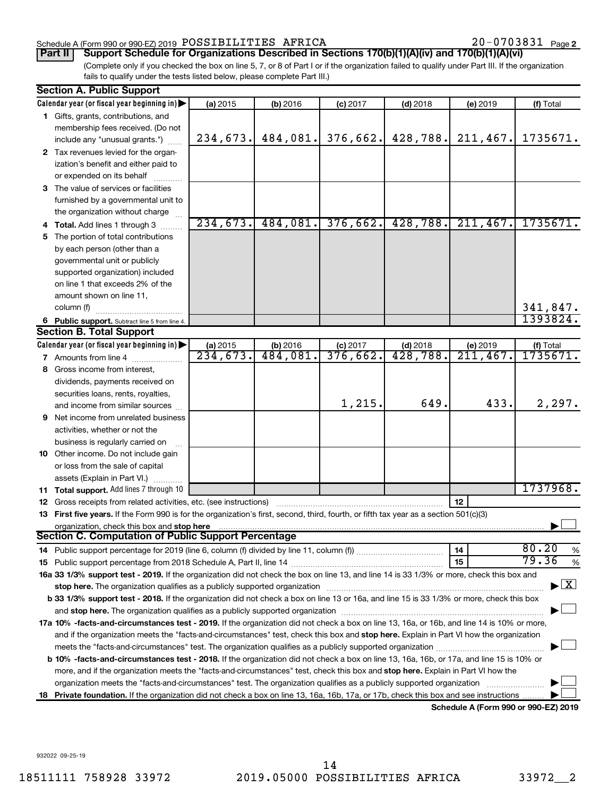### Schedule A (Form 990 or 990-EZ) 2019  $\,$   $\rm{POSSIBILITIES}$   $\,$   $\rm{AFRICA}$   $\,$   $\,$   $\,$   $\rm{20-0703831}$   $\,$   $\rm{Page}$

**2**

(Complete only if you checked the box on line 5, 7, or 8 of Part I or if the organization failed to qualify under Part III. If the organization **Part II Support Schedule for Organizations Described in Sections 170(b)(1)(A)(iv) and 170(b)(1)(A)(vi)**

fails to qualify under the tests listed below, please complete Part III.)

|    | <b>Section A. Public Support</b>                                                                                                           |          |          |            |            |           |                                 |
|----|--------------------------------------------------------------------------------------------------------------------------------------------|----------|----------|------------|------------|-----------|---------------------------------|
|    | Calendar year (or fiscal year beginning in)                                                                                                | (a) 2015 | (b) 2016 | $(c)$ 2017 | $(d)$ 2018 | (e) 2019  | (f) Total                       |
|    | 1 Gifts, grants, contributions, and                                                                                                        |          |          |            |            |           |                                 |
|    | membership fees received. (Do not                                                                                                          |          |          |            |            |           |                                 |
|    | include any "unusual grants.")                                                                                                             | 234,673. | 484,081. | 376,662.   | 428,788.   | 211, 467. | 1735671.                        |
|    | 2 Tax revenues levied for the organ-                                                                                                       |          |          |            |            |           |                                 |
|    | ization's benefit and either paid to                                                                                                       |          |          |            |            |           |                                 |
|    | or expended on its behalf                                                                                                                  |          |          |            |            |           |                                 |
|    | 3 The value of services or facilities                                                                                                      |          |          |            |            |           |                                 |
|    | furnished by a governmental unit to                                                                                                        |          |          |            |            |           |                                 |
|    | the organization without charge                                                                                                            |          |          |            |            |           |                                 |
|    | <b>Total.</b> Add lines 1 through 3                                                                                                        | 234,673. | 484,081. | 376,662.   | 428,788.   | 211, 467. | 1735671.                        |
| 5. | The portion of total contributions                                                                                                         |          |          |            |            |           |                                 |
|    | by each person (other than a                                                                                                               |          |          |            |            |           |                                 |
|    | governmental unit or publicly                                                                                                              |          |          |            |            |           |                                 |
|    | supported organization) included                                                                                                           |          |          |            |            |           |                                 |
|    | on line 1 that exceeds 2% of the                                                                                                           |          |          |            |            |           |                                 |
|    | amount shown on line 11,                                                                                                                   |          |          |            |            |           |                                 |
|    | column (f)                                                                                                                                 |          |          |            |            |           | 341,847.                        |
|    | 6 Public support. Subtract line 5 from line 4.                                                                                             |          |          |            |            |           | 1393824                         |
|    | <b>Section B. Total Support</b>                                                                                                            |          |          |            |            |           |                                 |
|    | Calendar year (or fiscal year beginning in)                                                                                                | (a) 2015 | (b) 2016 | $(c)$ 2017 | $(d)$ 2018 | (e) 2019  | (f) Total                       |
|    | <b>7</b> Amounts from line 4                                                                                                               | 234,673. | 484,081  | 376,662.   | 428,788.   | 211,467.  | 1735671.                        |
| 8  | Gross income from interest,                                                                                                                |          |          |            |            |           |                                 |
|    | dividends, payments received on                                                                                                            |          |          |            |            |           |                                 |
|    | securities loans, rents, royalties,                                                                                                        |          |          |            |            |           |                                 |
|    | and income from similar sources                                                                                                            |          |          | 1,215.     | 649.       | 433.      | 2,297.                          |
| 9. | Net income from unrelated business                                                                                                         |          |          |            |            |           |                                 |
|    | activities, whether or not the                                                                                                             |          |          |            |            |           |                                 |
|    | business is regularly carried on                                                                                                           |          |          |            |            |           |                                 |
|    | 10 Other income. Do not include gain                                                                                                       |          |          |            |            |           |                                 |
|    | or loss from the sale of capital                                                                                                           |          |          |            |            |           |                                 |
|    | assets (Explain in Part VI.)                                                                                                               |          |          |            |            |           |                                 |
|    | 11 Total support. Add lines 7 through 10                                                                                                   |          |          |            |            |           | 1737968.                        |
|    | 12 Gross receipts from related activities, etc. (see instructions)                                                                         |          |          |            |            | 12        |                                 |
|    | 13 First five years. If the Form 990 is for the organization's first, second, third, fourth, or fifth tax year as a section 501(c)(3)      |          |          |            |            |           |                                 |
|    | organization, check this box and stop here                                                                                                 |          |          |            |            |           |                                 |
|    | Section C. Computation of Public Support Percentage                                                                                        |          |          |            |            |           |                                 |
|    |                                                                                                                                            |          |          |            |            | 14        | 80.20<br>%                      |
|    |                                                                                                                                            |          |          |            |            | 15        | 79.36<br>%                      |
|    | 16a 33 1/3% support test - 2019. If the organization did not check the box on line 13, and line 14 is 33 1/3% or more, check this box and  |          |          |            |            |           |                                 |
|    | stop here. The organization qualifies as a publicly supported organization                                                                 |          |          |            |            |           | $\blacktriangleright$ $\vert$ X |
|    | b 33 1/3% support test - 2018. If the organization did not check a box on line 13 or 16a, and line 15 is 33 1/3% or more, check this box   |          |          |            |            |           |                                 |
|    |                                                                                                                                            |          |          |            |            |           |                                 |
|    | 17a 10% -facts-and-circumstances test - 2019. If the organization did not check a box on line 13, 16a, or 16b, and line 14 is 10% or more, |          |          |            |            |           |                                 |
|    | and if the organization meets the "facts-and-circumstances" test, check this box and stop here. Explain in Part VI how the organization    |          |          |            |            |           |                                 |
|    |                                                                                                                                            |          |          |            |            |           |                                 |
|    | b 10% -facts-and-circumstances test - 2018. If the organization did not check a box on line 13, 16a, 16b, or 17a, and line 15 is 10% or    |          |          |            |            |           |                                 |
|    | more, and if the organization meets the "facts-and-circumstances" test, check this box and stop here. Explain in Part VI how the           |          |          |            |            |           |                                 |
|    | organization meets the "facts-and-circumstances" test. The organization qualifies as a publicly supported organization                     |          |          |            |            |           |                                 |
|    | 18 Private foundation. If the organization did not check a box on line 13, 16a, 16b, 17a, or 17b, check this box and see instructions      |          |          |            |            |           |                                 |
|    |                                                                                                                                            |          |          |            |            |           |                                 |

**Schedule A (Form 990 or 990-EZ) 2019**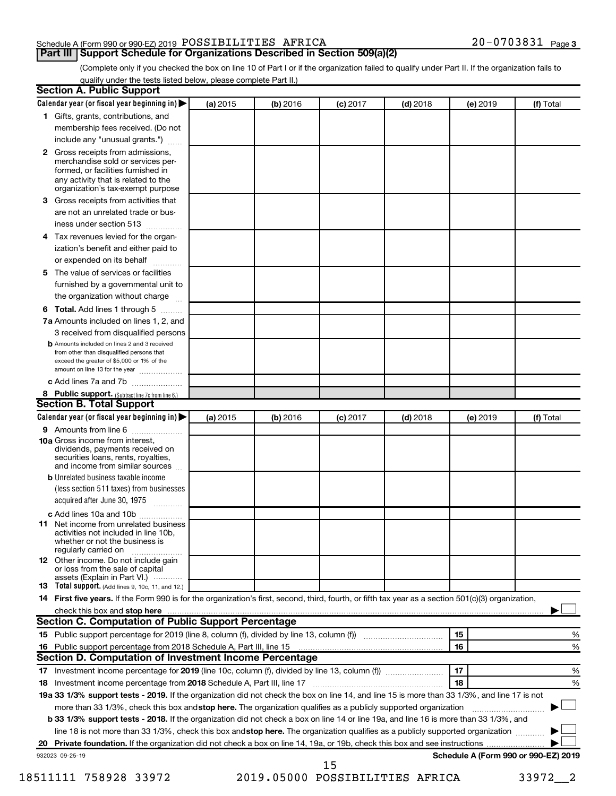### Schedule A (Form 990 or 990-EZ) 2019  $\,$   $\rm{POSSIBILITIES}$   $\,$   $\rm{AFRICA}$   $\,$   $\,$   $\,$   $\rm{20-0703831}$   $\,$   $\rm{Page}$

20-0703831 Page 3

(Complete only if you checked the box on line 10 of Part I or if the organization failed to qualify under Part II. If the organization fails to qualify under the tests listed below, please complete Part II.)

| <b>Section A. Public Support</b>                                                                                                                                                         |          |          |          |            |          |                                      |
|------------------------------------------------------------------------------------------------------------------------------------------------------------------------------------------|----------|----------|----------|------------|----------|--------------------------------------|
| Calendar year (or fiscal year beginning in) $\blacktriangleright$                                                                                                                        | (a) 2015 | (b) 2016 | (c) 2017 | $(d)$ 2018 | (e) 2019 | (f) Total                            |
| 1 Gifts, grants, contributions, and                                                                                                                                                      |          |          |          |            |          |                                      |
| membership fees received. (Do not                                                                                                                                                        |          |          |          |            |          |                                      |
| include any "unusual grants.")                                                                                                                                                           |          |          |          |            |          |                                      |
| 2 Gross receipts from admissions,<br>merchandise sold or services per-<br>formed, or facilities furnished in<br>any activity that is related to the<br>organization's tax-exempt purpose |          |          |          |            |          |                                      |
| 3 Gross receipts from activities that                                                                                                                                                    |          |          |          |            |          |                                      |
| are not an unrelated trade or bus-                                                                                                                                                       |          |          |          |            |          |                                      |
| iness under section 513                                                                                                                                                                  |          |          |          |            |          |                                      |
| 4 Tax revenues levied for the organ-                                                                                                                                                     |          |          |          |            |          |                                      |
| ization's benefit and either paid to                                                                                                                                                     |          |          |          |            |          |                                      |
| or expended on its behalf                                                                                                                                                                |          |          |          |            |          |                                      |
| 5 The value of services or facilities                                                                                                                                                    |          |          |          |            |          |                                      |
| furnished by a governmental unit to                                                                                                                                                      |          |          |          |            |          |                                      |
| the organization without charge                                                                                                                                                          |          |          |          |            |          |                                      |
| 6 Total. Add lines 1 through 5                                                                                                                                                           |          |          |          |            |          |                                      |
| 7a Amounts included on lines 1, 2, and                                                                                                                                                   |          |          |          |            |          |                                      |
| 3 received from disqualified persons                                                                                                                                                     |          |          |          |            |          |                                      |
| <b>b</b> Amounts included on lines 2 and 3 received<br>from other than disqualified persons that<br>exceed the greater of \$5,000 or 1% of the<br>amount on line 13 for the year         |          |          |          |            |          |                                      |
| c Add lines 7a and 7b                                                                                                                                                                    |          |          |          |            |          |                                      |
| 8 Public support. (Subtract line 7c from line 6.)                                                                                                                                        |          |          |          |            |          |                                      |
| <b>Section B. Total Support</b>                                                                                                                                                          |          |          |          |            |          |                                      |
| Calendar year (or fiscal year beginning in) $\blacktriangleright$                                                                                                                        | (a) 2015 | (b) 2016 | (c) 2017 | $(d)$ 2018 | (e) 2019 | (f) Total                            |
| 9 Amounts from line 6                                                                                                                                                                    |          |          |          |            |          |                                      |
| <b>10a</b> Gross income from interest,<br>dividends, payments received on<br>securities loans, rents, royalties,<br>and income from similar sources                                      |          |          |          |            |          |                                      |
| <b>b</b> Unrelated business taxable income                                                                                                                                               |          |          |          |            |          |                                      |
| (less section 511 taxes) from businesses                                                                                                                                                 |          |          |          |            |          |                                      |
| acquired after June 30, 1975                                                                                                                                                             |          |          |          |            |          |                                      |
| c Add lines 10a and 10b                                                                                                                                                                  |          |          |          |            |          |                                      |
| <b>11</b> Net income from unrelated business<br>activities not included in line 10b.<br>whether or not the business is<br>regularly carried on                                           |          |          |          |            |          |                                      |
| 12 Other income. Do not include gain<br>or loss from the sale of capital<br>assets (Explain in Part VI.)                                                                                 |          |          |          |            |          |                                      |
| <b>13</b> Total support. (Add lines 9, 10c, 11, and 12.)                                                                                                                                 |          |          |          |            |          |                                      |
| 14 First five years. If the Form 990 is for the organization's first, second, third, fourth, or fifth tax year as a section 501(c)(3) organization,                                      |          |          |          |            |          |                                      |
|                                                                                                                                                                                          |          |          |          |            |          |                                      |
| Section C. Computation of Public Support Percentage                                                                                                                                      |          |          |          |            |          |                                      |
|                                                                                                                                                                                          |          |          |          |            | 15       | ℅                                    |
| 16 Public support percentage from 2018 Schedule A, Part III, line 15                                                                                                                     |          |          |          |            | 16       | %                                    |
| Section D. Computation of Investment Income Percentage                                                                                                                                   |          |          |          |            |          |                                      |
| 17 Investment income percentage for 2019 (line 10c, column (f), divided by line 13, column (f))                                                                                          |          |          |          |            | 17       | %                                    |
| 18 Investment income percentage from 2018 Schedule A, Part III, line 17                                                                                                                  |          |          |          |            | 18       | %                                    |
| 19a 33 1/3% support tests - 2019. If the organization did not check the box on line 14, and line 15 is more than 33 1/3%, and line 17 is not                                             |          |          |          |            |          |                                      |
| more than 33 1/3%, check this box and stop here. The organization qualifies as a publicly supported organization                                                                         |          |          |          |            |          |                                      |
| <b>b 33 1/3% support tests - 2018.</b> If the organization did not check a box on line 14 or line 19a, and line 16 is more than 33 1/3%, and                                             |          |          |          |            |          |                                      |
| line 18 is not more than 33 1/3%, check this box and stop here. The organization qualifies as a publicly supported organization                                                          |          |          |          |            |          |                                      |
|                                                                                                                                                                                          |          |          |          |            |          |                                      |
| 932023 09-25-19                                                                                                                                                                          |          |          | 15       |            |          | Schedule A (Form 990 or 990-EZ) 2019 |

18511111 758928 33972 2019.05000 POSSIBILITIES AFRICA 33972\_\_2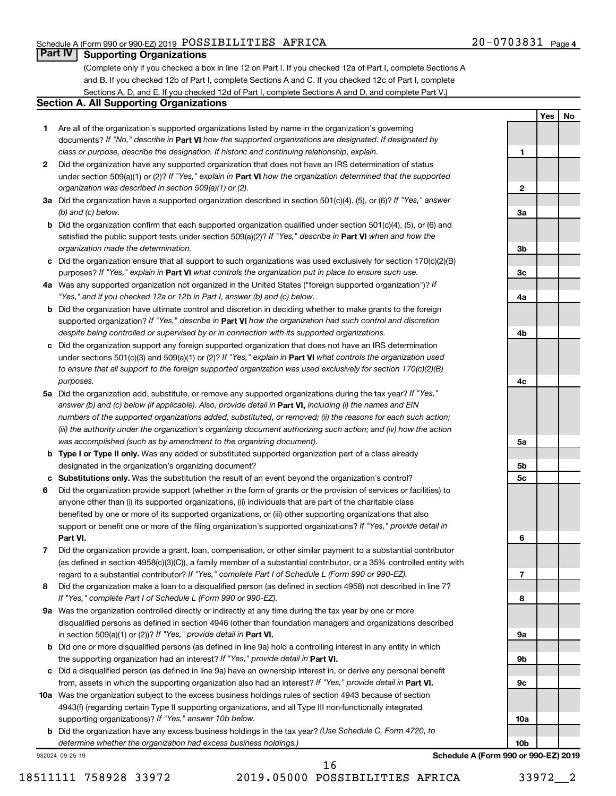**1**

**2**

**3a**

**3b**

**3c**

**4a**

**4b**

**4c**

**5a**

**5b 5c**

**6**

**7**

**8**

**9a**

**9b**

**9c**

**10a**

**10b**

**Yes No**

### **Part IV Supporting Organizations**

(Complete only if you checked a box in line 12 on Part I. If you checked 12a of Part I, complete Sections A and B. If you checked 12b of Part I, complete Sections A and C. If you checked 12c of Part I, complete Sections A, D, and E. If you checked 12d of Part I, complete Sections A and D, and complete Part V.)

### **Section A. All Supporting Organizations**

- **1** Are all of the organization's supported organizations listed by name in the organization's governing documents? If "No," describe in Part VI how the supported organizations are designated. If designated by *class or purpose, describe the designation. If historic and continuing relationship, explain.*
- **2** Did the organization have any supported organization that does not have an IRS determination of status under section 509(a)(1) or (2)? If "Yes," explain in Part **VI** how the organization determined that the supported *organization was described in section 509(a)(1) or (2).*
- **3a** Did the organization have a supported organization described in section 501(c)(4), (5), or (6)? If "Yes," answer *(b) and (c) below.*
- **b** Did the organization confirm that each supported organization qualified under section 501(c)(4), (5), or (6) and satisfied the public support tests under section 509(a)(2)? If "Yes," describe in Part VI when and how the *organization made the determination.*
- **c** Did the organization ensure that all support to such organizations was used exclusively for section 170(c)(2)(B) purposes? If "Yes," explain in Part VI what controls the organization put in place to ensure such use.
- **4 a** *If* Was any supported organization not organized in the United States ("foreign supported organization")? *"Yes," and if you checked 12a or 12b in Part I, answer (b) and (c) below.*
- **b** Did the organization have ultimate control and discretion in deciding whether to make grants to the foreign supported organization? If "Yes," describe in Part VI how the organization had such control and discretion *despite being controlled or supervised by or in connection with its supported organizations.*
- **c** Did the organization support any foreign supported organization that does not have an IRS determination under sections 501(c)(3) and 509(a)(1) or (2)? If "Yes," explain in Part VI what controls the organization used *to ensure that all support to the foreign supported organization was used exclusively for section 170(c)(2)(B) purposes.*
- **5a** Did the organization add, substitute, or remove any supported organizations during the tax year? If "Yes," answer (b) and (c) below (if applicable). Also, provide detail in **Part VI,** including (i) the names and EIN *numbers of the supported organizations added, substituted, or removed; (ii) the reasons for each such action; (iii) the authority under the organization's organizing document authorizing such action; and (iv) how the action was accomplished (such as by amendment to the organizing document).*
- **b Type I or Type II only.** Was any added or substituted supported organization part of a class already designated in the organization's organizing document?
- **c Substitutions only.**  Was the substitution the result of an event beyond the organization's control?
- **6** Did the organization provide support (whether in the form of grants or the provision of services or facilities) to **Part VI.** support or benefit one or more of the filing organization's supported organizations? If "Yes," provide detail in anyone other than (i) its supported organizations, (ii) individuals that are part of the charitable class benefited by one or more of its supported organizations, or (iii) other supporting organizations that also
- **7** Did the organization provide a grant, loan, compensation, or other similar payment to a substantial contributor regard to a substantial contributor? If "Yes," complete Part I of Schedule L (Form 990 or 990-EZ). (as defined in section 4958(c)(3)(C)), a family member of a substantial contributor, or a 35% controlled entity with
- **8** Did the organization make a loan to a disqualified person (as defined in section 4958) not described in line 7? *If "Yes," complete Part I of Schedule L (Form 990 or 990-EZ).*
- **9 a** Was the organization controlled directly or indirectly at any time during the tax year by one or more in section 509(a)(1) or (2))? If "Yes," provide detail in **Part VI.** disqualified persons as defined in section 4946 (other than foundation managers and organizations described
- **b** Did one or more disqualified persons (as defined in line 9a) hold a controlling interest in any entity in which the supporting organization had an interest? If "Yes," provide detail in Part VI.
- **c** Did a disqualified person (as defined in line 9a) have an ownership interest in, or derive any personal benefit from, assets in which the supporting organization also had an interest? If "Yes," provide detail in Part VI.
- **10 a** Was the organization subject to the excess business holdings rules of section 4943 because of section supporting organizations)? If "Yes," answer 10b below. 4943(f) (regarding certain Type II supporting organizations, and all Type III non-functionally integrated
	- **b** Did the organization have any excess business holdings in the tax year? (Use Schedule C, Form 4720, to *determine whether the organization had excess business holdings.)*

932024 09-25-19

**Schedule A (Form 990 or 990-EZ) 2019**

18511111 758928 33972 2019.05000 POSSIBILITIES AFRICA 33972\_\_2 16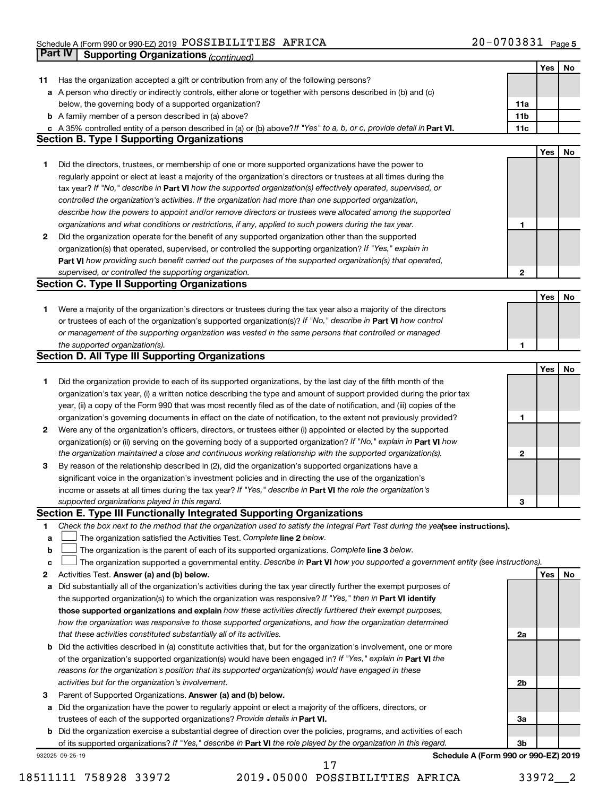|    | Part IV<br><b>Supporting Organizations (continued)</b>                                                                          |                 |     |    |
|----|---------------------------------------------------------------------------------------------------------------------------------|-----------------|-----|----|
|    |                                                                                                                                 |                 | Yes | No |
| 11 | Has the organization accepted a gift or contribution from any of the following persons?                                         |                 |     |    |
|    | a A person who directly or indirectly controls, either alone or together with persons described in (b) and (c)                  |                 |     |    |
|    | below, the governing body of a supported organization?                                                                          | 11a             |     |    |
|    | <b>b</b> A family member of a person described in (a) above?                                                                    | 11 <sub>b</sub> |     |    |
|    | c A 35% controlled entity of a person described in (a) or (b) above? If "Yes" to a, b, or c, provide detail in Part VI.         | 11c             |     |    |
|    | <b>Section B. Type I Supporting Organizations</b>                                                                               |                 |     |    |
|    |                                                                                                                                 |                 | Yes | No |
| 1  | Did the directors, trustees, or membership of one or more supported organizations have the power to                             |                 |     |    |
|    | regularly appoint or elect at least a majority of the organization's directors or trustees at all times during the              |                 |     |    |
|    | tax year? If "No," describe in Part VI how the supported organization(s) effectively operated, supervised, or                   |                 |     |    |
|    | controlled the organization's activities. If the organization had more than one supported organization,                         |                 |     |    |
|    | describe how the powers to appoint and/or remove directors or trustees were allocated among the supported                       |                 |     |    |
|    | organizations and what conditions or restrictions, if any, applied to such powers during the tax year.                          | 1               |     |    |
| 2  | Did the organization operate for the benefit of any supported organization other than the supported                             |                 |     |    |
|    | organization(s) that operated, supervised, or controlled the supporting organization? If "Yes," explain in                      |                 |     |    |
|    | Part VI how providing such benefit carried out the purposes of the supported organization(s) that operated,                     |                 |     |    |
|    | supervised, or controlled the supporting organization.                                                                          | 2               |     |    |
|    | <b>Section C. Type II Supporting Organizations</b>                                                                              |                 |     |    |
|    |                                                                                                                                 |                 | Yes | No |
| 1. | Were a majority of the organization's directors or trustees during the tax year also a majority of the directors                |                 |     |    |
|    | or trustees of each of the organization's supported organization(s)? If "No," describe in Part VI how control                   |                 |     |    |
|    | or management of the supporting organization was vested in the same persons that controlled or managed                          |                 |     |    |
|    | the supported organization(s).                                                                                                  | 1               |     |    |
|    | <b>Section D. All Type III Supporting Organizations</b>                                                                         |                 |     |    |
|    |                                                                                                                                 |                 | Yes | No |
| 1  | Did the organization provide to each of its supported organizations, by the last day of the fifth month of the                  |                 |     |    |
|    | organization's tax year, (i) a written notice describing the type and amount of support provided during the prior tax           |                 |     |    |
|    | year, (ii) a copy of the Form 990 that was most recently filed as of the date of notification, and (iii) copies of the          |                 |     |    |
|    | organization's governing documents in effect on the date of notification, to the extent not previously provided?                | 1               |     |    |
| 2  | Were any of the organization's officers, directors, or trustees either (i) appointed or elected by the supported                |                 |     |    |
|    | organization(s) or (ii) serving on the governing body of a supported organization? If "No," explain in Part VI how              |                 |     |    |
|    | the organization maintained a close and continuous working relationship with the supported organization(s).                     | 2               |     |    |
| 3  | By reason of the relationship described in (2), did the organization's supported organizations have a                           |                 |     |    |
|    | significant voice in the organization's investment policies and in directing the use of the organization's                      |                 |     |    |
|    | income or assets at all times during the tax year? If "Yes," describe in Part VI the role the organization's                    |                 |     |    |
|    | supported organizations played in this regard.                                                                                  | з               |     |    |
|    | Section E. Type III Functionally Integrated Supporting Organizations                                                            |                 |     |    |
| 1  | Check the box next to the method that the organization used to satisfy the Integral Part Test during the yealsee instructions). |                 |     |    |
| a  | The organization satisfied the Activities Test. Complete line 2 below.                                                          |                 |     |    |
| b  | The organization is the parent of each of its supported organizations. Complete line 3 below.                                   |                 |     |    |
| с  | The organization supported a governmental entity. Describe in Part VI how you supported a government entity (see instructions). |                 |     |    |
| 2  | Activities Test. Answer (a) and (b) below.                                                                                      |                 | Yes | No |
| а  | Did substantially all of the organization's activities during the tax year directly further the exempt purposes of              |                 |     |    |
|    | the supported organization(s) to which the organization was responsive? If "Yes," then in Part VI identify                      |                 |     |    |
|    | those supported organizations and explain how these activities directly furthered their exempt purposes,                        |                 |     |    |
|    | how the organization was responsive to those supported organizations, and how the organization determined                       |                 |     |    |
|    | that these activities constituted substantially all of its activities.                                                          | 2a              |     |    |
|    | b Did the activities described in (a) constitute activities that, but for the organization's involvement, one or more           |                 |     |    |
|    | of the organization's supported organization(s) would have been engaged in? If "Yes," explain in Part VI the                    |                 |     |    |
|    | reasons for the organization's position that its supported organization(s) would have engaged in these                          |                 |     |    |
|    | activities but for the organization's involvement.                                                                              | 2b              |     |    |
| з  | Parent of Supported Organizations. Answer (a) and (b) below.                                                                    |                 |     |    |
| а  | Did the organization have the power to regularly appoint or elect a majority of the officers, directors, or                     |                 |     |    |
|    | trustees of each of the supported organizations? Provide details in Part VI.                                                    | За              |     |    |
|    | <b>b</b> Did the organization exercise a substantial degree of direction over the policies, programs, and activities of each    |                 |     |    |
|    | of its supported organizations? If "Yes," describe in Part VI the role played by the organization in this regard.               | Зb              |     |    |
|    | Schedule A (Form 990 or 990-EZ) 2019<br>932025 09-25-19                                                                         |                 |     |    |

18511111 758928 33972 2019.05000 POSSIBILITIES AFRICA 33972\_\_2 17

**Schedule A (Form 990 or 990-EZ) 2019**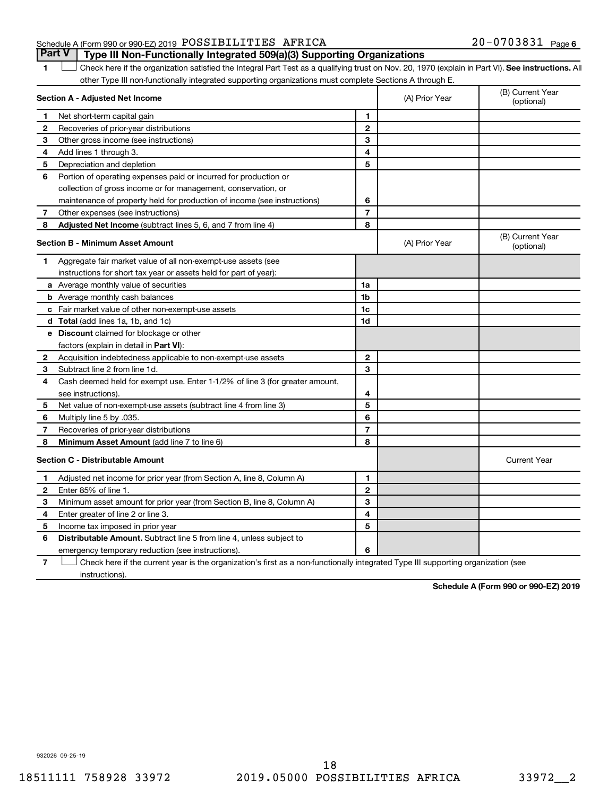### Schedule A (Form 990 or 990-EZ) 2019  $\,$   $\rm{POSSIBILITIES}$   $\,$   $\rm{AFRICA}$   $\,$   $\,$   $\,$   $\rm{20-0703831}$   $\,$   $\rm{Page}$

1 **Letter See instructions.** All Check here if the organization satisfied the Integral Part Test as a qualifying trust on Nov. 20, 1970 (explain in Part VI). See instructions. All other Type III non-functionally integrated supporting organizations must complete Sections A through E. **Part V Type III Non-Functionally Integrated 509(a)(3) Supporting Organizations** 

|                                         | Section A - Adjusted Net Income                                              | (A) Prior Year | (B) Current Year<br>(optional) |                                |
|-----------------------------------------|------------------------------------------------------------------------------|----------------|--------------------------------|--------------------------------|
| 1                                       | Net short-term capital gain                                                  | 1              |                                |                                |
| 2                                       | Recoveries of prior-year distributions                                       | $\mathbf{2}$   |                                |                                |
| З                                       | Other gross income (see instructions)                                        | 3              |                                |                                |
| 4                                       | Add lines 1 through 3.                                                       | 4              |                                |                                |
| 5                                       | Depreciation and depletion                                                   | 5              |                                |                                |
| 6                                       | Portion of operating expenses paid or incurred for production or             |                |                                |                                |
|                                         | collection of gross income or for management, conservation, or               |                |                                |                                |
|                                         | maintenance of property held for production of income (see instructions)     | 6              |                                |                                |
| 7                                       | Other expenses (see instructions)                                            | $\overline{7}$ |                                |                                |
| 8                                       | Adjusted Net Income (subtract lines 5, 6, and 7 from line 4)                 | 8              |                                |                                |
| <b>Section B - Minimum Asset Amount</b> |                                                                              |                | (A) Prior Year                 | (B) Current Year<br>(optional) |
| 1.                                      | Aggregate fair market value of all non-exempt-use assets (see                |                |                                |                                |
|                                         | instructions for short tax year or assets held for part of year):            |                |                                |                                |
|                                         | <b>a</b> Average monthly value of securities                                 | 1a             |                                |                                |
|                                         | <b>b</b> Average monthly cash balances                                       | 1b             |                                |                                |
|                                         | c Fair market value of other non-exempt-use assets                           | 1c             |                                |                                |
|                                         | d Total (add lines 1a, 1b, and 1c)                                           | 1 <sub>d</sub> |                                |                                |
|                                         | e Discount claimed for blockage or other                                     |                |                                |                                |
|                                         | factors (explain in detail in <b>Part VI</b> ):                              |                |                                |                                |
| $\mathbf{2}$                            | Acquisition indebtedness applicable to non-exempt-use assets                 | $\mathbf{2}$   |                                |                                |
| З                                       | Subtract line 2 from line 1d.                                                | 3              |                                |                                |
| 4                                       | Cash deemed held for exempt use. Enter 1-1/2% of line 3 (for greater amount, |                |                                |                                |
|                                         | see instructions).                                                           | 4              |                                |                                |
| 5                                       | Net value of non-exempt-use assets (subtract line 4 from line 3)             | 5              |                                |                                |
| 6                                       | Multiply line 5 by .035.                                                     | 6              |                                |                                |
| 7                                       | Recoveries of prior-year distributions                                       | $\overline{7}$ |                                |                                |
| 8                                       | <b>Minimum Asset Amount (add line 7 to line 6)</b>                           | 8              |                                |                                |
|                                         | <b>Section C - Distributable Amount</b>                                      |                |                                | <b>Current Year</b>            |
| 1                                       | Adjusted net income for prior year (from Section A, line 8, Column A)        | 1              |                                |                                |
| $\mathbf{2}$                            | Enter 85% of line 1                                                          | $\mathbf{2}$   |                                |                                |
| З                                       | Minimum asset amount for prior year (from Section B, line 8, Column A)       | 3              |                                |                                |
| 4                                       | Enter greater of line 2 or line 3.                                           | 4              |                                |                                |
| 5                                       | Income tax imposed in prior year                                             | 5              |                                |                                |
| 6                                       | <b>Distributable Amount.</b> Subtract line 5 from line 4, unless subject to  |                |                                |                                |
|                                         | emergency temporary reduction (see instructions).                            | 6              |                                |                                |
|                                         |                                                                              |                |                                |                                |

**7** Check here if the current year is the organization's first as a non-functionally integrated Type III supporting organization (see † instructions).

**Schedule A (Form 990 or 990-EZ) 2019**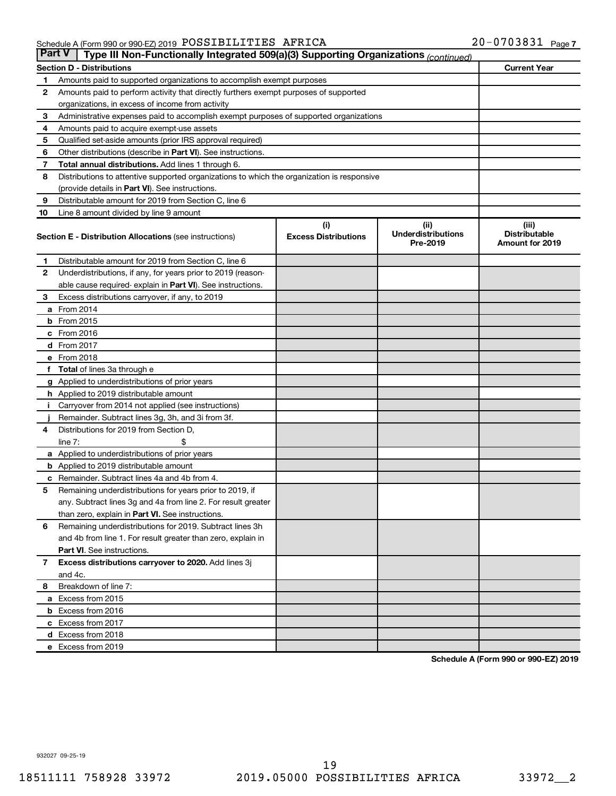### Schedule A (Form 990 or 990-EZ) 2019  $\,$   $\rm{POSSIBILITIES}$   $\,$   $\rm{AFRICA}$   $\,$   $\,$   $\,$   $\rm{20-0703831}$   $\,$   $\rm{Page}$

| <b>Part V</b> | Type III Non-Functionally Integrated 509(a)(3) Supporting Organizations (continued)        |                             |                                       |                                                |  |  |  |
|---------------|--------------------------------------------------------------------------------------------|-----------------------------|---------------------------------------|------------------------------------------------|--|--|--|
|               | <b>Current Year</b><br><b>Section D - Distributions</b>                                    |                             |                                       |                                                |  |  |  |
| 1             | Amounts paid to supported organizations to accomplish exempt purposes                      |                             |                                       |                                                |  |  |  |
| 2             | Amounts paid to perform activity that directly furthers exempt purposes of supported       |                             |                                       |                                                |  |  |  |
|               | organizations, in excess of income from activity                                           |                             |                                       |                                                |  |  |  |
| 3             | Administrative expenses paid to accomplish exempt purposes of supported organizations      |                             |                                       |                                                |  |  |  |
| 4             | Amounts paid to acquire exempt-use assets                                                  |                             |                                       |                                                |  |  |  |
| 5             | Qualified set-aside amounts (prior IRS approval required)                                  |                             |                                       |                                                |  |  |  |
| 6             | Other distributions (describe in Part VI). See instructions.                               |                             |                                       |                                                |  |  |  |
| 7             | Total annual distributions. Add lines 1 through 6.                                         |                             |                                       |                                                |  |  |  |
| 8             | Distributions to attentive supported organizations to which the organization is responsive |                             |                                       |                                                |  |  |  |
|               | (provide details in Part VI). See instructions.                                            |                             |                                       |                                                |  |  |  |
| 9             | Distributable amount for 2019 from Section C, line 6                                       |                             |                                       |                                                |  |  |  |
| 10            | Line 8 amount divided by line 9 amount                                                     |                             |                                       |                                                |  |  |  |
|               |                                                                                            | (i)                         | (ii)                                  | (iii)                                          |  |  |  |
|               | <b>Section E - Distribution Allocations (see instructions)</b>                             | <b>Excess Distributions</b> | <b>Underdistributions</b><br>Pre-2019 | <b>Distributable</b><br><b>Amount for 2019</b> |  |  |  |
| 1.            | Distributable amount for 2019 from Section C, line 6                                       |                             |                                       |                                                |  |  |  |
| $\mathbf{2}$  | Underdistributions, if any, for years prior to 2019 (reason-                               |                             |                                       |                                                |  |  |  |
|               | able cause required- explain in Part VI). See instructions.                                |                             |                                       |                                                |  |  |  |
| 3             | Excess distributions carryover, if any, to 2019                                            |                             |                                       |                                                |  |  |  |
|               | a From 2014                                                                                |                             |                                       |                                                |  |  |  |
|               | <b>b</b> From 2015                                                                         |                             |                                       |                                                |  |  |  |
|               | c From 2016                                                                                |                             |                                       |                                                |  |  |  |
|               | d From 2017                                                                                |                             |                                       |                                                |  |  |  |
|               | e From 2018                                                                                |                             |                                       |                                                |  |  |  |
|               | f Total of lines 3a through e                                                              |                             |                                       |                                                |  |  |  |
|               | <b>g</b> Applied to underdistributions of prior years                                      |                             |                                       |                                                |  |  |  |
|               | <b>h</b> Applied to 2019 distributable amount                                              |                             |                                       |                                                |  |  |  |
|               | Carryover from 2014 not applied (see instructions)                                         |                             |                                       |                                                |  |  |  |
|               | Remainder. Subtract lines 3g, 3h, and 3i from 3f.                                          |                             |                                       |                                                |  |  |  |
| 4             | Distributions for 2019 from Section D,                                                     |                             |                                       |                                                |  |  |  |
|               | $line 7$ :                                                                                 |                             |                                       |                                                |  |  |  |
|               | a Applied to underdistributions of prior years                                             |                             |                                       |                                                |  |  |  |
|               | <b>b</b> Applied to 2019 distributable amount                                              |                             |                                       |                                                |  |  |  |
| с             | Remainder. Subtract lines 4a and 4b from 4.                                                |                             |                                       |                                                |  |  |  |
| 5             | Remaining underdistributions for years prior to 2019, if                                   |                             |                                       |                                                |  |  |  |
|               | any. Subtract lines 3g and 4a from line 2. For result greater                              |                             |                                       |                                                |  |  |  |
|               | than zero, explain in Part VI. See instructions.                                           |                             |                                       |                                                |  |  |  |
| 6             | Remaining underdistributions for 2019. Subtract lines 3h                                   |                             |                                       |                                                |  |  |  |
|               | and 4b from line 1. For result greater than zero, explain in                               |                             |                                       |                                                |  |  |  |
|               | <b>Part VI.</b> See instructions.                                                          |                             |                                       |                                                |  |  |  |
| $\mathbf{7}$  | Excess distributions carryover to 2020. Add lines 3j                                       |                             |                                       |                                                |  |  |  |
|               | and 4c.                                                                                    |                             |                                       |                                                |  |  |  |
| 8             | Breakdown of line 7:                                                                       |                             |                                       |                                                |  |  |  |
|               | a Excess from 2015                                                                         |                             |                                       |                                                |  |  |  |
|               | <b>b</b> Excess from 2016                                                                  |                             |                                       |                                                |  |  |  |
|               | c Excess from 2017                                                                         |                             |                                       |                                                |  |  |  |
|               | d Excess from 2018                                                                         |                             |                                       |                                                |  |  |  |
|               | e Excess from 2019                                                                         |                             |                                       |                                                |  |  |  |

**Schedule A (Form 990 or 990-EZ) 2019**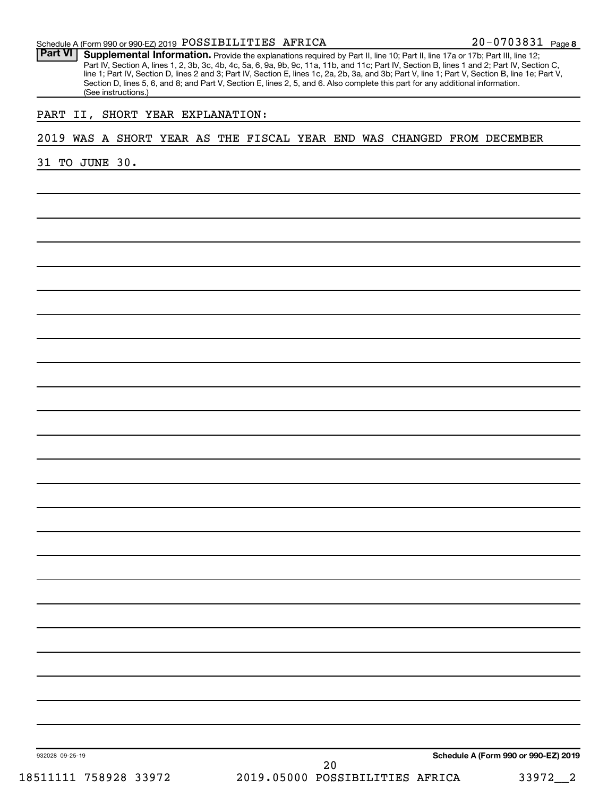20-0703831 Page 8

Part VI | Supplemental Information. Provide the explanations required by Part II, line 10; Part II, line 17a or 17b; Part III, line 12; Part IV, Section A, lines 1, 2, 3b, 3c, 4b, 4c, 5a, 6, 9a, 9b, 9c, 11a, 11b, and 11c; Part IV, Section B, lines 1 and 2; Part IV, Section C, line 1; Part IV, Section D, lines 2 and 3; Part IV, Section E, lines 1c, 2a, 2b, 3a, and 3b; Part V, line 1; Part V, Section B, line 1e; Part V, Section D, lines 5, 6, and 8; and Part V, Section E, lines 2, 5, and 6. Also complete this part for any additional information. (See instructions.)

### PART II, SHORT YEAR EXPLANATION:

### 2019 WAS A SHORT YEAR AS THE FISCAL YEAR END WAS CHANGED FROM DECEMBER

31 TO JUNE 30.

**Schedule A (Form 990 or 990-EZ) 2019**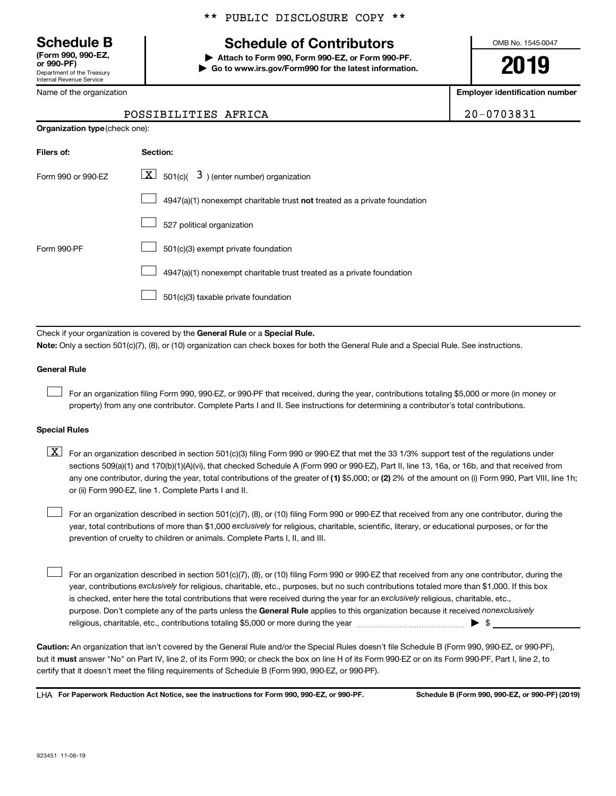Department of the Treasury Internal Revenue Service **(Form 990, 990-EZ,**

Name of the organization

### **Schedule B Schedule of Contributors**

**or 990-PF) | Attach to Form 990, Form 990-EZ, or Form 990-PF. | Go to www.irs.gov/Form990 for the latest information.** OMB No. 1545-0047

**2019**

**Employer identification number**

| POSSIBILITIES AFRICA | 20-0703831 |
|----------------------|------------|
|                      |            |

| <b>Organization type (check one):</b> |                                                                                    |  |
|---------------------------------------|------------------------------------------------------------------------------------|--|
| Filers of:                            | Section:                                                                           |  |
| Form 990 or 990-EZ                    | $\lfloor x \rfloor$ 501(c)( 3) (enter number) organization                         |  |
|                                       | $4947(a)(1)$ nonexempt charitable trust <b>not</b> treated as a private foundation |  |
|                                       | 527 political organization                                                         |  |
| Form 990-PF                           | 501(c)(3) exempt private foundation                                                |  |
|                                       | 4947(a)(1) nonexempt charitable trust treated as a private foundation              |  |
|                                       | 501(c)(3) taxable private foundation                                               |  |

Check if your organization is covered by the General Rule or a Special Rule. **Note:**  Only a section 501(c)(7), (8), or (10) organization can check boxes for both the General Rule and a Special Rule. See instructions.

#### **General Rule**

 $\Box$ 

For an organization filing Form 990, 990-EZ, or 990-PF that received, during the year, contributions totaling \$5,000 or more (in money or property) from any one contributor. Complete Parts I and II. See instructions for determining a contributor's total contributions.

#### **Special Rules**

any one contributor, during the year, total contributions of the greater of (1) \$5,000; or (2) 2% of the amount on (i) Form 990, Part VIII, line 1h;  $\boxed{\text{X}}$  For an organization described in section 501(c)(3) filing Form 990 or 990-EZ that met the 33 1/3% support test of the regulations under sections 509(a)(1) and 170(b)(1)(A)(vi), that checked Schedule A (Form 990 or 990-EZ), Part II, line 13, 16a, or 16b, and that received from or (ii) Form 990-EZ, line 1. Complete Parts I and II.

year, total contributions of more than \$1,000 *exclusively* for religious, charitable, scientific, literary, or educational purposes, or for the For an organization described in section 501(c)(7), (8), or (10) filing Form 990 or 990-EZ that received from any one contributor, during the prevention of cruelty to children or animals. Complete Parts I, II, and III.  $\Box$ 

purpose. Don't complete any of the parts unless the General Rule applies to this organization because it received nonexclusively year, contributions exclusively for religious, charitable, etc., purposes, but no such contributions totaled more than \$1,000. If this box is checked, enter here the total contributions that were received during the year for an exclusively religious, charitable, etc., For an organization described in section 501(c)(7), (8), or (10) filing Form 990 or 990-EZ that received from any one contributor, during the religious, charitable, etc., contributions totaling \$5,000 or more during the year  $~\ldots\ldots\ldots\ldots\ldots\ldots\ldots\ldots\ldots\blacktriangleright~$ \$  $\Box$ 

**Caution:**  An organization that isn't covered by the General Rule and/or the Special Rules doesn't file Schedule B (Form 990, 990-EZ, or 990-PF),  **must** but it answer "No" on Part IV, line 2, of its Form 990; or check the box on line H of its Form 990-EZ or on its Form 990-PF, Part I, line 2, to certify that it doesn't meet the filing requirements of Schedule B (Form 990, 990-EZ, or 990-PF).

**For Paperwork Reduction Act Notice, see the instructions for Form 990, 990-EZ, or 990-PF. Schedule B (Form 990, 990-EZ, or 990-PF) (2019)** LHA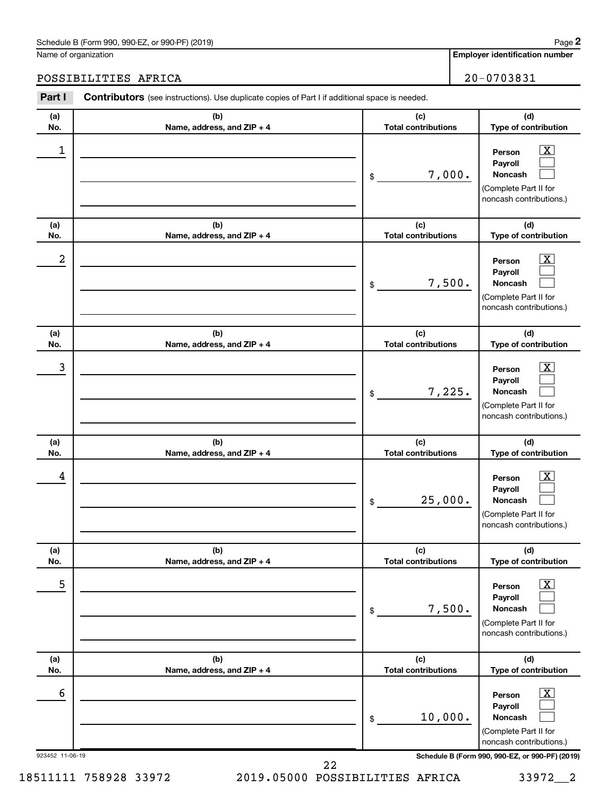Name of organization

**Employer identification number**

### POSSIBILITIES AFRICA 20-0703831

| Part I               | <b>Contributors</b> (see instructions). Use duplicate copies of Part I if additional space is needed. |                                   |                                                                                                                                                           |  |
|----------------------|-------------------------------------------------------------------------------------------------------|-----------------------------------|-----------------------------------------------------------------------------------------------------------------------------------------------------------|--|
| (a)<br>No.           | (b)<br>Name, address, and ZIP + 4                                                                     | (c)<br><b>Total contributions</b> | (d)<br>Type of contribution                                                                                                                               |  |
| 1                    |                                                                                                       | 7,000.<br>\$                      | $\boxed{\textbf{X}}$<br>Person<br>Payroll<br>Noncash<br>(Complete Part II for<br>noncash contributions.)                                                  |  |
| (a)<br>No.           | (b)<br>Name, address, and ZIP + 4                                                                     | (c)<br><b>Total contributions</b> | (d)<br>Type of contribution                                                                                                                               |  |
| 2                    |                                                                                                       | 7,500.<br>\$                      | $\boxed{\textbf{X}}$<br>Person<br>Payroll<br>Noncash<br>(Complete Part II for<br>noncash contributions.)                                                  |  |
| (a)<br>No.           | (b)<br>Name, address, and ZIP + 4                                                                     | (c)<br><b>Total contributions</b> | (d)<br>Type of contribution                                                                                                                               |  |
| 3                    |                                                                                                       | 7,225.<br>\$                      | $\boxed{\textbf{X}}$<br>Person<br>Payroll<br>Noncash<br>(Complete Part II for<br>noncash contributions.)                                                  |  |
| (a)<br>No.           | (b)<br>Name, address, and ZIP + 4                                                                     | (c)<br><b>Total contributions</b> | (d)<br>Type of contribution                                                                                                                               |  |
| 4                    |                                                                                                       | 25,000.<br>\$                     | $\boxed{\textbf{X}}$<br>Person<br>Payroll<br><b>Noncash</b><br>(Complete Part II for<br>noncash contributions.)                                           |  |
| (a)<br>No.           | (b)<br>Name, address, and ZIP + 4                                                                     | (c)<br><b>Total contributions</b> | (d)<br>Type of contribution                                                                                                                               |  |
| 5                    |                                                                                                       | 7,500.<br>\$                      | $\boxed{\text{X}}$<br>Person<br>Payroll<br>Noncash<br>(Complete Part II for<br>noncash contributions.)                                                    |  |
| (a)<br>No.           | (b)<br>Name, address, and ZIP + 4                                                                     | (c)<br><b>Total contributions</b> | (d)<br>Type of contribution                                                                                                                               |  |
| 6<br>923452 11-06-19 |                                                                                                       | 10,000.<br>\$                     | $\boxed{\text{X}}$<br>Person<br>Payroll<br>Noncash<br>(Complete Part II for<br>noncash contributions.)<br>Schedule B (Form 990, 990-EZ, or 990-PF) (2019) |  |
|                      | 22                                                                                                    |                                   |                                                                                                                                                           |  |

18511111 758928 33972 2019.05000 POSSIBILITIES AFRICA 33972\_\_2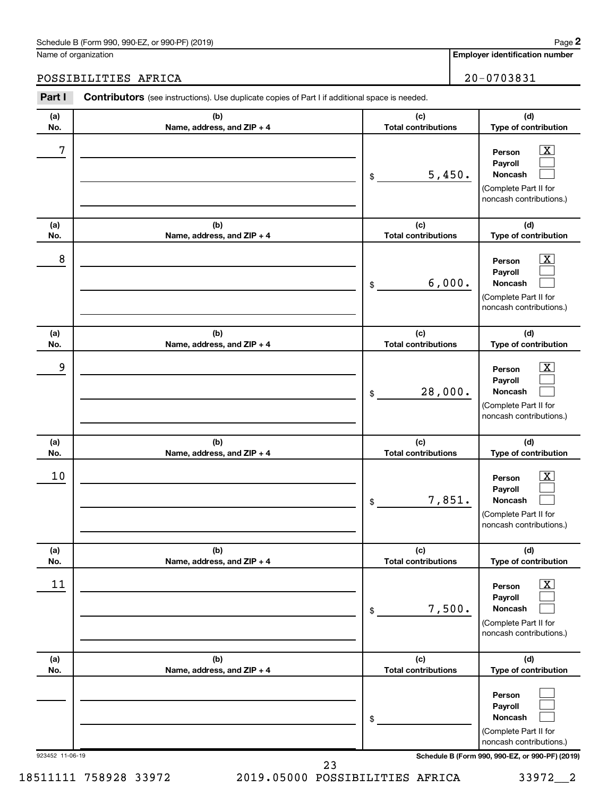Name of organization

**Employer identification number 2**

### POSSIBILITIES AFRICA 20-0703831

| Part I     | Contributors (see instructions). Use duplicate copies of Part I if additional space is needed. |                                   |                                                                                                                    |
|------------|------------------------------------------------------------------------------------------------|-----------------------------------|--------------------------------------------------------------------------------------------------------------------|
| (a)<br>No. | (b)<br>Name, address, and ZIP + 4                                                              | (c)<br><b>Total contributions</b> | (d)<br>Type of contribution                                                                                        |
| 7          |                                                                                                | 5,450.<br>\$                      | $\mathbf{X}$<br>Person<br>Payroll<br><b>Noncash</b><br>(Complete Part II for<br>noncash contributions.)            |
| (a)<br>No. | (b)<br>Name, address, and ZIP + 4                                                              | (c)<br><b>Total contributions</b> | (d)<br>Type of contribution                                                                                        |
| 8          |                                                                                                | 6,000.<br>\$                      | $\overline{\text{X}}$<br>Person<br>Payroll<br><b>Noncash</b><br>(Complete Part II for<br>noncash contributions.)   |
| (a)<br>No. | (b)<br>Name, address, and ZIP + 4                                                              | (c)<br><b>Total contributions</b> | (d)<br>Type of contribution                                                                                        |
| 9          |                                                                                                | 28,000.<br>\$                     | $\overline{\mathbf{X}}$<br>Person<br>Payroll<br><b>Noncash</b><br>(Complete Part II for<br>noncash contributions.) |
| (a)<br>No. | (b)<br>Name, address, and ZIP + 4                                                              | (c)<br><b>Total contributions</b> | (d)<br>Type of contribution                                                                                        |
| 10         |                                                                                                | 7,851.<br>\$                      | $\overline{\text{X}}$<br>Person<br>Payroll<br><b>Noncash</b><br>(Complete Part II for<br>noncash contributions.)   |
| (a)<br>No. | (b)<br>Name, address, and ZIP + 4                                                              | (c)<br><b>Total contributions</b> | (d)<br>Type of contribution                                                                                        |
| 11         |                                                                                                | 7,500.<br>\$                      | $\overline{\mathbf{X}}$<br>Person<br>Payroll<br>Noncash<br>(Complete Part II for<br>noncash contributions.)        |
| (a)<br>No. | (b)<br>Name, address, and ZIP + 4                                                              | (c)<br><b>Total contributions</b> | (d)<br>Type of contribution                                                                                        |
|            |                                                                                                | \$                                | Person<br>Payroll<br>Noncash<br>(Complete Part II for<br>noncash contributions.)                                   |

923452 11-06-19 **Schedule B (Form 990, 990-EZ, or 990-PF) (2019)**

23

18511111 758928 33972 2019.05000 POSSIBILITIES AFRICA 33972\_\_2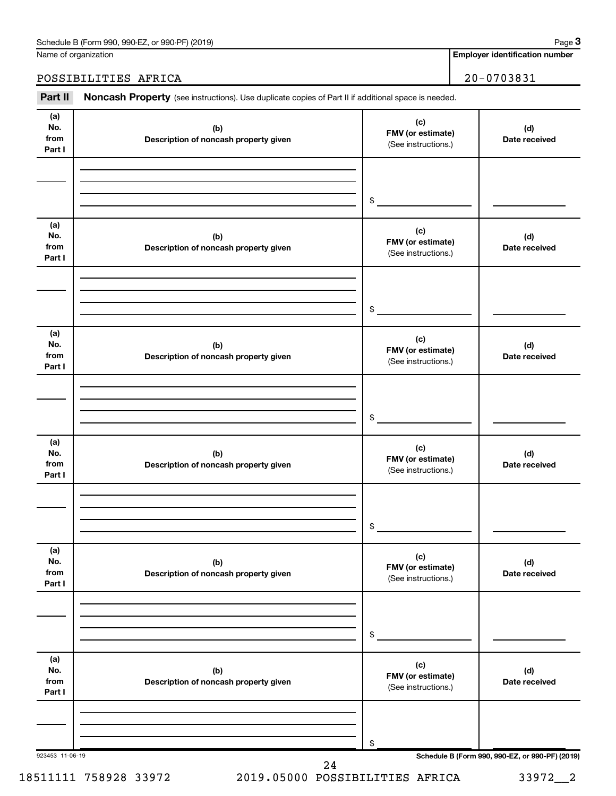Name of organization

### POSSIBILITIES AFRICA 20-0703831

Part II Noncash Property (see instructions). Use duplicate copies of Part II if additional space is needed.

| (a)<br>No.<br>from<br>Part I | (b)<br>Description of noncash property given | (c)<br>FMV (or estimate)<br>(See instructions.) | (d)<br>Date received                            |
|------------------------------|----------------------------------------------|-------------------------------------------------|-------------------------------------------------|
|                              |                                              | $\frac{1}{2}$                                   |                                                 |
| (a)<br>No.<br>from<br>Part I | (b)<br>Description of noncash property given | (c)<br>FMV (or estimate)<br>(See instructions.) | (d)<br>Date received                            |
|                              |                                              | $\frac{1}{2}$                                   |                                                 |
| (a)<br>No.<br>from<br>Part I | (b)<br>Description of noncash property given | (c)<br>FMV (or estimate)<br>(See instructions.) | (d)<br>Date received                            |
|                              |                                              | $\frac{1}{2}$                                   |                                                 |
| (a)<br>No.<br>from<br>Part I | (b)<br>Description of noncash property given | (c)<br>FMV (or estimate)<br>(See instructions.) | (d)<br>Date received                            |
|                              |                                              | $$^{\circ}$                                     |                                                 |
| (a)<br>No.<br>from<br>Part I | (b)<br>Description of noncash property given | (c)<br>FMV (or estimate)<br>(See instructions.) | (d)<br>Date received                            |
|                              |                                              | \$                                              |                                                 |
| (a)<br>No.<br>from<br>Part I | (b)<br>Description of noncash property given | (c)<br>FMV (or estimate)<br>(See instructions.) | (d)<br>Date received                            |
|                              |                                              | \$                                              |                                                 |
| 923453 11-06-19              | 24                                           |                                                 | Schedule B (Form 990, 990-EZ, or 990-PF) (2019) |

18511111 758928 33972 2019.05000 POSSIBILITIES AFRICA 33972\_\_2

**Employer identification number**

**3**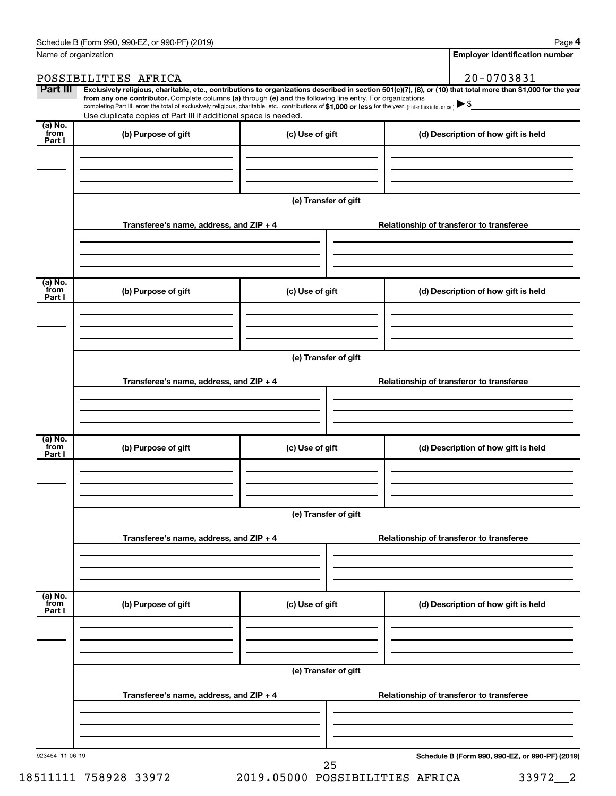**4**

|                           | Name of organization                                                                                                                                                                                                                                                                                                                      |                      | <b>Employer identification number</b>                                                                                                                          |  |  |  |  |
|---------------------------|-------------------------------------------------------------------------------------------------------------------------------------------------------------------------------------------------------------------------------------------------------------------------------------------------------------------------------------------|----------------------|----------------------------------------------------------------------------------------------------------------------------------------------------------------|--|--|--|--|
|                           | POSSIBILITIES AFRICA                                                                                                                                                                                                                                                                                                                      |                      | 20-0703831                                                                                                                                                     |  |  |  |  |
| Part III                  | from any one contributor. Complete columns (a) through (e) and the following line entry. For organizations<br>completing Part III, enter the total of exclusively religious, charitable, etc., contributions of \$1,000 or less for the year. (Enter this info. once.)<br>Use duplicate copies of Part III if additional space is needed. |                      | Exclusively religious, charitable, etc., contributions to organizations described in section 501(c)(7), (8), or (10) that total more than \$1,000 for the year |  |  |  |  |
| (a) No.<br>from<br>Part I | (b) Purpose of gift                                                                                                                                                                                                                                                                                                                       | (c) Use of gift      | (d) Description of how gift is held                                                                                                                            |  |  |  |  |
|                           |                                                                                                                                                                                                                                                                                                                                           |                      |                                                                                                                                                                |  |  |  |  |
|                           |                                                                                                                                                                                                                                                                                                                                           | (e) Transfer of gift |                                                                                                                                                                |  |  |  |  |
|                           | Transferee's name, address, and ZIP + 4                                                                                                                                                                                                                                                                                                   |                      | Relationship of transferor to transferee                                                                                                                       |  |  |  |  |
| (a) No.                   |                                                                                                                                                                                                                                                                                                                                           |                      |                                                                                                                                                                |  |  |  |  |
| from<br>Part I            | (b) Purpose of gift                                                                                                                                                                                                                                                                                                                       | (c) Use of gift      | (d) Description of how gift is held                                                                                                                            |  |  |  |  |
|                           |                                                                                                                                                                                                                                                                                                                                           | (e) Transfer of gift |                                                                                                                                                                |  |  |  |  |
|                           | Transferee's name, address, and ZIP + 4                                                                                                                                                                                                                                                                                                   |                      | Relationship of transferor to transferee                                                                                                                       |  |  |  |  |
|                           |                                                                                                                                                                                                                                                                                                                                           |                      |                                                                                                                                                                |  |  |  |  |
| (a) No.<br>from<br>Part I | (b) Purpose of gift                                                                                                                                                                                                                                                                                                                       | (c) Use of gift      | (d) Description of how gift is held                                                                                                                            |  |  |  |  |
|                           |                                                                                                                                                                                                                                                                                                                                           |                      |                                                                                                                                                                |  |  |  |  |
|                           | (e) Transfer of gift                                                                                                                                                                                                                                                                                                                      |                      |                                                                                                                                                                |  |  |  |  |
|                           | Transferee's name, address, and ZIP + 4                                                                                                                                                                                                                                                                                                   |                      | Relationship of transferor to transferee                                                                                                                       |  |  |  |  |
| (a) No.<br>from           | (b) Purpose of gift                                                                                                                                                                                                                                                                                                                       | (c) Use of gift      | (d) Description of how gift is held                                                                                                                            |  |  |  |  |
| Part I                    |                                                                                                                                                                                                                                                                                                                                           |                      |                                                                                                                                                                |  |  |  |  |
|                           | (e) Transfer of gift                                                                                                                                                                                                                                                                                                                      |                      |                                                                                                                                                                |  |  |  |  |
|                           | Transferee's name, address, and ZIP + 4                                                                                                                                                                                                                                                                                                   |                      | Relationship of transferor to transferee                                                                                                                       |  |  |  |  |
|                           |                                                                                                                                                                                                                                                                                                                                           |                      |                                                                                                                                                                |  |  |  |  |
| 923454 11-06-19           |                                                                                                                                                                                                                                                                                                                                           | 25                   | Schedule B (Form 990, 990-EZ, or 990-PF) (2019)                                                                                                                |  |  |  |  |

18511111 758928 33972 2019.05000 POSSIBILITIES AFRICA 33972\_\_2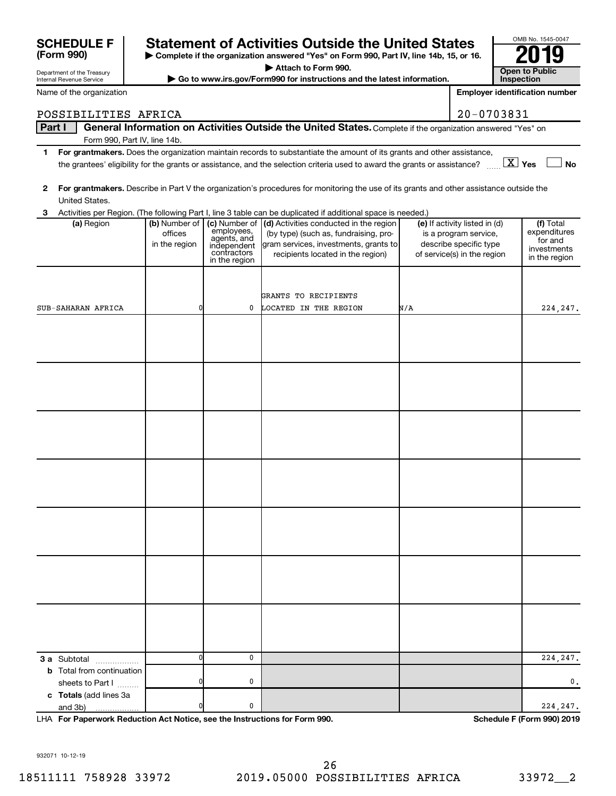| 932071 10-12-19    |  |
|--------------------|--|
| 18511111 758928 33 |  |

## **SCHEDULE F Statement of Activities Outside the United States 2019**

**| Complete if the organization answered "Yes" on Form 990, Part IV, line 14b, 15, or 16. | Attach to Form 990.**

 $\triangleright$  Go to www.irs.gov/Form990 for instructions and the latest information.

| tes                                   | OMB No. 1545-0047                    |  |  |  |  |
|---------------------------------------|--------------------------------------|--|--|--|--|
| , or 16.                              | 2019                                 |  |  |  |  |
|                                       | <b>Open to Public<br/>Inspection</b> |  |  |  |  |
| <b>Employer identification number</b> |                                      |  |  |  |  |

#### POSSIBILITIES AFRICA 20-0703831

### Part I | General Information on Activities Outside the United States. Complete if the organization answered "Yes" on Form 990, Part IV, line 14b.

- **1 For grantmakers.**  Does the organization maintain records to substantiate the amount of its grants and other assistance, **Yes No** the grantees' eligibility for the grants or assistance, and the selection criteria used to award the grants or assistance? ~~ † † X
- **2 For grantmakers.**  Describe in Part V the organization's procedures for monitoring the use of its grants and other assistance outside the United States.

| (a) Region                                                                      | (b) Number of<br>offices<br>in the region | enployees,<br>agents, and<br>independent<br>contractors<br>in the region | (c) Number of $\vert$ (d) Activities conducted in the region<br>(by type) (such as, fundraising, pro-<br>gram services, investments, grants to<br>recipients located in the region) | (e) If activity listed in (d)<br>is a program service,<br>describe specific type<br>of service(s) in the region | (f) Total<br>expenditures<br>for and<br>investments<br>in the region |
|---------------------------------------------------------------------------------|-------------------------------------------|--------------------------------------------------------------------------|-------------------------------------------------------------------------------------------------------------------------------------------------------------------------------------|-----------------------------------------------------------------------------------------------------------------|----------------------------------------------------------------------|
|                                                                                 |                                           |                                                                          |                                                                                                                                                                                     |                                                                                                                 |                                                                      |
|                                                                                 |                                           |                                                                          | GRANTS TO RECIPIENTS                                                                                                                                                                |                                                                                                                 |                                                                      |
| SUB-SAHARAN AFRICA                                                              | 0                                         | 0                                                                        | LOCATED IN THE REGION                                                                                                                                                               | N/A                                                                                                             | 224, 247.                                                            |
|                                                                                 |                                           |                                                                          |                                                                                                                                                                                     |                                                                                                                 |                                                                      |
|                                                                                 |                                           |                                                                          |                                                                                                                                                                                     |                                                                                                                 |                                                                      |
|                                                                                 |                                           |                                                                          |                                                                                                                                                                                     |                                                                                                                 |                                                                      |
|                                                                                 |                                           |                                                                          |                                                                                                                                                                                     |                                                                                                                 |                                                                      |
|                                                                                 |                                           |                                                                          |                                                                                                                                                                                     |                                                                                                                 |                                                                      |
|                                                                                 |                                           |                                                                          |                                                                                                                                                                                     |                                                                                                                 |                                                                      |
|                                                                                 |                                           |                                                                          |                                                                                                                                                                                     |                                                                                                                 |                                                                      |
|                                                                                 |                                           |                                                                          |                                                                                                                                                                                     |                                                                                                                 |                                                                      |
|                                                                                 |                                           |                                                                          |                                                                                                                                                                                     |                                                                                                                 |                                                                      |
|                                                                                 |                                           |                                                                          |                                                                                                                                                                                     |                                                                                                                 |                                                                      |
|                                                                                 |                                           |                                                                          |                                                                                                                                                                                     |                                                                                                                 |                                                                      |
|                                                                                 |                                           |                                                                          |                                                                                                                                                                                     |                                                                                                                 |                                                                      |
|                                                                                 |                                           |                                                                          |                                                                                                                                                                                     |                                                                                                                 |                                                                      |
|                                                                                 |                                           |                                                                          |                                                                                                                                                                                     |                                                                                                                 |                                                                      |
|                                                                                 |                                           |                                                                          |                                                                                                                                                                                     |                                                                                                                 |                                                                      |
|                                                                                 |                                           |                                                                          |                                                                                                                                                                                     |                                                                                                                 |                                                                      |
|                                                                                 |                                           |                                                                          |                                                                                                                                                                                     |                                                                                                                 |                                                                      |
|                                                                                 |                                           |                                                                          |                                                                                                                                                                                     |                                                                                                                 |                                                                      |
|                                                                                 |                                           |                                                                          |                                                                                                                                                                                     |                                                                                                                 |                                                                      |
|                                                                                 |                                           |                                                                          |                                                                                                                                                                                     |                                                                                                                 |                                                                      |
|                                                                                 |                                           |                                                                          |                                                                                                                                                                                     |                                                                                                                 |                                                                      |
|                                                                                 |                                           |                                                                          |                                                                                                                                                                                     |                                                                                                                 |                                                                      |
|                                                                                 |                                           |                                                                          |                                                                                                                                                                                     |                                                                                                                 |                                                                      |
|                                                                                 |                                           |                                                                          |                                                                                                                                                                                     |                                                                                                                 |                                                                      |
| 3 a Subtotal<br>.                                                               | $\mathbf{0}$                              | $\mathbf 0$                                                              |                                                                                                                                                                                     |                                                                                                                 | $\overline{224}$ , 247.                                              |
| <b>b</b> Total from continuation                                                |                                           |                                                                          |                                                                                                                                                                                     |                                                                                                                 |                                                                      |
| sheets to Part I                                                                | 0                                         | 0                                                                        |                                                                                                                                                                                     |                                                                                                                 | $\mathbf 0$ .                                                        |
| c Totals (add lines 3a<br>and 3b)                                               | 01                                        | $\mathbf 0$                                                              |                                                                                                                                                                                     |                                                                                                                 | 224, 247.                                                            |
| .<br>LHA For Paperwork Reduction Act Notice, see the Instructions for Form 990. |                                           |                                                                          |                                                                                                                                                                                     |                                                                                                                 | Schedule F (Form 990) 2019                                           |
|                                                                                 |                                           |                                                                          |                                                                                                                                                                                     |                                                                                                                 |                                                                      |

Internal Revenue Service

**<sup>3</sup>** Activities per Region. (The following Part I, line 3 table can be duplicated if additional space is needed.)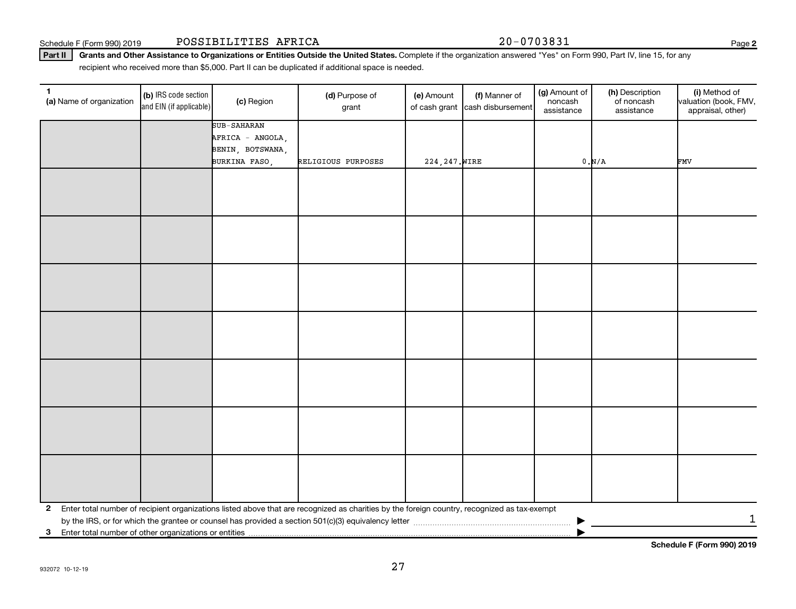Schedule F (Form 990) 2019 POSSIBILITIES AFRICA 20-0703831 Page

**2**

Part II | Grants and Other Assistance to Organizations or Entities Outside the United States. Complete if the organization answered "Yes" on Form 990, Part IV, line 15, for any recipient who received more than \$5,000. Part II can be duplicated if additional space is needed.

| 1<br>(a) Name of organization                                         | (b) IRS code section<br>and EIN (if applicable) | (c) Region       | (d) Purpose of<br>grant                                                                                                                      | (e) Amount<br>of cash grant | (f) Manner of<br>cash disbursement | (g) Amount of<br>noncash<br>assistance | (h) Description<br>of noncash<br>assistance | (i) Method of<br>valuation (book, FMV,<br>appraisal, other) |
|-----------------------------------------------------------------------|-------------------------------------------------|------------------|----------------------------------------------------------------------------------------------------------------------------------------------|-----------------------------|------------------------------------|----------------------------------------|---------------------------------------------|-------------------------------------------------------------|
|                                                                       |                                                 | SUB-SAHARAN      |                                                                                                                                              |                             |                                    |                                        |                                             |                                                             |
|                                                                       |                                                 | AFRICA - ANGOLA, |                                                                                                                                              |                             |                                    |                                        |                                             |                                                             |
|                                                                       |                                                 | BENIN, BOTSWANA, |                                                                                                                                              |                             |                                    |                                        |                                             |                                                             |
|                                                                       |                                                 | BURKINA FASO,    | RELIGIOUS PURPOSES                                                                                                                           | 224, 247. WIRE              |                                    |                                        | 0. N/A                                      | <b>FMV</b>                                                  |
|                                                                       |                                                 |                  |                                                                                                                                              |                             |                                    |                                        |                                             |                                                             |
|                                                                       |                                                 |                  |                                                                                                                                              |                             |                                    |                                        |                                             |                                                             |
|                                                                       |                                                 |                  |                                                                                                                                              |                             |                                    |                                        |                                             |                                                             |
|                                                                       |                                                 |                  |                                                                                                                                              |                             |                                    |                                        |                                             |                                                             |
|                                                                       |                                                 |                  |                                                                                                                                              |                             |                                    |                                        |                                             |                                                             |
|                                                                       |                                                 |                  |                                                                                                                                              |                             |                                    |                                        |                                             |                                                             |
|                                                                       |                                                 |                  |                                                                                                                                              |                             |                                    |                                        |                                             |                                                             |
|                                                                       |                                                 |                  |                                                                                                                                              |                             |                                    |                                        |                                             |                                                             |
|                                                                       |                                                 |                  |                                                                                                                                              |                             |                                    |                                        |                                             |                                                             |
|                                                                       |                                                 |                  |                                                                                                                                              |                             |                                    |                                        |                                             |                                                             |
|                                                                       |                                                 |                  |                                                                                                                                              |                             |                                    |                                        |                                             |                                                             |
|                                                                       |                                                 |                  |                                                                                                                                              |                             |                                    |                                        |                                             |                                                             |
|                                                                       |                                                 |                  |                                                                                                                                              |                             |                                    |                                        |                                             |                                                             |
|                                                                       |                                                 |                  |                                                                                                                                              |                             |                                    |                                        |                                             |                                                             |
|                                                                       |                                                 |                  |                                                                                                                                              |                             |                                    |                                        |                                             |                                                             |
|                                                                       |                                                 |                  |                                                                                                                                              |                             |                                    |                                        |                                             |                                                             |
|                                                                       |                                                 |                  |                                                                                                                                              |                             |                                    |                                        |                                             |                                                             |
|                                                                       |                                                 |                  |                                                                                                                                              |                             |                                    |                                        |                                             |                                                             |
|                                                                       |                                                 |                  |                                                                                                                                              |                             |                                    |                                        |                                             |                                                             |
|                                                                       |                                                 |                  |                                                                                                                                              |                             |                                    |                                        |                                             |                                                             |
|                                                                       |                                                 |                  |                                                                                                                                              |                             |                                    |                                        |                                             |                                                             |
|                                                                       |                                                 |                  |                                                                                                                                              |                             |                                    |                                        |                                             |                                                             |
|                                                                       |                                                 |                  |                                                                                                                                              |                             |                                    |                                        |                                             |                                                             |
|                                                                       |                                                 |                  |                                                                                                                                              |                             |                                    |                                        |                                             |                                                             |
| $\mathbf{2}$                                                          |                                                 |                  | Enter total number of recipient organizations listed above that are recognized as charities by the foreign country, recognized as tax-exempt |                             |                                    |                                        |                                             |                                                             |
|                                                                       |                                                 |                  |                                                                                                                                              |                             |                                    |                                        |                                             | $\mathbf{1}$                                                |
| Enter total number of other organizations or entities<br>$\mathbf{3}$ |                                                 |                  |                                                                                                                                              |                             |                                    |                                        |                                             |                                                             |

**Schedule F (Form 990) 2019**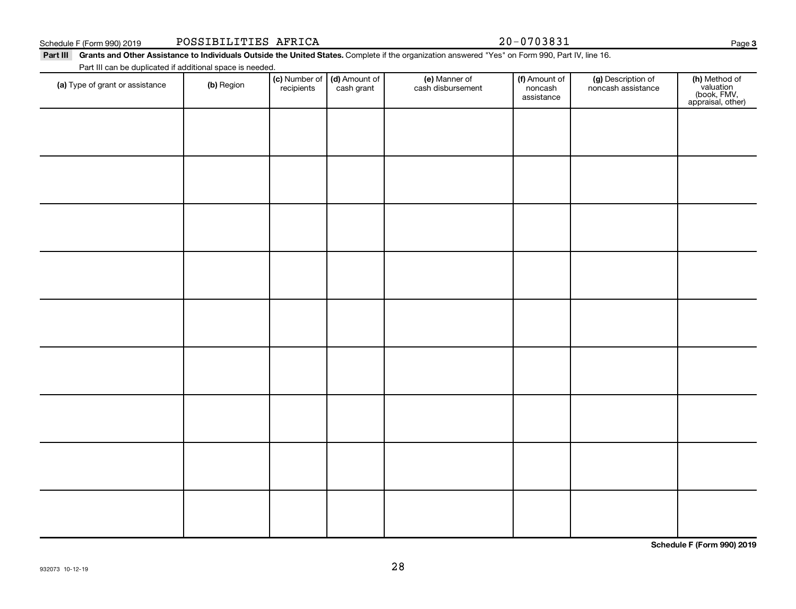#### 932073 10-12-19

| Schedule F (Form 990) 2019<br>Part III Grants and Other Assistance to Individuals Outside the United States. Complete if the organization answered "Yes" on Form 990, Part IV, line 16. | POSSIBILITIES AFRICA |                             |                             |                                    | 20-0703831                             |                                          | Page                                                           |
|-----------------------------------------------------------------------------------------------------------------------------------------------------------------------------------------|----------------------|-----------------------------|-----------------------------|------------------------------------|----------------------------------------|------------------------------------------|----------------------------------------------------------------|
| Part III can be duplicated if additional space is needed.                                                                                                                               |                      |                             |                             |                                    |                                        |                                          |                                                                |
| (a) Type of grant or assistance                                                                                                                                                         | (b) Region           | (c) Number of<br>recipients | (d) Amount of<br>cash grant | (e) Manner of<br>cash disbursement | (f) Amount of<br>noncash<br>assistance | (g) Description of<br>noncash assistance | (h) Method of<br>valuation<br>(book, FMV,<br>appraisal, other) |
|                                                                                                                                                                                         |                      |                             |                             |                                    |                                        |                                          |                                                                |
|                                                                                                                                                                                         |                      |                             |                             |                                    |                                        |                                          |                                                                |
|                                                                                                                                                                                         |                      |                             |                             |                                    |                                        |                                          |                                                                |
|                                                                                                                                                                                         |                      |                             |                             |                                    |                                        |                                          |                                                                |
|                                                                                                                                                                                         |                      |                             |                             |                                    |                                        |                                          |                                                                |
|                                                                                                                                                                                         |                      |                             |                             |                                    |                                        |                                          |                                                                |
|                                                                                                                                                                                         |                      |                             |                             |                                    |                                        |                                          |                                                                |
|                                                                                                                                                                                         |                      |                             |                             |                                    |                                        |                                          |                                                                |
|                                                                                                                                                                                         |                      |                             |                             |                                    |                                        |                                          |                                                                |
|                                                                                                                                                                                         |                      |                             |                             |                                    |                                        |                                          |                                                                |

**Schedule F (Form 990) 2019**

**3**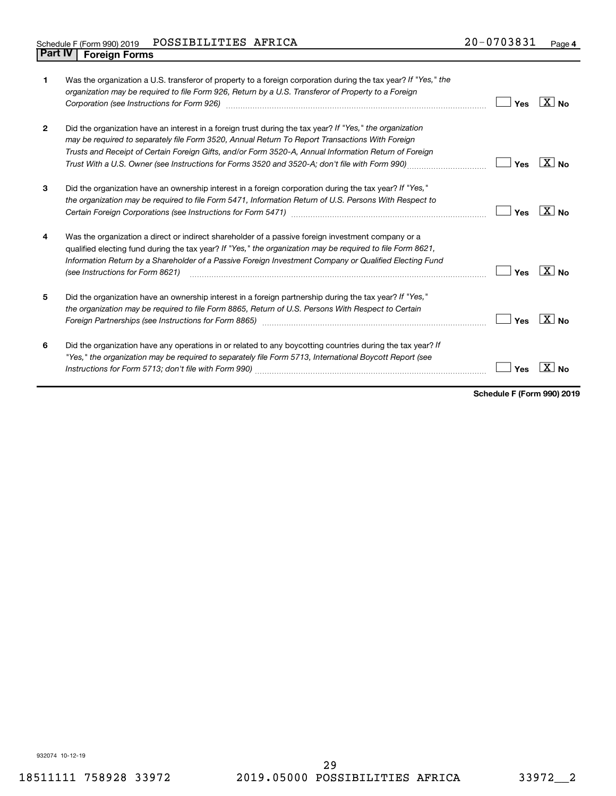| 1            | Was the organization a U.S. transferor of property to a foreign corporation during the tax year? If "Yes," the<br>organization may be required to file Form 926, Return by a U.S. Transferor of Property to a Foreign<br>Corporation (see Instructions for Form 926)                                                                                                                                                   | Yes | ∣X∣ <sub>No</sub> |
|--------------|------------------------------------------------------------------------------------------------------------------------------------------------------------------------------------------------------------------------------------------------------------------------------------------------------------------------------------------------------------------------------------------------------------------------|-----|-------------------|
| $\mathbf{2}$ | Did the organization have an interest in a foreign trust during the tax year? If "Yes," the organization<br>may be required to separately file Form 3520, Annual Return To Report Transactions With Foreign<br>Trusts and Receipt of Certain Foreign Gifts, and/or Form 3520-A, Annual Information Return of Foreign<br>Trust With a U.S. Owner (see Instructions for Forms 3520 and 3520-A; don't file with Form 990) | Yes | $\sqrt{X}$ No     |
| 3            | Did the organization have an ownership interest in a foreign corporation during the tax year? If "Yes,"<br>the organization may be required to file Form 5471, Information Return of U.S. Persons With Respect to<br>Certain Foreign Corporations (see Instructions for Form 5471)                                                                                                                                     | Yes | $X _{\text{No}}$  |
| 4            | Was the organization a direct or indirect shareholder of a passive foreign investment company or a<br>qualified electing fund during the tax year? If "Yes," the organization may be required to file Form 8621,<br>Information Return by a Shareholder of a Passive Foreign Investment Company or Qualified Electing Fund<br>(see Instructions for Form 8621)                                                         | Yes | $\overline{X}$ No |
| 5            | Did the organization have an ownership interest in a foreign partnership during the tax year? If "Yes,"<br>the organization may be required to file Form 8865, Return of U.S. Persons With Respect to Certain<br>Foreign Partnerships (see Instructions for Form 8865)                                                                                                                                                 | Yes | $X _{\text{No}}$  |
| 6            | Did the organization have any operations in or related to any boycotting countries during the tax year? If<br>"Yes," the organization may be required to separately file Form 5713, International Boycott Report (see                                                                                                                                                                                                  | Yes |                   |

**Schedule F (Form 990) 2019**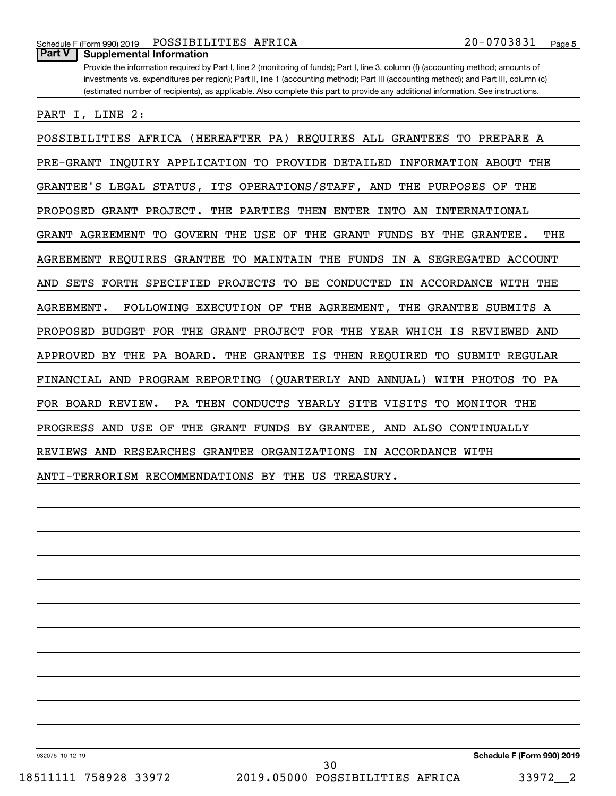Provide the information required by Part I, line 2 (monitoring of funds); Part I, line 3, column (f) (accounting method; amounts of investments vs. expenditures per region); Part II, line 1 (accounting method); Part III (accounting method); and Part III, column (c) (estimated number of recipients), as applicable. Also complete this part to provide any additional information. See instructions.

PART I, LINE 2:

POSSIBILITIES AFRICA (HEREAFTER PA) REQUIRES ALL GRANTEES TO PREPARE A PRE-GRANT INQUIRY APPLICATION TO PROVIDE DETAILED INFORMATION ABOUT THE GRANTEE'S LEGAL STATUS, ITS OPERATIONS/STAFF, AND THE PURPOSES OF THE PROPOSED GRANT PROJECT. THE PARTIES THEN ENTER INTO AN INTERNATIONAL GRANT AGREEMENT TO GOVERN THE USE OF THE GRANT FUNDS BY THE GRANTEE. THE AGREEMENT REQUIRES GRANTEE TO MAINTAIN THE FUNDS IN A SEGREGATED ACCOUNT AND SETS FORTH SPECIFIED PROJECTS TO BE CONDUCTED IN ACCORDANCE WITH THE AGREEMENT. FOLLOWING EXECUTION OF THE AGREEMENT, THE GRANTEE SUBMITS A PROPOSED BUDGET FOR THE GRANT PROJECT FOR THE YEAR WHICH IS REVIEWED AND APPROVED BY THE PA BOARD. THE GRANTEE IS THEN REQUIRED TO SUBMIT REGULAR FINANCIAL AND PROGRAM REPORTING (QUARTERLY AND ANNUAL) WITH PHOTOS TO PA FOR BOARD REVIEW. PA THEN CONDUCTS YEARLY SITE VISITS TO MONITOR THE PROGRESS AND USE OF THE GRANT FUNDS BY GRANTEE, AND ALSO CONTINUALLY REVIEWS AND RESEARCHES GRANTEE ORGANIZATIONS IN ACCORDANCE WITH ANTI-TERRORISM RECOMMENDATIONS BY THE US TREASURY.

932075 10-12-19